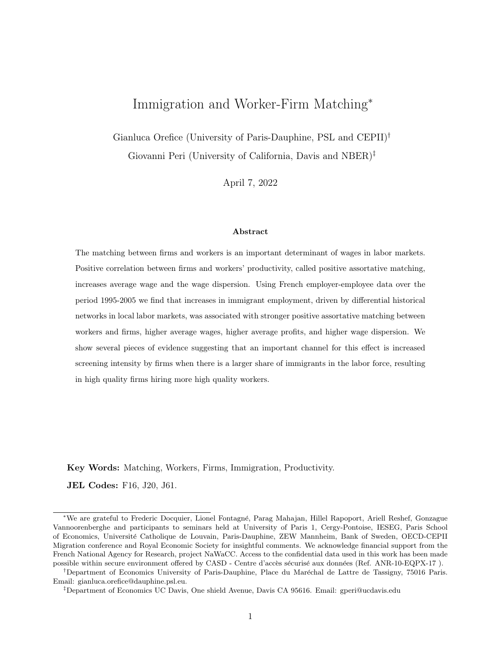# Immigration and Worker-Firm Matching<sup>∗</sup>

Gianluca Orefice (University of Paris-Dauphine, PSL and CEPII)† Giovanni Peri (University of California, Davis and NBER)‡

April 7, 2022

#### Abstract

The matching between firms and workers is an important determinant of wages in labor markets. Positive correlation between firms and workers' productivity, called positive assortative matching, increases average wage and the wage dispersion. Using French employer-employee data over the period 1995-2005 we find that increases in immigrant employment, driven by differential historical networks in local labor markets, was associated with stronger positive assortative matching between workers and firms, higher average wages, higher average profits, and higher wage dispersion. We show several pieces of evidence suggesting that an important channel for this effect is increased screening intensity by firms when there is a larger share of immigrants in the labor force, resulting in high quality firms hiring more high quality workers.

Key Words: Matching, Workers, Firms, Immigration, Productivity.

JEL Codes: F16, J20, J61.

<sup>∗</sup>We are grateful to Frederic Docquier, Lionel Fontagn´e, Parag Mahajan, Hillel Rapoport, Ariell Reshef, Gonzague Vannoorenberghe and participants to seminars held at University of Paris 1, Cergy-Pontoise, IESEG, Paris School of Economics, Universit´e Catholique de Louvain, Paris-Dauphine, ZEW Mannheim, Bank of Sweden, OECD-CEPII Migration conference and Royal Economic Society for insightful comments. We acknowledge financial support from the French National Agency for Research, project NaWaCC. Access to the confidential data used in this work has been made possible within secure environment offered by CASD - Centre d'accès sécurisé aux données (Ref. ANR-10-EQPX-17).

<sup>&</sup>lt;sup>†</sup>Department of Economics University of Paris-Dauphine, Place du Maréchal de Lattre de Tassigny, 75016 Paris. Email: gianluca.orefice@dauphine.psl.eu.

<sup>‡</sup>Department of Economics UC Davis, One shield Avenue, Davis CA 95616. Email: gperi@ucdavis.edu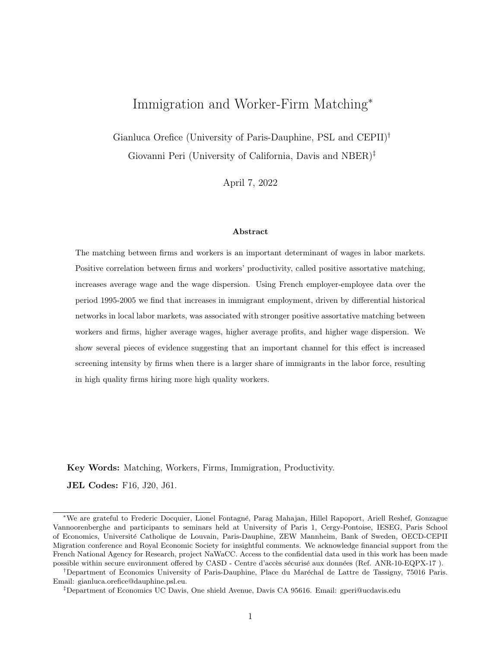# 1 Introduction

Recent research has shown that the quality (productivity) of firms explains a significant portion of the wage differentials among similar workers (matched with different firms) and their changes in the recent decades (Abowd, Kramarz and Margolis 1999; Bernard, Jensen, Redding and Schott 2007; Card, Heining and Kline 2013). Additionally, regional economists have shown that local characteristics, such as employment density, may affect firms' productivity and translate in local wage premia (e.g. Glaeser and Mare 2001; Combes, Duranton and Gobillon 2008; and De La Roca and Puga 2017). Local characteristics may also affect how workers and firms are matched with each other, with important consequences for local wages, profits and their dispersion. In particular, some local features may facilitate Positive Assortative Matching (PAM hereafter), namely the matching of high-quality workers with high-productivity firms and low-productivity workers with low-productivity firms. This, in the presence of productive complementarities between workers and firms' quality, generates higher average wage and profits in the local economy. A recent paper by Dauth, Findeisen, Moretti & Suedekum (2022) shows that higher local employment density is associated with a stronger intensity of PAM between firms and workers. In thicker labor markets, due to repeated interactions and frequent contacts, firms may have better access to information on workers and top quality firms can be more effective in attracting high quality workers, generating stronger PAM.

In this paper we analyze whether an inflow of immigrant workers affects the extent of PAM between firms and workers in a local labor market. On one hand, immigration increases the size of the local market, and through this simple "scale" effect, it may enhance the "thickness" externalities found in Dauth et al. (2022). On the other hand, and perhaps more interestingly, immigration changes the local distribution of skills. As immigrants have different backgrounds, cultures and experiences, the range of their quality (ability/productivity) is likely to be broader than for natives. Moreover, due to linguistic and cultural barriers, their productive quality may be hard for local employers to assess, especially initially. Under these conditions, when the share of immigrants in a labor market becomes larger, employers' uncertainty on the quality of workers they face may increase. As a consequence, in the presence of productive complementarity between firms' and workers' quality, better firms have stronger incentives to screen workers because their returns to a "positive match" are larger.

Hence, with an increase in the share of immigrants, high quality firms may be more likely to screen in order to attract high-quality workers, leaving low-quality workers to low-quality firms. This would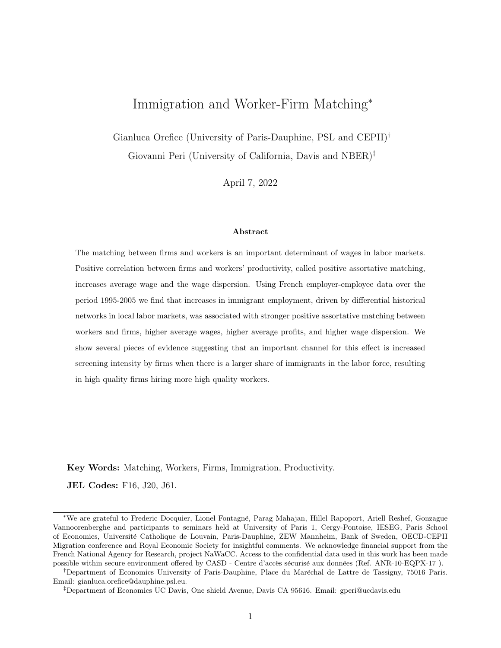be an additional unexplored channel leading to a correlation between the degree of positive assortative matching and the inflow of immigrants in local labor markets. Through this channel immigrants may have a positive "spillover" effect on average productivity, average firm's profits and wages but also on wage dispersion in a labor market.<sup>1</sup>

Using an employer-employee data set covering all private-sector workers in France in the years 1995- 2005, this paper tests whether there is an association between immigration and positive assortative matching in local labor markets. We first calculate the average quality of each worker and firm. We then use employer-employee matches in each local labor market and year to measure the strength of PAM and its change over time. As proxy of PAM we first use the rank correlation between worker and firm quality in a district-year (as in Dauth et al. 2022). Additionally, we use the (net) share of positive assortative matches in the district-year, calculated as share of firm-worker matches where both parties are above or both below the mean quality, minus the share of mismatches (those where firms are above median quality and workers below, or vice-versa), as in Davidson, Heyman, Matusz, Sjoholm & Zhu (2012). We then analyze whether the change in immigrant share in a district over time is associated with changes in these measures of PAM. To address the endogeneity problem of immigration, we use a version of the shift-share instrument à la Card (2001). We construct it using the 1982 origin-specific share of immigrants across districts, interacted with (either *predicted* or *observed*) origin-specific flows of immigrants to other EU-15 countries (excluding France) between 1995 and 2005. Following the recent econometric literature we check the validity of this shift-share instrumental variable (IV). First, we check its correlation with pre-period economic and demographic variables. Then, we follow Goldsmith-Pinkham, Sorkin & Swift (2020), in subjecting the 1982 shares that are most relevant for identification, to tests of correlation with observable characteristics and pre-trends. Finally, we consider a plausible exogeneity test, following Conley, Hansen & Rossi (2012), that generates an estimated range of the parameter of interest under the assumption of imperfect IV and reasonable correlation between IV and the residuals. All these tests are consistent with IV validity and suggest that 2SLS estimates are robust and reasonably reliable.

Our main results show that an exogenous increase in immigrant workers as share of the population is associated with significantly stronger assortative matching between firms and workers. This result is

<sup>&</sup>lt;sup>1</sup>This effect is different from other potential productivity effects analyzed in the literature, even when considering search and matching. In Chassamboulli & Palivos (2014) and Battisti, Felbermayr, Peri & Poutvaara (2018), for example, immigration attenuates the effects of search frictions in the labor market, decreasing the equilibrium unemployment, but the impact works through a job creation channel due to lower bargaining power of immigrants.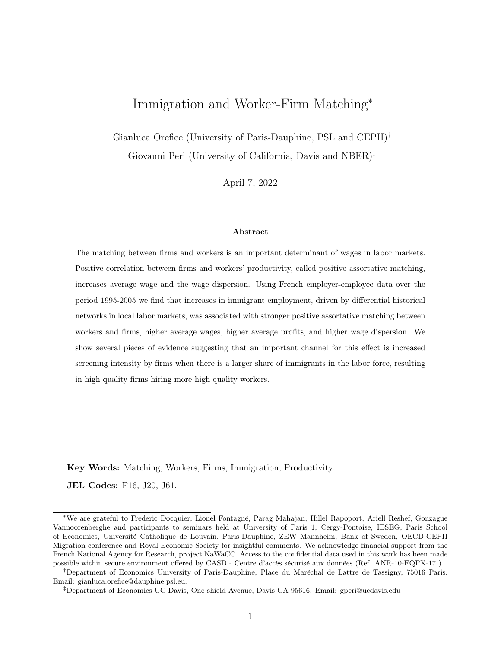robust to different choices in the measure of assortative matching and to different proxies for firm and worker quality. The IV estimates are consistent with a causal effect of immigrant share on assortative matching. A one percentage point exogenous increase in the population share of immigrants in a district implies an increase in the share of positive assortative matches (net of mismatch) by 2.2 percentage points. This corresponds to 25% of the difference in the PAM gap between a district at the  $25<sup>th</sup>$ percentile of PAM intensity and a district like Paris, at the top  $75<sup>th</sup>$  percentile of the distribution. If the effect is mostly driven by an increase in high quality firms matching with high quality workers, as our results also suggest, this increase in the strength of PAM would correspond to 0.6 percent increase in average wages in the district. This channel therefore can generate a non trivial average wage increase driven by immigrants.

In line with the consequences of positive assortative matching with productive complementarity between workers and firms' quality, we find direct evidence of immigration increasing the average wage and particularly that of high-quality workers, increasing average firm profits and the dispersion of wages in local labor markets. The worker-firm matching highlighted in this paper provides an additional and so far unexplored mechanism that may contribute to explain the non-negative effect of immigrants on native average wages in local labor markets (Pischke & Velling 1997, Card 2005, Ottaviano & Peri 2012, Dustmann, Frattini & Preston 2013) and their positive productivity effect (Peri 2012; Mitaritonna, Orefice and Peri 2017 Beerli et al. 2021).

We then provide several pieces of evidence that are consistent with PAM taking place due to increased screening, especially by high quality firms, in sectors with more immigrants and lower screening costs. First, we show that the quality dispersion of immigrant workers is larger than that of natives; and in regions where such a quality dispersion of immigrants is higher the impact of immigration on PAM is larger. Second, as better screening is more valuable to high-quality firms because of productive complementarity, we find that high-quality workers (above the median of the quality distribution) become much more likely to transition from low- to high-quality firms when immigrants increase. Third, we show that the causal effect of higher immigrants share in the labor market on PAM intensity is stronger in industries that use initially more immigrants, and have less costly or cumbersome screening procedures: when screening costs are relatively small, large inflows of immigrants are more likely to push firms to start screening in local labor market. Fourth, we show some evidence consistent with screening costs being in large part a fixed cost for a firm, as aggregate time-cost of screening per em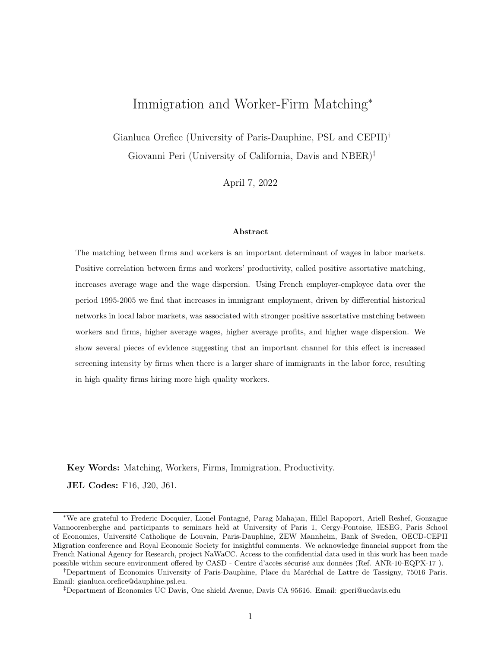ployee do not vary much with firm size. Consistently with firms investing in better overall screening when more immigrants are available, we show that also native workers increase their degree of PAM with firms as a consequence of larger inflow of immigrants. Finally, we find that firms increase resources devoted to screening, in the form of the share of recruitment personnel, those workers involved in hiring of new workers, in response to more immigrants.

This paper contributes to two areas of research. The first is the recent literature on the local and global factors affecting matching between firms and workers. Davidson et al. (2012) show that trade liberalization improves the degree of matching for export-oriented industries. In the same vein, Davidson, Heyman, Matusz, Sjoholm & Zhu (2014) shows that export-oriented sectors display a higher correlation between firm and worker types. Bombardini, Orefice  $&$  Tito (2019) show that the workforce composition of exporting firms has higher average quality and lower dispersion of worker types than domestic firms; this is consistent with the idea that exporters have higher incentive to screen for high quality workers and select those. Focusing on local factors affecting worker-firm matching, Dauth et al. (2022) find that higher local density is associated with stronger PAM. The study argues that in thicker labor markets, high quality firms are more likely to meet and attract high quality workers.

A second related branch is the literature on the local economic consequences of migration. The channel highlighted in this paper is new in this literature and contributes a new additional explanation for the non-negative effect of migration on the average wages of native workers, a result often found in the literature (see Friedberg and Hunt 1995 and Lewis and Peri 2015 for surveys of the labor market effect of migration).<sup>2</sup> While many papers find small wage effects and possible positive productivity effects from immigration,<sup>3</sup> this is the first paper that focuses on assortative matching between firms and workers as a channel to explain a positive average wage effects of immigration. The only partial exception we are aware of is a recent theoretical contribution by Burzynski & Gola (2019) that includes a matching mechanism—not empirically tested—in a general equilibrium model with heterogeneous firms and migration. The proposed explanation related to screening as a consequence of immigration, is also, to our knowledge, new in the literature. Other explanations for our findings are possible, and we

 $2$ Other explanations for the small effect of migration on native wages include the productivity increases resulting from more efficient allocation of tasks between native and migrant workers (migrant and native workers' complementarity), and a boost in innovation (Peri 2012; Peri and Sparber 2009; Mitaritonna et al. 2017).

 $3Card$  (2005) found that immigrants had little if any effect on wages at the local labor market level. Similarly Pischke & Velling (1997) and Dustmann et al. (2013), respectively for Germany and UK, do not find any negative effect of immigration on the wages of native workers. Using French data Edo (2019) shows a null wage effect of immigration in the long-run.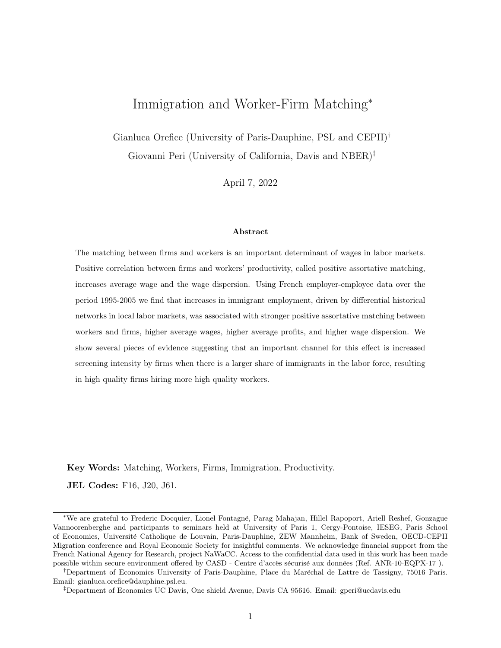consider them, but we provide suggestive evidence consistent with "screening" as a relevant channel triggered by immigration.

The rest of this paper is organized as follows. In section 2 we discuss frameworks in which immigration may affect matching, spelling out in particular the "screening" channel and the implications that this has on wages and profits. In sections 3 and 4 we discuss the data, the measures used to approximate firm and worker quality, and the strength of PAM in our sample. In section 5 we discuss the empirical strategy and some stylized facts. In sections 6 we present the estimated effect of increased immigration on assortative matching and on average wages, profits and wage dispersion. In section 7 we present additional evidence that is consistent with the effects of immigration on PAM being mediated by increased efforts in screening of workers among firms, especially those with high productivity. Section 8 concludes the paper

# 2 Why do immigrants affect matching?

In this section we describe some of the reasons why the inflow of immigrants in a labor market may generate higher correlation in employer-employee quality matching. We first discuss a novel channel, based on firms doing screening, and we spell out its implication on assortative matching and, in turn, on average wages, profits and on wage dispersion. We then consider additional explanations, based on ideas suggested in the literature on agglomeration economies and on the impact of immigrants.

### 2.1 Quality dispersion and increased screening

A reason why larger presence of immigrants could increase assortative matching is related to the fact that immigrant workers' quality is more heterogeneous than natives. This is an empirical regularity as immigrants come from different countries with different schooling institutions, and degrees of selfselection that vary by country of origin (e.g. Borjas 1987). Additionally, their quality can be harder to assess by employers because of language and cultural differences. For high quality firms, if there is productive complementarity between firm and workers' quality, a larger presence of immigrants implies stronger incentives to screen more carefully the quality of potential employees, so they can match with high quality ones. If the technology to screen workers is similar for natives and immigrants and has a significant fixed cost component of implementation (setting up a recruiting office), we would observe high quality firms paying the screening costs, apply this technology to all hires and match with high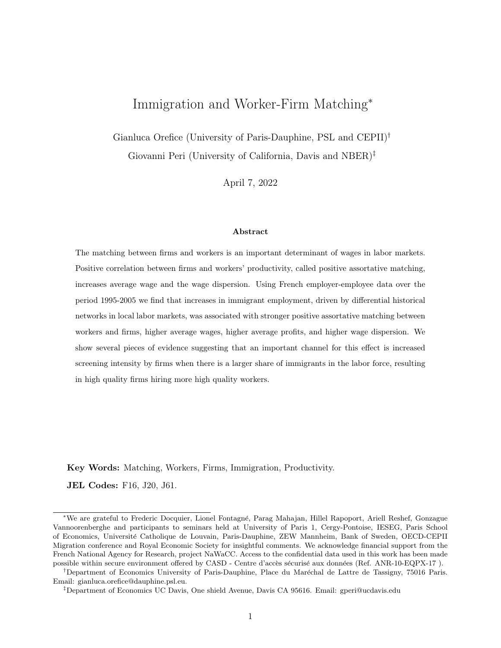quality immigrant (and native) workers.<sup>4</sup> Lower quality workers would then be available for lower quality firms to hire.<sup>5</sup> In Appendix B we propose a simple model to illustrate such mechanism in the context of a local labor market with native and migrant workers of 2 types (high or low productivity) and firms of two types (high or low productivity). In Appendix B, we also show the conditions under which these results extend to the case with  $N$  different quality levels and with different screening costs across firms.

In line with the intuition described above, in Appendix B we also show that assortative matching (relative to random matching) generates higher average surplus in a labor market from the employeremployee match, given the complementariety (convexity) of production function in quality levels. This implies higher average profits and higher average wages (as employers and employees split the surplus), as well as higher wage dispersion.<sup>6</sup> As the firm's screening is hard to observe, we will not be able to test directly this model. However, we will test the impact of immigrants on the strength of PAM, average profits and wages and some additional indirect implications of the screening cost mechanism. Namely, we will test: (i) whether high-quality firms are those whose hiring of high-quality workers increases with immigration, (ii) the fact that, consistently with fixed ex-ante screening cost, PAM will increase for both native and immigrants workers, (iii) whether the share of recruitment personnel, a proxy for screening intensity in French firms, increases with immigration and (iv) whether sectors with large average employment of immigrants and with lower initial screening costs are those where the effects of immigrants on PAM are stronger.

#### 2.2 Other channels

An additional explanation for why immigrants may affect PAM is provided by the literature on agglomeration economies. Dauth et al. (2022) show that in locations with higher employment density, the degree of positive assortative matching between firms and workers is significantly larger than in location with low employment density. Their explanation for this is that higher density of workers (thicker labor markets) for each type of skill increases the number of potential applicants and matches for each vacancy (job opening) and hence improves the quality of the worker matched to such a vacancy. Hence, high quality firms, who pay better wages, have higher probability of successfully hiring

<sup>4</sup>Evidence in favor of the fixed cost nature of screening is discussed in Appendix section B.

<sup>5</sup>We will provide some evidence consistent with screening cost having a significant fixed component in section 7 below.

<sup>&</sup>lt;sup>6</sup>A similar mechanism is analyzed for the effect of trade liberalization on the intensity of assortative matching by Helpman, Itskhoki & Redding (2010) and Davidson, Matusz & Shevchenko (2008).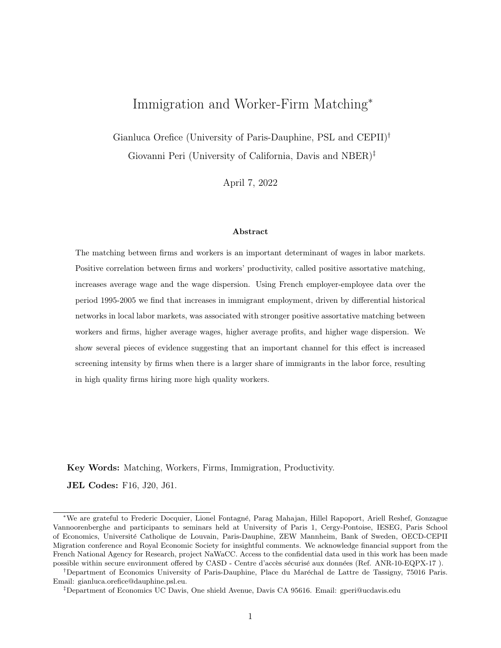high quality workers. This is a simple-and-nice implication of models with frictional search, and thick market externalities (e.g. Diamond 1982 or Acemoglu 1997). In this set-up, an inflow of workers in a market, by increasing the local employment density, would contribute to higher correlation between employers' and employees' quality. As immigrants are also more likely to locate in high density cities (as shown in Peri 2016 and Albert and Monras 2018), a correlation between a larger immigrant share and stronger assortative matching may arise as a consequence of the higher employment density. We explicitly control for employment density in our estimations.

Besides making local labor markets denser and more heterogeneous in workers' quality, immigrant workers may also increase the "horizontal" differentiation of skills, filling some workers' types that natives leave sparsely populated. In other words, immigrants are not just more heterogeneous than native workers in their quality, but they are different from/complementary to them (Ottaviano & Peri 2012, Peri & Sparber 2009). They have manual, language, cognitive and communication skills that are, at least partially, horizontally differentiated from those of natives. If specific employers are looking for skills closer to their "ideal type" and immigrants make the distribution of skills broader and denser, a larger presence of immigrants can improve the match between the employer-type and the employee-type.<sup>7</sup> If the employer-employee production complementarity is highest when the match brings together two agents that are as close as possible, then at least for some employer and in some sectors, the presence of immigrants will increase the fit of the match and intensify the overall firmemployees complementarity.

The proposed explanations are connected to each other. Immigration makes the local labor market thicker, more heterogeneous in quality, and more diverse in skill. This increases the incentives, opportunities and the returns, especially for high quality firms, to match with the "right" high quality workers. Let us finally notice that a key component for PAM to increase average profits and wages and their dispersion in any model is production complementarity of workers' and firms' quality. The simplest form of this is complementarity (as in the model in Appendix B) is generated by a surplus that is multiplicative in those. This implies log additivity in the workers' and firms' quality and it is exactly the assumption made in the AKM method (Abowd et al. 1999), in generating the log wage regression. Hence, our empirical construction of the workers' quality indicators is consistent with what assumed in our simple model in Appendix B.

<sup>7</sup>Think of a restaurant looking for a Bavarian-Pastry Chef or a Musical company looking for a Latin-music guitarist.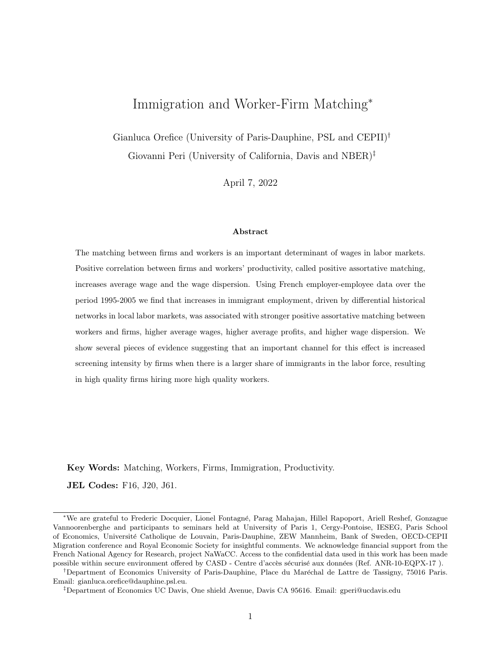# 3 Data and measures of worker and firm quality

Our empirical analysis consists of three steps developed in Sections 4, 5 and 6. First, we construct proxies capturing workers' and firms' intrinsic quality/productivity, that we assume constant over the period of analysis (1995-2005). We start by estimating them using the method pioneered by Abowd et al. (1999) and perfected by Card et al. (2013) to separate in a wage equation the individual and firm components. As these measures require strong assumptions and, particularly for firms, may not be strongly correlated with actual productivity (Eeckhout & Kircher 2011), we also use simpler measures of worker quality (lifetime wage) and firm quality (labor productivity), as suggested by Bartolucci, Devicienti & Monzón  $(2018)^8$  In the second step, following, respectively, Dauth et al.  $(2022)$  and Davidson et al. (2012), we calculate two measures of the strength of positive assortative matching (PAM) between firms and workers in each of the 101 French Districts, and for each year between 1995 and 2005.<sup>9</sup> Finally, using an IV regression at the district-year level we analyze whether the population share of immigrants affects the intensity of positive matching between workers and firms. The units of analysis are French districts (*départements*), the most granular geographic level of aggregation (smaller than region) for which immigration can be measured in a consistent way over our sample period.<sup>10</sup>

#### 3.1 Data

Our empirical analysis uses two main data sources: (i) matched employer-employee French data (Déclaration Annuelle des Donnée Sociales - DADS), and (ii) balance sheet data for the universe of French firms (FICUS/FARE).

DADS is an administrative database collected by the French Statistical Office (INSEE) containing information on the employment structure of the universe of French firms. All wage-paying legal employers located in France are mandated to report information to DADS on their workforce composition. For each worker we have information on annualized real earnings, total number of hours worked, gender, place of birth (France vs abroad), occupation (4-digit PCS-ESE classification), age, job spell, district of residence, and the industry of the employer.<sup>11</sup>

<sup>&</sup>lt;sup>8</sup>In a robustness check we follow de Melo (2018) and use the average type of co-workers as proxy for the firm type.

 $9Because$  of data availability in 1982 (used to build the IV) in our empirical exercise we use only 92 districts dropping the overseas districts.

<sup>&</sup>lt;sup>10</sup>Using smaller geographic areas, such as French *zone d'emploi*, would imply an imprecise allocation of immigrants over time (in particular for the construction of the IV) and therefore generate significant measurement error in the explanatory variable of interest.

<sup>&</sup>lt;sup>11</sup>DADS does not provide information on the specific country of origin of foreign-born workers nor on their education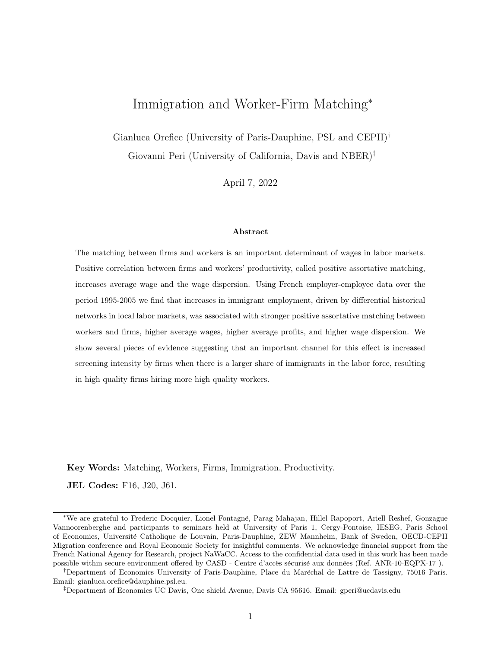Two versions of the DADS data are used in this paper. The first, DADS Postes, includes the entire workforce in France, in each year, in a comprehensive cross-section and can be used to compute total employment of native and immigrant workers in each French district and year. This dataset does not, however, provide information on the worker's ID, needed to link the workers over time in a longitudinal panel, and estimate the wage decomposition as in Abowd et al. 1999 and Card et al. 2013. The second, DADS Panel, represents a (one in twelve) sub-sample of individuals born in October of each year, for which the worker identifier  $(nni now)$  is provided, and enables us to follow individuals over time.

Using DADS Postes we can describe the trends and characteristics of immigrants in France, between 1995 and 2005. Table 1 shows some summary statistics relative to their share in the population, their age and skills. Two facts are most relevant for our analysis. First, in the period, 1995-2005, France experienced a significant net increase in the share of immigrant workers in the workforce from 6.2 to 9.7 percentage points. We can say that immigration contributed significantly to labor force growth in this period. Second, looking at the distribution of immigrants by working skills we observe an increase in immigrant concentration among white collars and a decline among blue collars. The table further shows how immigrants distribution changed within each group, between high and low skilled.<sup>12</sup> The group that grew the most, and included almost one third of all immigrants in 2005, was the one of high-skill white collars raising from 21 to 31% of the immigrant employment. While the distribution of immigrants had always been concentrated in the two "extreme" cells (high-skill white collar and low-skill blue collar) and less in the intermediate ones (high-skill blue collar and low-skill white collar), the concentration in the upper extreme grew substantially in the 1995-2005 period. We can therefore say that France, during the period of our analysis was experiencing, at least in aggregate, an increase in high skilled immigration.

#### – Table 1 about here –

The sample used to estimate worker and firm quality measures focuses on full-time jobs (more comparable in terms of wage) where workers hold only one job at each point in time in the private sector, in each year from 1995 to 2005. The dataset covers all private-sector firms, allowing estimation of workers' and firm effects for the whole private economy in France. As full-time jobs are comparable in terms of hours worked, our measure of wages mainly reflects differences in hourly pay across workers

levels.

<sup>&</sup>lt;sup>12</sup>The Eurofond conversion table (<https://www.eurofound.europa.eu/surveys/ewcs/2005/classification>) has been used to map PCS 2-digit workers occupation codes into white-blue collar and high-low skilled worker catagories.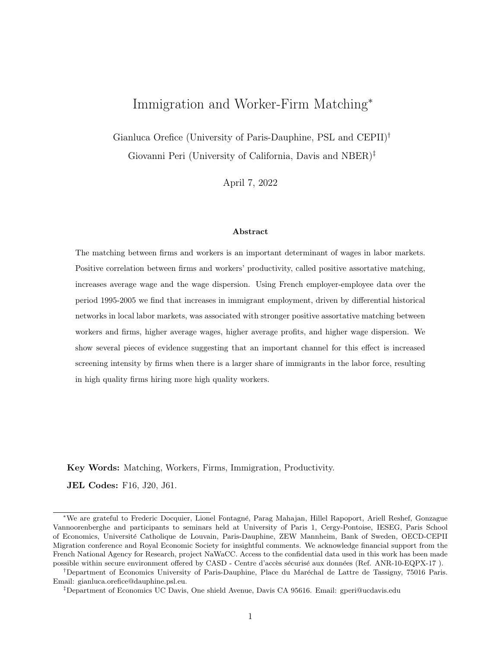(see Card et al. 2013). In Table 2 we show the number of full-time workers, for each year, who can be linked over time through their ID and do not have missing information on annual wages. On average, more than one hundred and ten thousand workers per year can be tracked over time. In the data 5.1% of workers move between employers (on average) every year, as revealed by a change in employer identifier (SIREN) between time  $t-1$  and t (see the fourth column of Table 2 for the number of workers that change firm by year, i.e. movers). The percent of movers is a crucial statistic in the AKM decomposition. Worker quality can be identified only if there are enough workers moving across firms and connecting them so that we can separately estimate workers' and firms' effects (see next section for detailed discussion). In DADS data (*panel* and *postes*) each firm is identified by a unique identification code (called SIREN), so DADS data can be easily merged with balance sheet data, which we use to construct characteristics of the firm, including measures of its productivity.

#### – Table 2 about here –

The firm identifier SIREN is assigned by the French statistical office (INSEE) for administrative purposes and may potentially combine multiple plants in France. Most firms only have one plant, and the great majority of multi-plant firms have plants in the same district, so that the location of the firm (headquarters) and of the plant(s) coincide in the overwhelming majority of cases. Only  $2\%$  of firms in our sample have plants (workers) in more than one district.<sup>13</sup> Notice that the firm identifier changes when a firm changes its ownership. This means that when a SIREN disappears from the dataset, it does not necessarily signify the "death" of the firm (similarly, the entry of a new SIREN does not necessarily signify the "birth" of a new firm). Considering new ownership as a new employer is, however, reasonable and commonly done (e.g. Card et al. 2013), as the new owner often introduces new managerial practices and/or technologies (Guadalupe, Kuzmina & Thomas 2012).

FICUS/FARE data report standard balance sheet information (value added, sales, total employment, capital, intermediate inputs, industry etc.) for French firms over the period 1995-2005. These data are used to compute the Value Added Per Worker – VAPW – (used as the main proxy for the quality of firms) and the Total Factor Productivity –TFP – of firms over time (used as an alternative proxy for the type of firms in appendix tables). For coherence with the DADS data, we drop firms that employ part-time workers only. We also exclude from the sample all firms with a missing SIREN code. Finally, our estimation sample includes on average almost 45,000 firms with a median size of

 $13$ In section 6.2 we show results excluding large firms who are likely to have plants in different districts.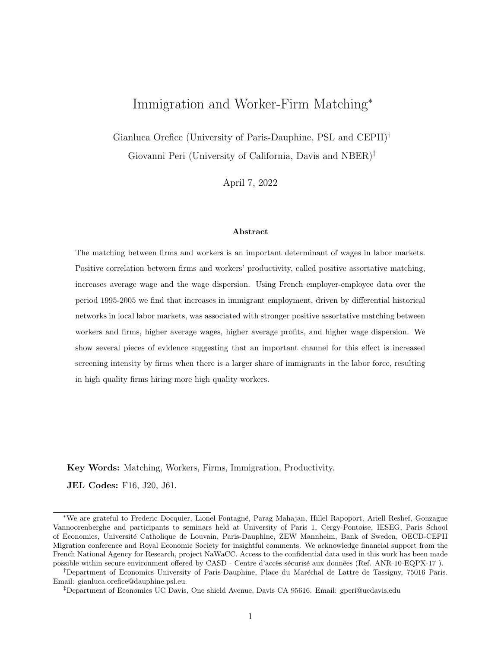approximately twenty employees (see Table 2). FICUS/FARE data are also used to compute district specific control variables, such as the average capital-labor ratio and the intermediate input intensity of firms in the district - see section 6.2. The district's export intensity, used as an additional control variable in section 6.2, has been computed by aggregating firms' exports from French Customs at the district level.

### 3.2 Quality of workers and firms

In order to measure firm-specific and worker-specific quality, we use two approaches. First we use simple, robust measures, but likely to include some error and based on strong assumptions. For workers, we consider the average residual lifetime wage; for firms, the value added per worker. The worker's average residual lifetime wage, conditional on observable characteristics, is generated by regressing individual (log) wage on age, sector, and year dummies, taking the residuals, and averaging across the years over which the individual is observed. It captures the average lifetime wage, controlling for age profile and observables, and is therefore a proxy of the average intrinsic productivity/quality of a worker over her lifetime. By controlling for sector and year fixed effects we purge aggregate trends and industry heterogeneity in wage setting. The advantage of this measure is that it is intuitive, easy to calculate, and robust. The disadvantage is that it does not "clean" for location and firm-specific effects. The same is true for the average value-added-per-worker measure for firm quality, which may include some worker-specific factors.

A more sophisticated alternative is to use the wage decomposition proposed by Abowd et al. (1999) - AKM hereafter - as well as Card et al. (2013) and Dauth et al. (2022), among others, to separate worker and firm-quality. This is done by estimating a Mincerian wage regression over the whole 1995- 2005 period. We regress the (log) individual yearly wage of full-time workers on worker fixed effects  $(\alpha_i)$ , firm fixed effects  $(\Phi_{\mathbf{J}(i,t)})$ ,<sup>14</sup> and a set of observable time-varying individual characteristics  $(X_{i,t})$ including a quartic polynomial in age,<sup>15</sup> an *Ile de France* dummy,<sup>16</sup> and a gender dummy interacted respectively with quartic polynomial in age, *Ile de France*, and year dummies. The estimated equation is as follows:

<sup>&</sup>lt;sup>14</sup>The function  $J(i, t)$  gives the identity of the unique firm j employing worker i at time t.

<sup>&</sup>lt;sup>15</sup>As discussed in Card, Cardoso, Heining & Kline (2018) we prefer controlling for the age rather than the experience of the workers because experience may be an endogenous outcome in the labor market.

<sup>&</sup>lt;sup>16</sup>Following Abowd et al. (1999) we include an *Ile de France* dummy to control for the specificity of the Parisian labor market, identified on changes in the district of residence of the workers over time.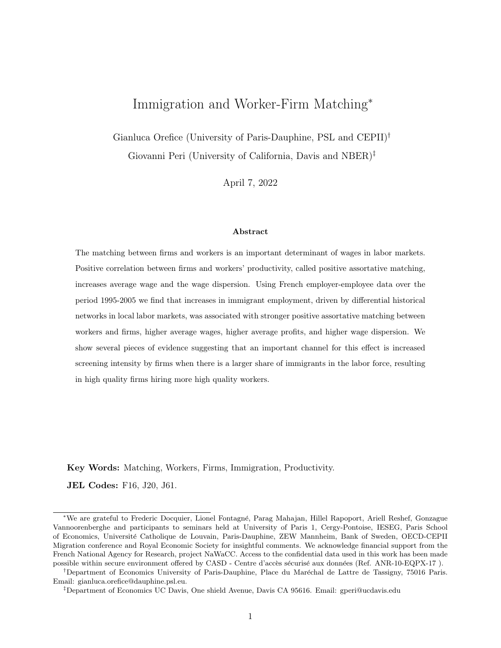$$
ln(wage)_{i,t} = \alpha_i + \Phi_{\mathbf{J}(i,t)} + X_{i,t} + r_{i,t}
$$
\n<sup>(1)</sup>

In this specification, the worker fixed effect  $(\alpha_i)$  can be interpreted as the time invariant component of worker's productivity, which is a proxy for the quality of a worker. The assumption is that such quality does not vary over the period considered, as it is intrinsic to worker's characteristics and that it is uncorrelated with the firm specific component  $(\Phi_{J(i,t)})$ . Similarly,  $(\Phi_{J(i,t)})$  is also time-invariant, and can be interpreted as a firm-specific component of the wage. More specifically, the firm fixed effect  $(\Phi_{\mathbf{J}(i,t)})$  obtained using the AKM method is a proportional wage premium paid by a specific firm j to all employees (this is the firm's component of surplus-sharing in a standard log-additive wage setting model). In a robustness check we slightly depart from the original AKM decomposition, and include the broad occupation category of workers among the set of controls  $X_{i,t}$  to capture the observable, formal skills of workers. As occupational choices are endogenous to productivity this specification may be over-controlling and hence is not our main specification.<sup>17</sup>

The identification of worker-specific effects and firm-specific effects using the AKM method relies on workers moving across firms over the period considered, and on the assumption that any other wage component which is specific to the firm-worker match is not too relevant and/or not systematically correlated with either the firm or the worker quality. In our sample, as reported in Table 2, 5.1% of workers move across different firms annually, so that over the 10 year period more than half of workers have experienced at least two employers.<sup>18</sup> This significant degree of mobility reduces but does not eliminate the concern of limited mobility bias in our sample. This represents an important issue in our context because small districts may have limited workers mobility and therefore biased AKM estimates.<sup>19</sup> We address this concern in two ways. First, we follow a very coarse (but intuitive) approach, and drop from the AKM estimation less populated districts (below the  $25<sup>th</sup>$  percentile in the number of workers in the 1995-2005 period). Second, we estimate group effects rather than firm fixed effects in AKM estimation. Namely, we cluster firms into fifteen groups with similar wage structure using the k-means cluster analysis.<sup>20</sup> Given the larger mobility between cluster of firms, the limited mobility bias concern is reduced (see Dauth et al. 2022, and Bonhomme et al. 2019). Appendix C

<sup>&</sup>lt;sup>17</sup>Namely we control for the high-skill occupational dummy (i.e. whether the worker is employed in skilled white- or blue-collar job). This variable is identified on workers that change occupation category over time.

<sup>&</sup>lt;sup>18</sup>Assuming that one worker moves only once over the sample period.

<sup>&</sup>lt;sup>19</sup>This is an additional reason for considering lifetime wage based measures as our baseline proxy for workers type.

 $^{20}\rm{We}$  use quartiles and deciles of firm's wage distribution to conduct the k-means cluster analysis.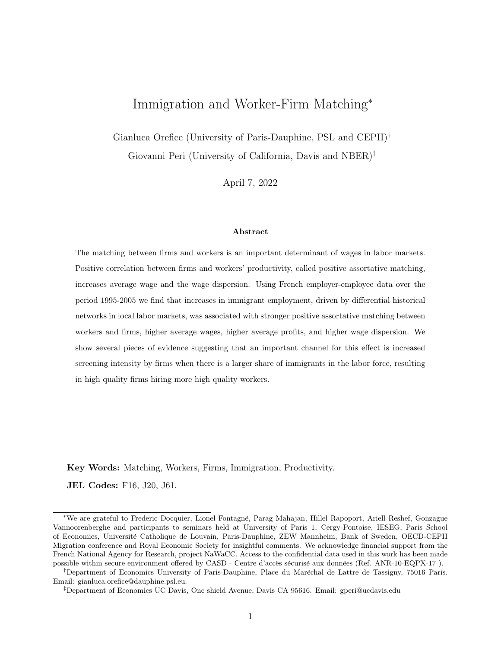shows the results obtained when taking these alternative approaches.  $2<sup>1</sup>$ 

In Appendix C we discuss and check the orthogonality conditions underlying the AKM decomposition and the estimation results. In particular, we show the symmetry in log wage losses/gains between individuals moving from firms above to firms below the median of productivity, and vice-versa (as in Card et al. 2013). This is consistent with log additivity of quality of workers' and quality of firms and random match-specific residual, in generating the log wage of an employee. In Appendix C we also show that a fully saturated model with job-specific fixed effects yields only a slight improvement in the fit of the data relative to the model we estimate (including only firm and individual effects), as suggested by the very small increase in the R-squared from 0.952 to 0.954 when saturating with employer-employee fixed effects. This suggests that match-specific effects are not very relevant in explaining log-wage variation across employer-employee matches, once the individual and firm components are accounted for. Finally, in Table C2 we show descriptive statistics of the parameters obtained from the estimation of equation (1). Notice that the AKM parameters obtained using French data are qualitatively similar to those obtained by Dauth et al. (2022) and Card et al. (2013) on German data. Namely, we obtain similar mean (and median) worker effects as in Dauth et al. (2022). Also, we obtain a correlation between worker and firm fixed effects which is small and in line with Dauth et al. (2022) when they use the 1985-1991 period. In line with both Dauth et al. (2022) and Card et al. (2013) we obtain that the standard deviation of worker effects is larger than that of firm effects.

Firm fixed effects from the AKM decomposition, while often-used, represent the employer-specific component in wage setting (see Abowd et al. 1999; and Card et al.  $2013$ ),<sup>22</sup> and they are likely a imprecise measure of productivity/quality of firms, as it is not always true that firms with higher productivity level pay higher wages. A recent strand of the literature suggests that when wages are non-monotonic in firm type, then firm fixed effects in AKM decomposition are only weakly correlated with firm productivity (Gautier & Teulings 2006, Eeckhout & Kircher 2011, de Melo 2018). Hence, in the same vein as Bartolucci et al. (2018), we adopt as baseline measure of firm quality (productivity), its Value Added per Worker, VAPW. In robustness checks in Table A4 we provide baseline results

 $^{21}$ A third way of addressing the limited mobility bias would be applying the leave-out estimation proposed by Kline, Saggio & Sølvsten (2020). Two reasons prevent us to adopt this methodology. First, the procedure is very demanding in terms of RAM memory and cannot be implemented in our 8Gb RAM server (where confidential DADS data are stored). Second, the procedure has to be applied district-by-district. Hence, fixed effects are identified only within-district mobility, and therefore hardly comparable across districts.

 $^{22}$ Many papers analyzing the role of the workplace component in rising wage inequality have used firm fixed effects from AKM decomposition as a measure of the surplus obtained by all employees in a given firm (i.e. employer-share of the surplus in a wage setting environment). See Abowd et al. (1999); and Card et al. (2013).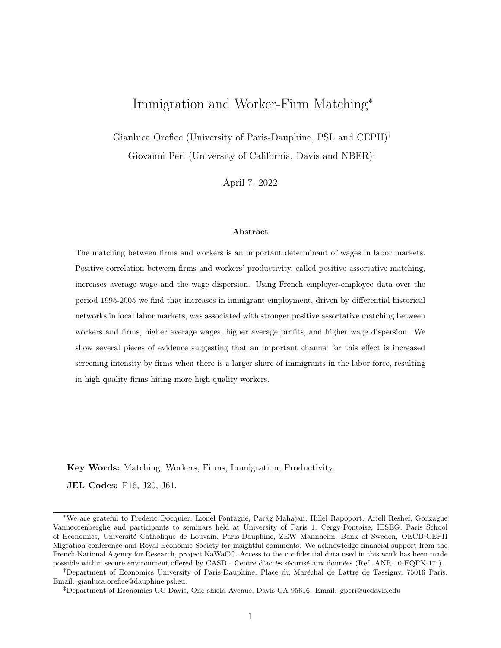using firm fixed effects from the AKM decomposition as a proxy for the type of the firm. As a further robustness check, in appendix Table A4 we follow de Melo (2018) and use the average co-worker type as a proxy for firm type. In the de Melo (2018) approach, the strength of positive assortative matching is approximated by the correlation between worker type and the average type of his/her coworkers. Finally, in Table A4 we also report a robustness check using TFP (rather than value added per worker) as a proxy for the type of firm.<sup>23</sup>

### 4 Measuring within-district assortative matching

A first measure of the intensity of assortative matching in a district (following Davidson et al. 2012) is represented by the difference between the share of positive assortative matches and the share of mismatches in each district. The share of positive assortative matches is the sum of the share of high-quality workers employed in highly-productive firms  $(\pi_{HH})$  and the share of low-quality workers employed in low-productivity firms  $(\pi_{LL})$ , where high (low) quality workers/firms are those above (below) the median of worker/firm distribution (in each district). By contrast, the share of mismatch involves the share of high-quality workers in low-productivity firms  $(\pi_{HL})$  and the share of low-quality workers in highly-productive firms  $(\pi_{LH})$ . Hence, this indicator for district d at time t is equal to  $(\pi_{HH} + \pi_{LL}) - (\pi_{HL} + \pi_{LH})$ . The second measure of intensity of assortative matching, following Dauth et al. (2022), is the rank correlation between workers and firms types. Based on their type, we rank workers and firms within each district and compute the rank correlation between firm- and workertypes for each local labor market and year.<sup>24</sup> In the next sections we show descriptive evidence on the intensity of assortative matching, on average productivity and on the immigrant share across French districts.

### 4.1 Stylized facts on within-district matching

Before moving to the formal econometric analysis, we characterize some important empirical facts on the existence of positive assortative matching and its correlation with presence of immigrant workers and with average productivity in the district.

 $23$ The TFP of firms has been calculated using the Wooldridge (2009) approach.

 $^{24}$ In the baseline specification we set to 0 correlation which are not significant at the 10% level. In several checks we include all correlation values as they are (abstracting from statistical significance). We also use Pearson correlation values as a robustness check.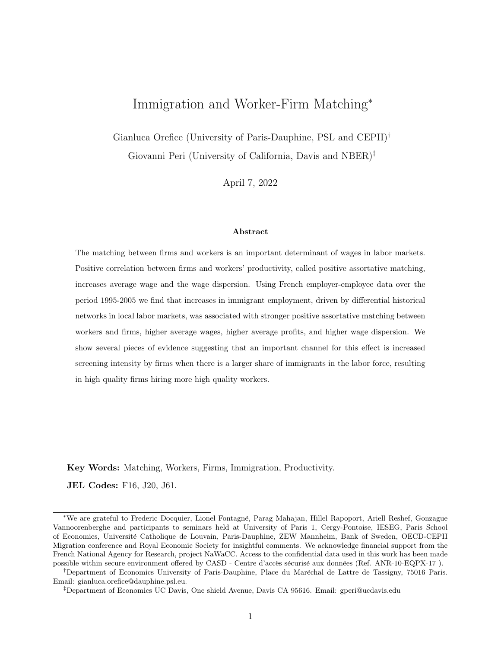#### 4.1.1 Worker-Firm matching in the aggregate economy

Figure 1 plots the empirical distribution of workers types (measured as lifetime residual wage) separately for individuals employed by high- and low- productivity firms as measured by Value Added per Worker. Highly productive firms—defined as those having Value Added per Worker above the  $75^{th}$ percentile of the distribution– indicated with a solid line in Figure 1 employ (on average) higher quality workers relative to low-productivity firms—defined as those with value added per worker below the 25th percentile– represented by dashed line. This figure indicates higher average quality of workers in higher average quality of firms but also shows a large share of worker-firm "mismatches" as the distribution of workers in high quality firms extends to low quality levels.25

### – Figure 1 about here –

In Table 3 we report the share of positive assortative matches ( $\pi_{HH}$ ,  $\pi_{LL}$ ) and mismatches ( $\pi_{LH}$ ,  $\pi_{HL}$ , in 1995 and 2005 in aggregate. We use Value Added per Worker as proxy for the firm type, and lifetime conditional wage as a proxy for worker type. The table clearly shows that the share of positive assortative matching (around 60%) is larger than the share of mismatched firms (about 40%). Nevertheless, the presence of a significant share of mismatch is consistent with the idea that there could be information asymmetries, searching costs and other frictions limiting the ability of high quality firms to match with their preferred (high quality) workers. The numbers shown in Table 3 are similar to those obtained by Davidson et al. (2012) on Swedish data. About 60% of the firm-worker matches are assortative, and about 40% are mismatched.

– Table 3 about here –

#### 4.1.2 Worker-quality distribution and immigrant-intensity

One reason described in section 2 for immigration to increase positive assortative matching is the larger quality dispersion of immigrant workers. In this section we show evidence that the empirical distribution of migrant workers' quality is indeed more dispersed than that of natives.

First, in Table 4 we show that the average quality of native workers—as captured by average lifetime wage—is only slightly larger than that of immigrants. At the same time, the standard deviation and

 $^{25}$ Defining firm productivity according to the firm-effect in AKM, shows much smaller average difference in the quality of workers for high and low quality firms.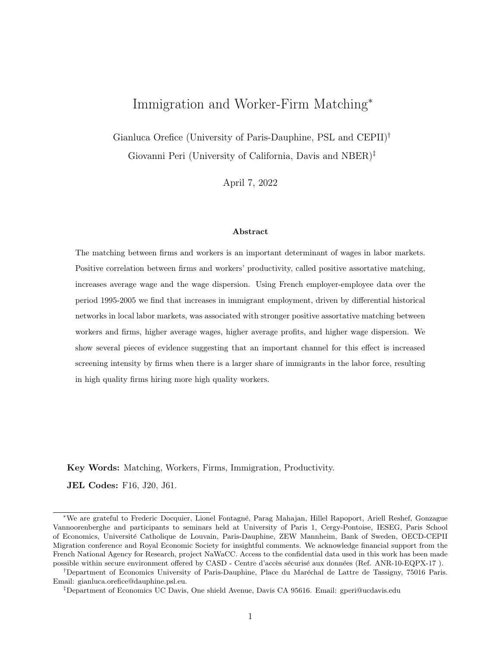the interquartile range of worker quality are about 10 percent larger for immigrant than for native workers, whether we use residual lifetime wage or AKM worker fixed effects as a proxy for worker quality. Also, the top-1 percentile in the workers' ability distribution (especially when measured as lifetime conditional wage) is higher for immigrant than for native workers (while the bottom 1% is lower for immigrants than for natives), suggesting that the incentive of high quality firms to match with top workers is likely higher when immigrants are in the labor force. A Kolmogorov-Smirnov formal test of equal distribution of quality between natives and immigrants reject such hypothesis at the standard confidence level.

#### – Table 4 about here –

Additionally, we show that across districts and over time the immigrant share is associated with higher dispersion in worker quality. In Table 5 we regress, separately, the  $5^{th}$ ,  $10^{th}$ ,  $25^{th}$ ,  $75^{th}$ ,  $90^{th}$  and  $95<sup>th</sup>$  percentile of the workers' quality distribution in the district-year, on the corresponding share of immigrants. Controlling for region-by-year fixed effects and district-specific control variables (including the average worker type in the district), Table 5 shows negative coefficients for percentiles of the wage distribution below the median, and positive coefficients for percentiles above the median. This is consistent with the presence of immigrants in a district being associated with a more dispersed distribution of worker quality: negative correlation with low-percentile types and positive correlation for high-percentile types. In Table A1 of the Appendix, we estimate the same regression using different measures of workers' quality dispersion, such as the standard deviation, the interquartile range, and the max-min difference in worker types, for each district. Conditional on region-by-year fixed effects and district-specific controls, districts with high shares of immigrants show a larger dispersion of worker quality as suggested by the positive coefficient for the standard deviation, and the interquartile and min-max ranges.<sup>26</sup>

#### – Table 5 about here –

 $^{26}$ Regressions reported in Table 5 and Appendix Table A1 include district-specific controls (population, share of skilled workers, and concentration index of firms in the district) to be consistent with the econometric estimations reported in section 5.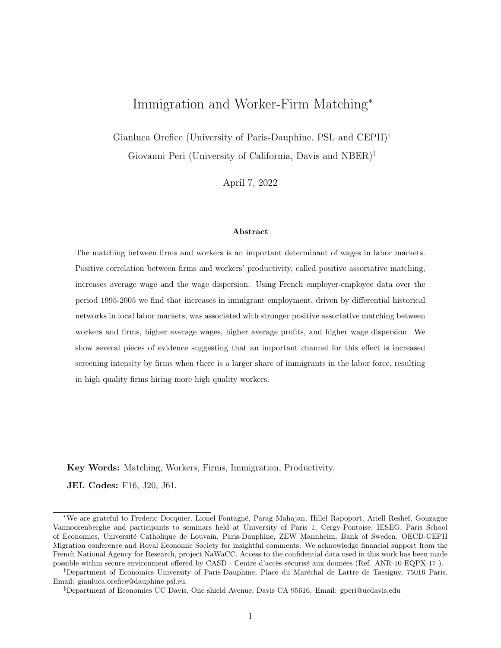#### 4.1.3 Positive matching and districts' productivity

If stronger assortative matching leads to an improvement in the allocation of labor within French districts, then it should be associated with a higher level of average labor productivity. This is shown in Table 6 where we report the correlation between the strength of assortative matching and the average value added per worker in the district. Controlling for district and region-by-year fixed effects, we find that the degree of assortative matching (as revealed by the rank correlation between firm and worker type) is significantly and positively correlated with the average labor productivity of the district. Similar results are obtained if we measure the strength of matching as the share of positive assortative matching minus the share of mismatch. Table 6 also shows that the association is similar whether we use AKM fixed effects or average residual lifetime wage as the measure of worker quality.<sup>27</sup>

– Table 6 about here –

#### 4.1.4 Immigration and matching: a first glance at data

Figure 2 shows the raw correlation between immigration and matching across French districts. On the vertical axis we plot the change between 1995 and 2005 in the degree of assortative matching in each district as revealed by worker-firm quality rank correlation (panel a) and strength of positive assortative matching (panel b). We use the lifetime wage as proxy for worker type and the value added per worker as a proxy for firm quality. On the horizontal axis we plot the change in the population share of immigrants over the period 1995-2005. By taking long-run differences, district specific (time invariant) factors are controlled for. All the scatter plots reported in Figure 2 show a positive (albeit weak) correlation between increase in immigrants and change in the strength of positive assortative matching. These correlations are consistent with more immigration being associated with stronger PAM.

 $27$ To check that our data match the findings obtained in previous literature we also show, in Appendix Figure A1, that the correlation between population density and positive assortative matching across districts is positive and significant. Dauth et al. (2022), show such correlation in German regions, and they suggest that denser districts have stronger positive worker-firm type correlations as a consequence of stronger assortative matching in denser and thicker labor markets.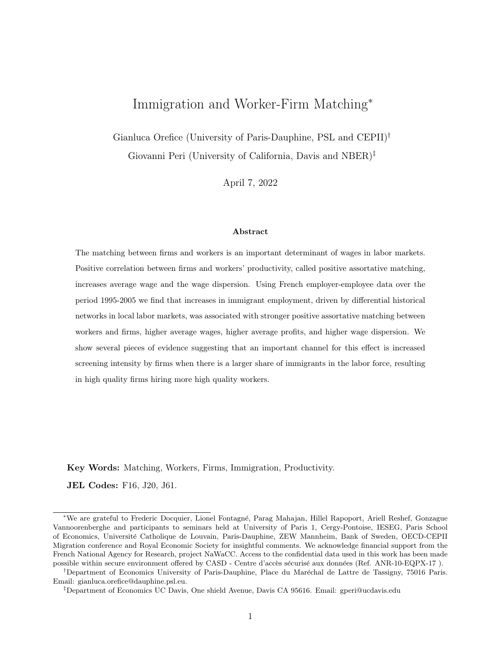## 5 Immigration and firm-worker matching at the district level

In this section we discuss more formally the empirical approach and the identification strategy based on an Instrumental Variable approach.

### 5.1 Empirical model

Our basic empirical specification is as follows:

$$
y_{d,t} = \beta_1 \text{Immi } Sh_{d,t} + \beta_2 X_{d,t} + \theta_d + \theta_{rt} + \epsilon_{d,t} \tag{2}
$$

where the subscript d and t stand respectively for district and year;  $\theta_d$  and  $\theta_{rt}$  are district and regionby-year fixed effects (there are 23 regions in France and each of them includes on average 4 districts).28 District fixed effects control for unobservable time invariant factors, such as geography, municipal institutions, market potential that may affect the firm-worker match. Region-by-year fixed effects are then included to control for any region-specific time changes driven by local economic and demographic changes and changes of labor laws, business regulations and other policies, usually issued by regional governments. The set of control variables  $X_{d,t}$  is parsimonious. It includes those factors that the literature has indicated as potentially affecting the matching of firms and workers. First, we include the concentration index of firms in the district, i.e. the Herfindahl-Hirschmann index of firms' market share,<sup>29</sup> as it is correlated with the presence of large high quality firms which could attract very high quality workers. Second, we include the (log) population of native workers in the district, which determines density and strength of agglomeration economies. Using German data, Dauth et al. (2022) show that in big cities and/or in more dense local labor markets the strength of assortative matching may be stronger. Last, we include the share of skilled workers in the district, as skill biased technical change can increase the degree of positive assortative matching (see Acemoglu 1999 and Albrecht and Vroman 2002), and the intensity of such change is associated with the presence of skilled workers. Controlling for simultaneous regressors could be inappropriate as those variables are potentially endogenous to the inflow of immigrants. Hence, we check the robustness of the coefficient of  $Immi Sh<sub>d,t</sub>$  to the exclusion

 $^{28}$ We follow the official classification of French regions during the period 1995-2005.

<sup>&</sup>lt;sup>29</sup>The Herfindahl-Hirschmann for firm concentration has been calculated as  $HH_{d,t} = \sum_{i=1}^{I} s_{it}^2$ , where  $s_{it}$  is the market share of firm  $i$  in its district  $d$  at time  $t$ .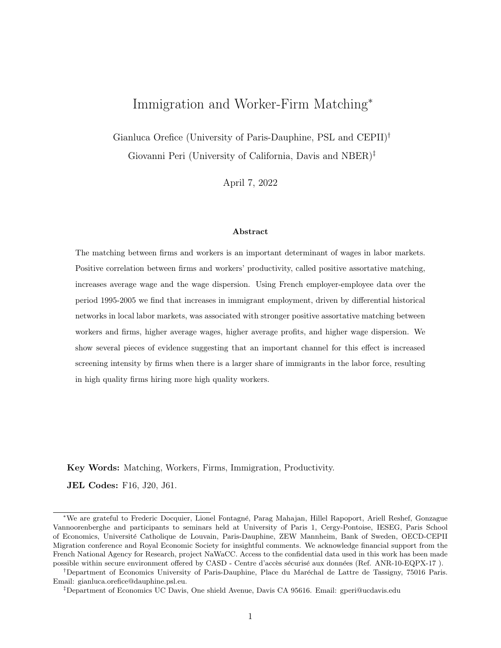of these control variables  $X_{d,t}$ . Table A5 shows that our results are not affected by the exclusion of controls  $X_{d,t}$ .

The main explanatory variable is the share of immigrants in the adult population in each districtyear. In order to test the main implications described in section 2, the dependent variable  $y_{d,t}$  is alternatively: (i) the rank correlation between firm and worker type; and (ii) the strength of positive assortative matching defined as in section 4. Additional outcomes considered are firms' average profit, average wages and measures of wage dispersion in the district  $d$  and year  $t$ . Firm profits are calculated as total revenues minus total costs (wage bill, purchase of intermediate inputs and raw materials) for the firm.<sup>30</sup> Since we do not have complete information on costs, significantly energy costs are not included, the measure of firms' profit may suffer of measurement error that systematically overstate the profits. We should keep this in mind when we discuss those results. The average wage is calculated as the district-level average of workers' yearly wage. District wage dispersion is approximated by the difference between the average wage of high- and low-quality workers.

#### 5.2 Identification and IV strategy

As the change in immigrant share across districts over time is likely correlated with several omitted economic variables, Ordinary Least Square estimates will not identify the causal effect of immigration on assortative matching. The inclusion of a rich set of (district and region-by-year) fixed effects absorbs some of these unobservables and should reduce omitted variable bias. Nevertheless, unobserved district-year specific economic conditions may be correlated with the inflow of immigrants and with the matching process. For instance, favourable economic conditions may attract immigrants, and could be also associated to higher/lower correlation of worker-firm quality as high quality firms may become more/less "picky" in times of economic expansion. To address this issue we rely on an Instrumental Variable (IV) shift-share approach (as in Card 2001 and used in many subsequent studies). Aware of the criticism of this strategy (see Jaeger, Ruist and Sthuler  $2018$ )<sup>31</sup> we follow the strategy of performing a set of checks on our IV as proposed by Goldsmith-Pinkham, Sorkin and Swift (2020). These are found

<sup>&</sup>lt;sup>30</sup>We aggregate firms' profit at the level of district by a weighted average with weights equal to the size of the each firm (i.e. the share of firm's sales over total sales in the district).

<sup>&</sup>lt;sup>31</sup>Specifically, Jaeger et al. (2018) argue that due to high correlation of immigrants settlements over time and to the slow adjustments of labor markets, the shift-share instrumented variable captures a combination of the short the long run (feedback) effect of migration. To avoid this problem, Jaeger et al. (2018) propose including in the regression the lagged instrumented migration shock to control for the feedback effect. While this argument is specific to the wage effect of immigrants, to control for the slow adjustment of our dependent variable, in Table A6 we include district specific trends and results remain qualitatively the same.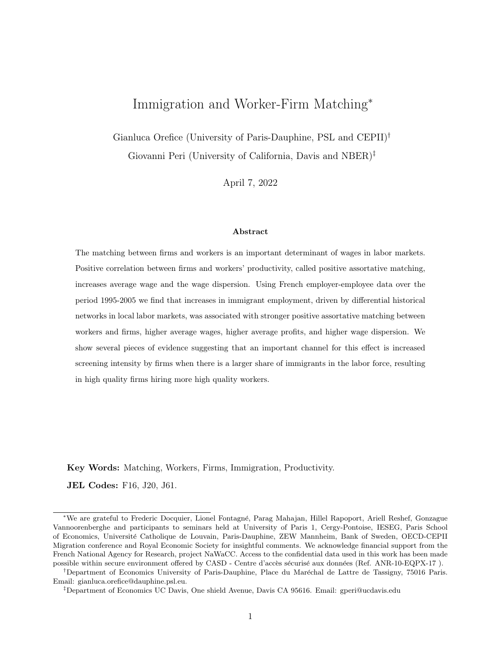in section 5.2.1 and in the Appendix D.

The shift-share IV is constructed by allocating the aggregate inflows of immigrants to France from a given origin o, predicted as we describe below,  $\widehat{Immi}_{FRA.o.t}$ , proportionally to the spatial distribution of immigrants from that origin across French districts in 1982 (calculated from Labor Force Survey data, LFS):

$$
\widehat{IMM}I_{d,t} = \sum_{o} \frac{IMMI_{d,o,1982}}{IMMI_{FRA,o,1982}} * \widehat{Immi}_{FRA,o,t}.
$$
\n
$$
(3)
$$

While a substantial part of the identification derives from the variation in the "share" component of the IV (Goldsmith-Pinkham et al. 2020), to reduce the probability that the "shift" component of our instrument is correlated with district-specific residuals, in the main specification we use the predicted number of immigrants to France from country  $o$  in year  $t$  based on the origin-specific flows of immigrants to other EU-15 countries (excluding France).<sup>32</sup> We approximate the push-driven component of migration from each origin country  $\sigma$  by regressing the total (log) flows of migrants in France from each origin  $o$  at time  $t$  -  $Immi_{FRA,o,t}$  - on the (log) flow of migrants from  $o$  to all other EU-15 countries  $(Immi_{EU15,o,t})$ , controlling for origin and year fixed effects:<sup>33</sup>

$$
Immi_{FRA,o,t} = \beta_1 \text{Immi}_{EU15,o,t} + \theta_o + \theta_t + \epsilon_{o,t}
$$
\n
$$
\tag{4}
$$

The predicted values from regression (4),  $\widehat{Immir}_{FRA,o,t}$ , net of the origin and year fixed effects,<sup>34</sup> represent the origin-year predicted inflows of immigrants in France, based on the variation of immigrant flows to other (similar) countries.  $\widehat{Immi}_{FRA,o,t}$  is then used in equation (3). In two robustness checks reported in Table 10, as a shift-component of the IV in eq. (3) we use the observed immigrant flows towards EU-15 countries (excluded France),  $Immi_{EU,o,t}$ ; and the actual aggregate immigration flows to France from each origin,  $Immi_{FRA, o, t}$  (as in the traditional shift-share approach).

The spatial distribution of immigrant shares in 1982 pre-dates the creation of a common EU labor

 $32$ This approach is broadly inspired by the trade shift-share used in Autor, Dorn & Hanson (2013). A similar approach in the immigration literature has been used also by Bianchi, Buonanno & Pinotti (2012), whose shift-share is bases on supply-push factors calculated on bilateral migration flows toward destination countries other than Italy.

<sup>&</sup>lt;sup>3</sup>Data on bilateral migration flows used in estimating equation (4) are from OECD IMD dataset. For coherence with LFS data the OECD IMD data have been aggregated by the same set of origins (or group of origins) used in the LFS data.

<sup>&</sup>lt;sup>34</sup>The predicted inflows of immigrants are  $\widehat{Imm}_{FRA,o,t} = \widehat{\beta_1} Imm_{EU,o,t}$ . From the fit of equation 4 we subtract the year fixed effects component because it may capture French specific shocks, common across districts. We also remove the origin fixed effects component to avoid time-invariant, origin-specific patterns of migration affecting the IV.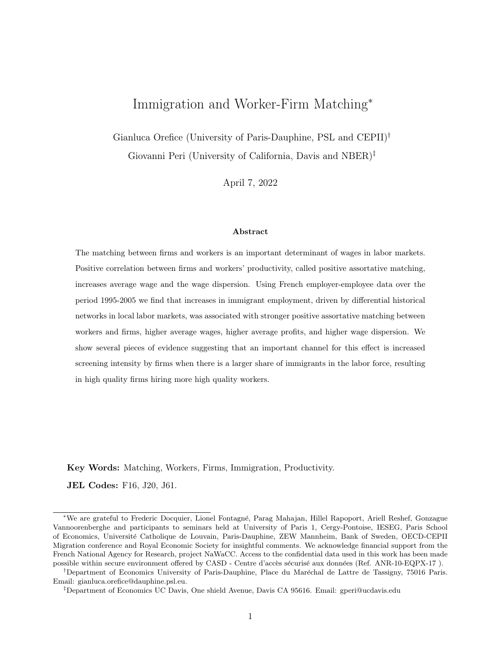market (1992) and hence pre-dates by more than a decade the large flow of EU immigrants in France. Moreover, the 1982 economic conditions are relative to more than a decade prior to the beginning of the considered period. This reduces the correlation between the initial distribution of immigrants and recent economic trends in the district (we test the orthogonality of the spatial distribution of immigrants in 1982 in the next section).

Finally, we calculate the imputed share of immigrants in each (district) as follows:

$$
\widehat{s_{d,t}^{IMMI}} = \frac{I\widehat{MMI}_{d,t}}{I\widehat{MMI}_{d,t} + Natives_{d,1982}}
$$
\n
$$
\tag{5}
$$

In expression (5) the native population is fixed at year 1982 so as to avoid spurious effects due to the potentially endogenous changes in the native population in the district over the 1995-2005 period.

#### 5.2.1 Tests of validity of IV

First, we test whether the short and long-run pre-1995 trends in labor market outcomes across districts are correlated with our IV. Table 7 presents the coefficients obtained by regressing the short-run changes in employment and average wage over the period 1994-1995 (see columns 1-2), as well as their long-run changes over two consecutive LFS censuses (1982-1990), on the IV (predicted inflow of immigrants for the period 1995-2005). If pre-existing (short- or long-run) trends in employment and wages are predicted by the variation of our IV, this would suggest the existence of persistent economic conditions affecting the IV variation. None of these correlations is statistically significant, suggesting that districts that received large inflows of immigrants in 1995-2005, as predicted by the shift-share IV, did not perform differently in the pre-1995 period relative to those with fewer predicted immigrants. In Table A2 we also show the absence of correlation between the initial strength of assortative matching and the 1995-2005 change in the IV.

Second, we follow Goldsmith-Pinkham et al. (2020) in testing a crucial assumption for the validity of the shift-share instrument, namely the exogeneity of the initial origin-specific migration shares with large Rotemberg weights, i.e. those shares whose variation drives most the identification in the 2SLS average estimator. The top-5 origin-specific shares are: Ex-Yugoslavia, Portugal, Algeria, Other African Countries and Other Countries (including South America and Asian countries).<sup>35</sup> For this sub-sample of origins we test the correlation between the initial shares of immigrants and: (i) the

<sup>&</sup>lt;sup>35</sup>The aggregation of origins adopted here is that of the original LFS data used to build the IV.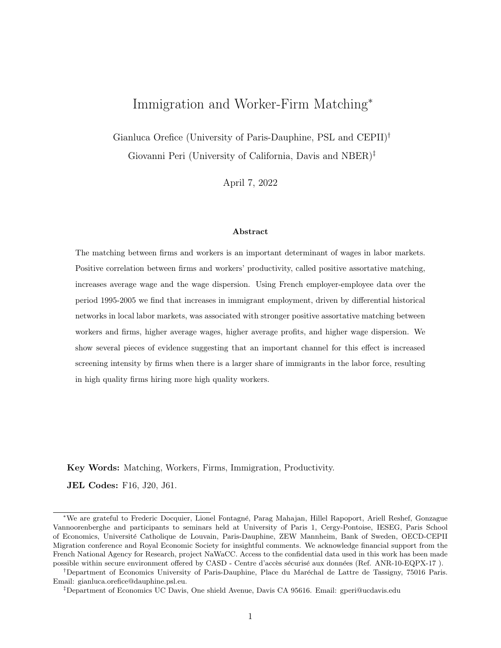economic performance of districts in 1982 (see Table D2); and (ii) the level of strength of PAM in 1995 (see Table D3). These tests show no significant correlation and hence they support the assumption of exogeneity of the initial share of immigrants relative to pre-existing economic condition and initial PAM intensity.<sup>36</sup> Appendix D shows results and a detailed discussion of such validity tests.

As a third validity test, we consider the possibility that violations of the exclusion restriction can still exist and we quantify how large they can be and how they may affect our estimates. Specifically, we apply the Plausible Exogeneity test proposed by Conley et al. (2012). The test allows for possible deviations from exact validity of the exclusion restriction (i.e. non-zero correlation between the instrument and the error term in eq. 2) and checks how robust the estimate of the coefficient of interest  $(Immi Sh<sub>dt</sub>)$  is to a range of possible deviations. We therefore relax the exclusion restriction of our IV and assume a non-zero correlation between the instrument and the error term in equation (2), i.e.  $\gamma \neq 0.37$  An approximation of how far such a correlation is from the exclusion-restriction validity (i.e.  $\gamma = 0$ ) can be obtained as discussed in van Kippersluis & Rietveld (2018). We start by identifying the sub-groups of districts for which our IV  $\widehat{(\mathcal{S}_{d,t}^{IMII})}$  does not predict the endogenous variable (Immi  $Sh_{d,t}$ ).<sup>38</sup> This sub-group of districts represents the ideal set to test the exclusion restriction: if the correlation between the IV and the endogenous variable is zero, then the reduced form effect of the IV on the main outcome variables (i.e. PAM measures) should be zero too. We therefore regress our four PAM measures on the imputed share of immigrants  $\widehat{s_{d,t}^{[MM]}}$  for this sub-group of districts. By doing so we have a first qualitative check of the validity of the exclusion restriction. The estimated coefficients on  $\widehat{s_{d,t}^{MMI}}$  are reported in Table A9. Reassuringly, for three out of four PAM measures, the coefficients on  $\widehat{s_{d,t}^{IMM}}$  are rather small and not statistically different from zero, suggesting the validity of the exclusion restriction.

These coefficients associated to  $\widehat{s_{d,t}^{MMI}}$  are also plausible values for  $\gamma$  to be used in the Plausible Exogeneity test proposed by Conley et al. (2012). Hence, we follow Conley et al. (2012) and estimate the union-of-confidence intervals by assuming  $\gamma$  obtained as discussed above (we used the point estimate of  $\gamma$  when not statistically significant). In Table A9 we report the 90% confidential intervals produced

<sup>36</sup>Only the share of Portuguese immigrants in 1982 is correlated with the average district wage. However, Portugal accounts for barely 4.8% of the overall 2SLS estimates.

 $37$ See Conley et al.  $(2012)$  section 4.

<sup>&</sup>lt;sup>38</sup>Given the inclusion of district fixed effects in regressions, such a zero-first-stage regressions have been implemented region by region (with a region containing on average four districts). Therefore, the sub-group of districts for which the IV does not predict the endogenous share of immigrants is composed by the districts whose region regression produces non-significant coefficient on the IV.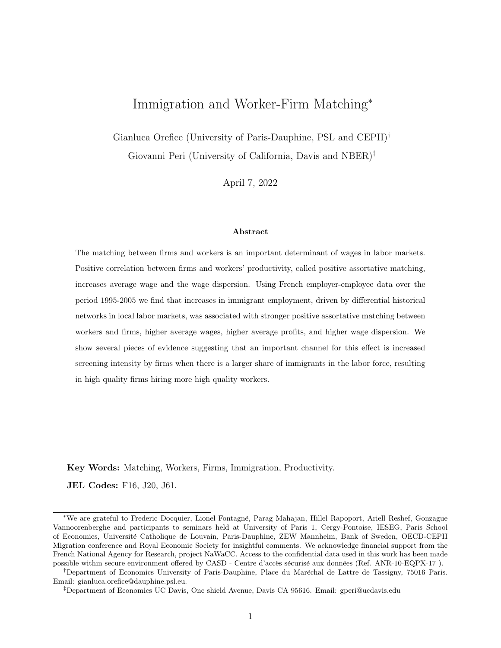using the Conley et al. (2012) test for the plausible range of  $\gamma$ . Only one of the 90% confidence intervals for  $\beta_1$  resulting from plausible exogeneity regressions contains zero (marginally). This implies that the positive and significant effect of immigrants on the four measures of assortative matching, as revealed by our main IV estimations, is strongly robust to plausible deviations from the exclusion restriction.

Overall, the validity tests suggest that the shift-share IV, and its most relevant share components, are not correlated with pre-1995 trends nor with 1995 levels in labor market and economic conditions, and that deviations from the exact identification conditions are likely small and would not change the sign and significance of the key estimated coefficients.

### 6 Main empirical results

### 6.1 PAM and firm profits

We start by showing in Table 8 the OLS estimations of equation (2) using value added per worker as a proxy for firm quality.39 In column 1 and 3 we find a positive and significant correlation between immigration and the measure of strength of PAM when residual lifetime wage is used as a proxy for worker type (columns 1 and 3 in Table 8). Specifications using AKM individual effects as a proxy for worker types do not show significant results.

#### – Table 8 about here –

Ordinary Least Squares estimates, however, may be significantly biased. Unobserved local economic conditions may produce positive or negative bias, depending on whether economic expansion/recessions generate a stronger or weaker assortative matching between firm and worker. In particular, temporary unobserved positive economic shocks may attract immigrants and reduce/increase the extent of PAM because high-quality firms find it less/more urgent selecting their ideal worker type. As we do not know much about this correlation, it is hard to give a sign to the bias. More credible are estimates in Table 9 showing the main empirical specification estimated using 2SLS in order to address endogeneity and omitted variable concerns.40 The 2SLS estimates show a positive and significant effect of immigration, instrumented by the shift-share IV, using different measures of workers' quality and different indicators

<sup>&</sup>lt;sup>39</sup>OLS regressions are weighted by the number of firms in the district. This controls for the accuracy of PAM measures, higher when more firms are available for worker-firm matches.

 $^{40}$ In Table A3 we show 2SLS regression weighted by the number of firms in the district. Results are almost identical, so in the rest of the paper we rely on non weighted 2SLS regressions.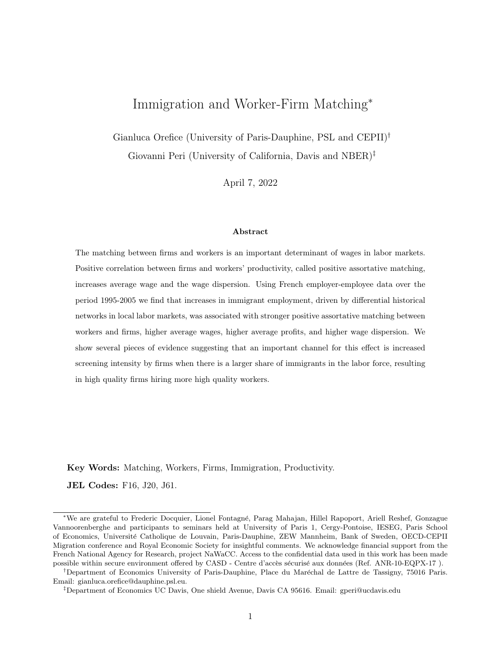of PAM. A comparison between the OLS and 2SLS results shows an attenuation bias in the OLS estimations. The effect of immigrant share is positive, significant and similar in magnitude when assortative matching is measured by the rank correlation between firm- and worker-type (see Table 9 columns 1 and 2) as well as when it is measured by the share of positive matching net of mismatches (columns 3 and 4). In line with an additional implication of the framework in section 2, migration affects positively and significantly the average profits of firms in the district (column 5).

The coefficients of the control variables in Table 9 reveal a positive, often significant, correlation between skill intensity and firm concentration on the strength of positive assortative matching in the district. Highly concentrated districts (where few big firms dominate the local labor market and are likely to be matched with high-quality workers) show stronger positive assortative matching. Also, consistent with Acemoglu (1999) and Albrecht & Vroman (2002), a large share of skilled workers is associated with stronger positive assortative matching. Conversely, we do not find a significant coefficient of native employment. This is different from the evidence presented in Dauth et al. (2022). While our identification is in changes, Dauth et al. (2022) identify the association between density and PAM in levels (cross-section). In Figure A1 we show that, as in Dauth et al. (2022), there exists a positive correlation between total employment and the strength of PAM across French districts.

### – Table 9 about here –

In terms of magnitude, these baseline estimates in Table 9 imply that a one percentage point (p.p.) increase in the district share of immigrants is associated with a 2.2 to 2.9 p.p. increase in the (net) share of positively assortatively matched workers in the district (see column 3-4 in Table 9). This corresponds to the 25%-35% of the gap in PAM intensity between a district belonging to the lowest quartile of the distribution (i.e.  $25^{th}$  percentile) and one in the top quartile, like the Paris district ( $\hat{I}$ le de France).<sup>41</sup> In other words, for a district belonging to the *median* of the distribution in the (net) share of positive assortative matches, 2.2 p.p. corresponds to an increase in the strength of PAM equal to half of the gap with the Paris labor market.

<sup>&</sup>lt;sup>41</sup>The  $25^{th}$  percentile in the distribution of the (net) share of positively sorted matches is 11.4%; the median is 15.9%. The observed value for  $\hat{I}$ le de France (in the top quartile) is a net share of 20.2% in 2005.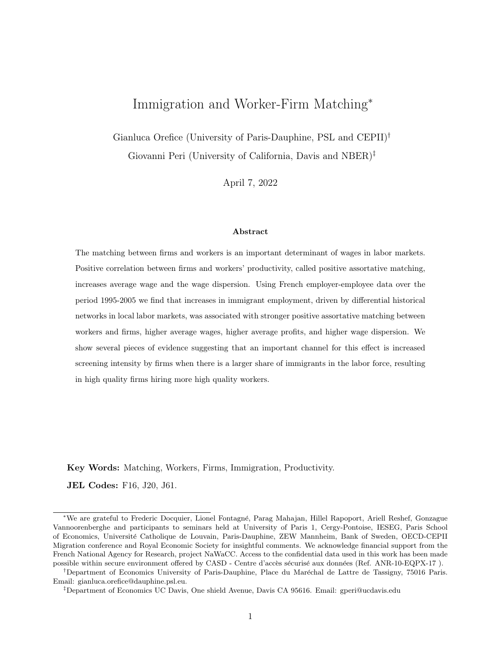### 6.2 Robustness checks

The results shown above are robust to alternative ways of constructing the instrumental variables. Table 10 Panel (a) reports results using the more standard shift-share instruments described in section 5.2 where the shift component is simply total migration to France by country of origin, as well as an alternative shift-share in which the shift component is the observed, rather than estimated, flow of immigrant to EU-15 countries excluding France (panel b of Table 10). In most cases, in line with results in Table 9, the coefficient of interest is significant, positive and between a value of 2 and 3.

### – Table 10 about here –

Previous papers have identified a positive impact of international competition—measured as export intensity—on the correlation of worker-firm quality at the industry level (see Davidson et al. 2012; Davidson et al. 2014; Bombardini et al. 2019). Additionally, Acemoglu (1999) and Albrecht & Vroman (2002) show that skill-biased technical change may increase the incentives for positive assortative matching in local labor markets by increasing the gap between high- and low-skilled workers' productivity. To address whether these factors may affect the correlation between PAM and immigration, in Table 11 we control for the export intensity of the district (the log of total district exports),  $42$  the average capital-equipment intensity<sup>43</sup> and the average value of intermediate inputs relative to total production.44 These last two variables are often used as proxies for the technological complexity of production in a district. Results in Table 11 show that the coefficient of the immigrant share is robust to the inclusion of these additional control variables. All the estimated coefficients on the share of immigrants are positive and significant and quantitatively similar to those in the basic specification. The effect on profits is even somewhat larger than in the basic specification: a 1 pp difference in the share of immigrants implies a 21% increase in profits relative to the average. This is a large effect, not very precisely estimated, relative to a baseline estimate of 14% increase for each 1 pp increase of immigrants. We should keep in mind, as discussed in section 5.1, that firm profits are imprecisely measured due to lack of information on all of firm's costs and these results must be taken with caution.

– Table 11 about here –

 $42$  French Customs data are used to compute the total exports of firms located in a given district.

<sup>&</sup>lt;sup>43</sup>Based on FICUS/FARE data we compute the ratio between physical capital and total employment in each firm, and then take the average across firms within a district.

<sup>&</sup>lt;sup>44</sup>As a proxy for the intermediate input intensity we use the ratio of intermediate input purchases and the total value of production of the firm.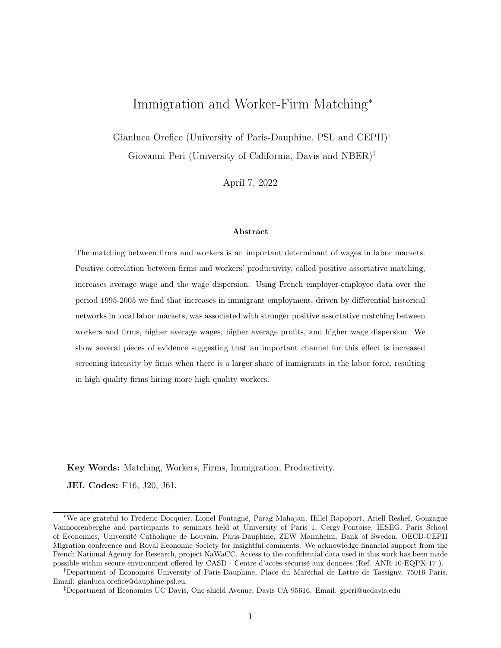In Table A4 of the Appendix A we measure the quality of firms and workers using alternative indicators. First, we use coworkers' average quality (as suggested by de Melo 2018) and firm-level TFP as measures of the quality of a firm. In both cases, we still find support for a positive effect of migrant share on the strength of PAM (in particular when the worker type is approximated by lifetime wage). Second, we use the firm-specific component of the AKM decomposition as an alternative proxy for firm quality (as in Card, Cardoso, Heining and Kline 2018). As productivity changes are usually translated into workers' wage changes, the pay premium of firms (firm fixed effects in AKM decomposition) are proxies for productivity measures. The results reported in appendix Table A4 show evidence, although not as strong, of the positive matching effect of migration. The weaker results are consistent with a small rentsharing elasticity to productivity, so that the pay premium at the firm level is only weakly correlated with productivity measures of the firm. Finally, we measure the quality of workers after controlling also for their macro-occupation. In particular, the proxy for workers' quality (both lifetime wage and AKM fixed effects) has been measured after controlling additionally for a high skill occupational dummy. Our baseline results hold, showing still a positive coefficient on migration.

The robustness of the coefficient of interest to the inclusion of controls implies a weak partial correlations between the control variables and the share of immigrants. Nevertheless one can be worried by the inclusion of (potentially) endogenous controls in biasing the coefficient of interest. Hence we additionally run the basic regressions omitting all controls, except for fixed effects (Appendix Table A5). We find estimated coefficients very similar to those in the basic specification. Slow and persistent trends in the economic variables or in the immigrant flows may affect our results. Hence we estimate a specification adding a district-specific trend (Appendix Table A6) and the coefficients of interest barely changes.

We perform a final set of robustness checks to test the impact of outliers and weighting. First, we trim from our sample the largest and smallest firms which may have a disproportionate effect in influencing measures of assortative matching. We exclude firms of size (number of employees) below the 5th and above the 95th percentiles. Results (in Appendix Table A7) show that the coefficients of interest become slightly larger and more significant. Trimming large firms also represents a way of eliminating multi-districts firms in our sample (about 2% of them, all in the top percentiles of employment), which could generate measurement error in attributing a firm to a district. In a similar vein, we estimate a regression where each district is weighted by the number of firms (Appendix Table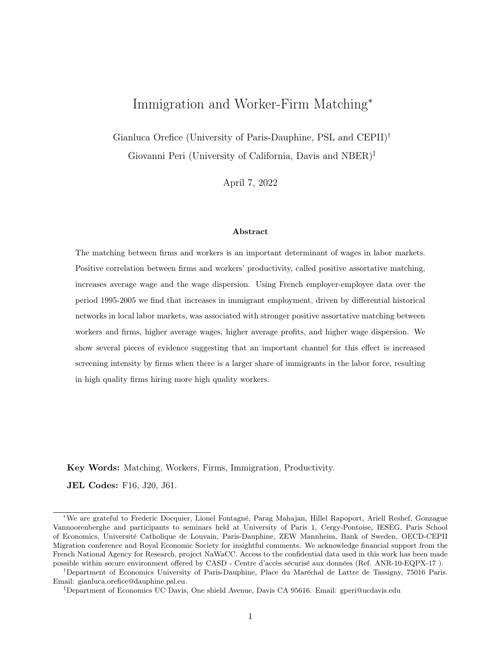A3). The goal is to reduce measurement error introduced by small districts having few firms, and therefore imprecise measures of PAM. The results are very similar to the basic specification. Finally, in Appendix Table A8, rather than setting to zero the non-statistically significant rank correlation coefficients, we include significant and non-significant estimates in the measure of the rank correlation index (in columns (1) and (2)). We also report results using the Pearson correlation index (in columns (3) and (4)). The magnitudes and significance of the effects in both cases is very similar to the baseline specification.

### 6.3 Industry-District as local labor market

In the analysis so far we have measured assortative matching considering all workers and all firms in each district, implicitly assuming an aggregate matching market in the district. Here we re-do the analysis, considering a district-sector as a matching markets. Moretti (2004) shows that occupation-local units are better proxies for local labor markets. Segmentation across sectors in the matching process, and differential sector-specific intensity of assortative matching could affect the aggregate results. Hence, we compute the PAM measures at district-sector level, and perform the estimates controlling for sectoryear fixed effects. Results are reported in panel (a) of Table 12 and show the robustness of our baseline findings. While the IV still varies at the district-year level only, the regression cells are district-sectoryear and the results show that within district-sector PAM increased, as a consequence of immigrants, once we control for any technological or demand change specific to the sector-year.

The introduction of the sector-district specific PAM measures allows also to check if the heterogeneity of effects across sectors is consistent with immigrants generating the PAM effect. In panel (b) of Table 12 we interact the share of immigrants in the district with a measure of immigrant employment intensity for the sector (i.e. share of immigrant workers in the sector in 1995). In line with intuition, the assortative matching effect of immigration is significantly stronger in immigrant intensive sectors.

#### 6.4 Average wages and wage dispersion

An additional important consequence of PAM, in presence of production complementarity between workers' and firm's quality, is its positive association with average wages and wage dispersion. Consistently with this prediction, column (1) of Table 13 shows that the immigrant share has a positive impact on the average wages of district. This is the consequence of a negative but not statistically significant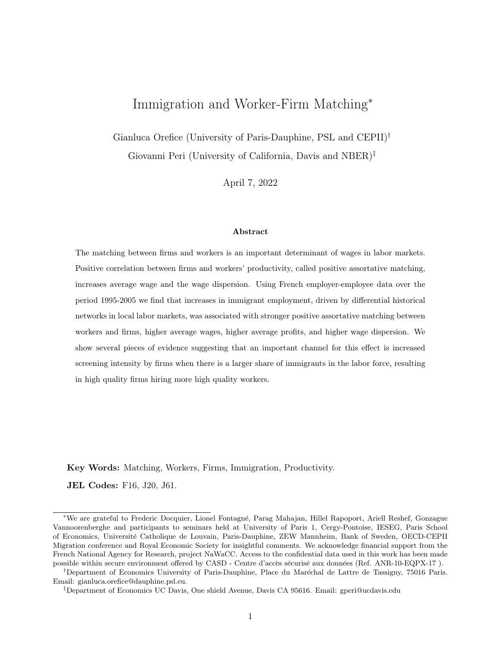impact on low-quality workers' wages (column 3), and of a positive and significant impact on high quality worker's wages (column 2). These estimates, reminiscent of what found in other studies (such as Dustmann et al. (2013)), are consistent with immigration increasing positive assortative matching. To show even more clearly the impact of immigrant share on wage dispersion, columns (4) and (5) show the 2SLS regression results on the difference in the (log) average wage between high- and low-type workers—respectively, workers with quality above and below the median—in each district-year.<sup>45</sup> This measure of dispersion is similar to the 75-25 log wage percentile difference in a district. The results suggest that an increase in the share of immigrants by one percent of population is associated with a significant increase in the wage inequality in the district by about 1.3 percent, mostly due to an increase in the wage of high quality workers.<sup>46</sup>

We can also check how much of the estimated effect on high quality worker's wage increase (driving the increase in inequality) can derive directly from the magnitude of the estimated PAM effect. To do that, we first use the dual measure of positive assortative matching and we multiply the share of high quality workers who moved to high quality firms in response to a one percent increase in immigrants (which is equal to the estimated effect of 2.9 percent divided by the share of high quality workers, i.e. 50%, generating a 5.8 percent of that population upgrading their wages) times the increase in wage as percent (log wage) associated to the transition of high quality workers from low to high quality firms (as estimated in figure C.1) equal to about 11 percent. This gives a change of 0.64 percent, which is about half of the estimated effect in Table 13. Hence, the PAM channel accounts for about half of this estimated impact on wage inequality.

– Table 13 about here –

# 7 Additional evidence consistent with the screening mechanism

In this section we show interesting additional results, that, taken together, are consistent with the explanation – discussed in section  $2$  – that higher immigration may encourage screening, especially by high quality firm, generating increased PAM. While we are not ruling out a role for pure thickness effects and other forms of complementarity between immigrants and firm quality, we emphasize screening and

<sup>&</sup>lt;sup>45</sup>The worker type is approximated by lifetime wage in columns 4 and AKM fixed-effect decomposition in column 5.

<sup>&</sup>lt;sup>46</sup>All specifications include district fixed effects, region-year fixed effects and all the district-specific controls discussed above (both baseline and additional controls).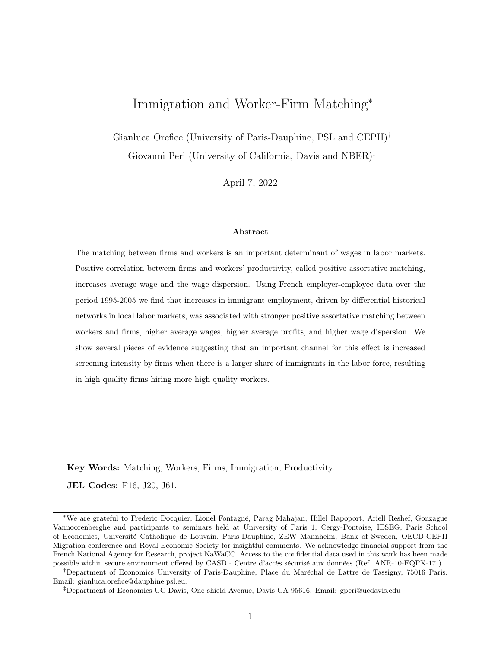its implications as consistent with these findings.

#### 7.1 Heterogeneous effect based on immigrant quality dispersion

An interesting corollary of the "screening" mechanism presented in section 2 and formalized in Appendix B is that the probability of positive assortative matching is larger when the standard deviation of immigrant quality is larger (i.e. when the uncertainty on immigrant workers type is larger). See Corollary 1.1 in Appendix B. We test this by interacting the share of immigrants in the district with two bins constructed from percentiles of immigrant-quality dispersion across districts at the beginning of the period—binned model. We therefore extend the empirical equation  $(2)$  as follows:

$$
y_{d,t} = \sum_{k} \left( \beta_k \text{Immi } Sh_{d,t} * Disperson \text{ Bin}_{d,t0}^{k} \right) + \beta_2 X_{d,t} + \theta_d + \theta_{rt} + \epsilon_{d,t}
$$
(6)

where variables and subscripts are the same as in the previous sections,  $k$  denote the bins adopted to explore the heterogeneous effect of migration on the strength of assortative matching  $y_{d,t}$ , and Dispersion  $Bin_{d,t0}^k$  identifies whether the specific district d belongs to a specific bin k at  $t_0$  (1995). Based on the distribution of immigrant types in 1995 in each French district, we define: (i) bins for districts having an inter-quartile range of immigrant types above/below the median; and (ii) bins based on min-max difference in immigrant types in the district.<sup>47</sup> We instrument each interaction between Immi Sh and the dispersion bin with the interaction between the instrument  $\widehat{s_{d,t}^{MMI}}$  and the dispersion bin. Results are reported in Table 14. We find that immigrant share has a positive, significant and (slightly) stronger effect on the intensity of assortative matching in districts with a dispersion of immigrant types above the median (in 1995). Results are stronger when using dispersion bins based on min-max difference in immigrant types as measure of dispersion (see columns 2, 4, 6 and 8 in Table 14). In this case the PAM effect of immigration is mainly driven by districts with higher initial dispersion in immigrant-types. Using the inter-quartile range the difference between the two coefficients is usually in the direction of larger value for the bin with larger initial dispersion, but the difference is not significant. While rather noisy (F-stat of a test of equal coefficients is below 10) these results are suggestive that larger dispersion of immigrant quality, pushing firms to screen for the "good" worker, is associated with stronger assortative matching.

 $47$ We take these proxies in the initial year (1995) to reduce endogeneity concerns.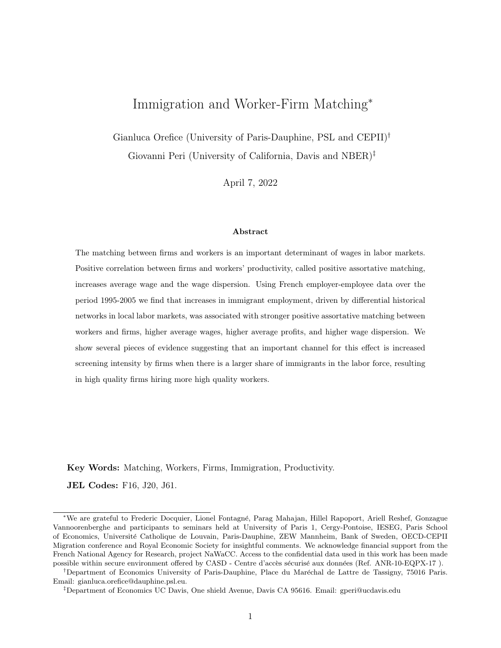– Tables 14 about here –

### 7.2 Matching of immigrants and natives

If the ex-ante screening costs are mostly fixed and if the same screening technology (such as setting up a hiring office) can be applied to immigrants and natives,  $48$  an additional insight of the screening explanation is that a larger share of immigrants will imply firms screening *also* for native workers. This will result in a higher probability of assortative matching between firms and both native and immigrant workers. In the top panel of Table 15 we use as dependent variable the assortative matching intensity between native workers and firms. We find a positive and statistically significant effect of immigration on the strength of firm-native worker matching in each specification.

In the bottom panel of Table 15 we conduct the same exercise but using only immigrant workers to compute our measures of positive assortative matching. As immigrant workers are usually more mobile across firms and their quality distribution more disperse we expect stronger assortative matching effect of migration on the sub-sample of migrant workers. This is confirmed by the results in Table 15, where the point estimates on the immigrant share are larger in magnitude for migrants than for natives matching measures.49

### 7.3 Immigration and recruitment personnel

While intensity of screening is hard to measure directly, one can observe the share of workers in each firm whose main task is to recruit people. The DADS data include very detailed information on the occupations of workers. In particular, two job titles described as " specialist of recruitment and formation" and "specialist of human resources and recruitment" are those that we will call "recruitment" personnel" and we will use as indicator of the resources that a firm puts into screening new workers.<sup>50</sup>

<sup>–</sup> Table 15 about here –

<sup>&</sup>lt;sup>48</sup>Figure B1 provides suggestive evidence of the fixed nature of screening costs.

 $^{49}$ In a recent paper, Dostie, Li, Card & Parent (2021), the different sorting of immigrant and native workers across high- vs low-productive firms is used to explain a fraction of the wage gap between immigrant and native workers.

 $50$ The two specific codes of the French occupation classification (PCS 4-digit) are: (i) Cadres spécialistes du recrutement et de la formation (PCS 3722 in rev. 1982), (ii) Cadres spécialistes des ressources humaines et du recrutement (PCS 372c in rev. 2003). These are workers specifically dedicated to the recruitment process of the firm. Other workers occupations (within the HR division of firms), only marginally related to the recruitment process (i.e. translators) have other PCS codes in the French occupation classification and are not considered here as "recruitment personnel".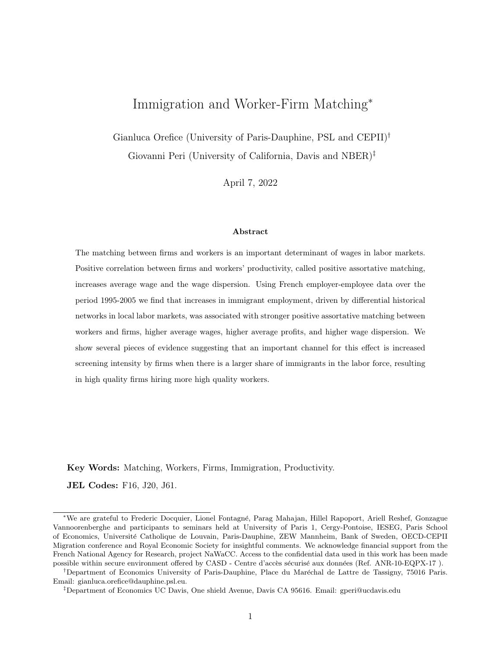Results in Table 16 show how the share of recruitment personnel in firm's employment responds to immigration. Column (1) shows the positive effect of immigration on the share of recruitment personnel in the firm (average across firms of a given district). Since the number of workers can be an imprecise measure of the recruitment intensity, in column (2) of Table 16 we show that results still holds for the share of hours worked in recruitment personnel occupations (over the total hours worked in the firm). In columns (3) and (4) we approximate the screening effort of districts with the share of recruitment personnel workers (defined as the total number of those workers over total employment in the district) and the share of firms with at least one recruitment personnel worker in the district. Using these alternative proxies, the effect of immigration on these proxies of screening intensity is positive and significant.

#### – Tables 16 about here –

Finally, a piece of evidence consistent with screening cost having a significant fixed component is shown in Figure B1. Data from DARES (French Ministry of Labor) on the recruitment process of French firms in 2005 show that the ratio of hiring resources and total human resources workers decreases with the size of firms, implying that screening cost are a decreasing share of cost as firm size grow.

### 7.4 Workers' flows across firms

Positive complementarity between firm and worker quality implies that high-quality firms are those more likely to screen as they benefit the most from improving the quality of their matches. To this end, we test the effect of immigrant share on the number of high-quality workers moving from low- to high- quality firms and on the number of low-quality workers moving from high- to low-quality firms in a given district. Both moves are reasonable consequences of high-quality firms becoming more selective and attracting high quality while letting low quality workers go.<sup>51</sup> Already simple correlation statistics show that in districts experiencing larger than average increase in the share of immigrants over the period 1995-2005, 46.3% of total firm-to-firm workers moves followed a PAM pattern. In districts with migrant increases below the average, only the 37.6% of total firm-to-firm workers moves followed a PAM pattern.

<sup>&</sup>lt;sup>51</sup>In Table A10 we show the number of workers that move across firms of different type each year. Workers that experienced unemployment spells larger than one year cannot be considered as movers for economic reasons, and are not included in these statistics.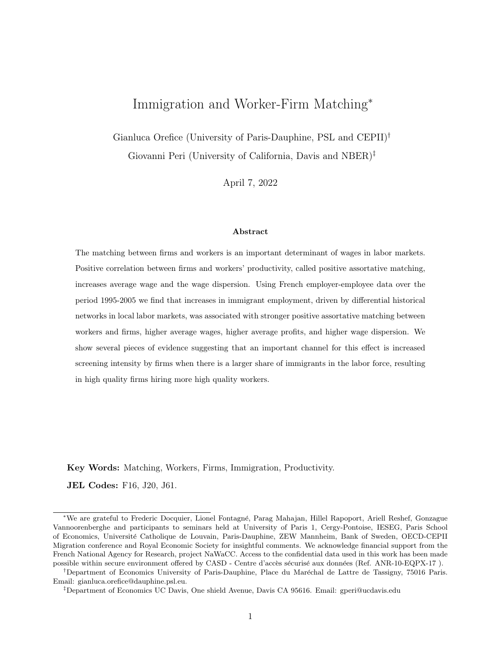More formally, Table 17 shows the 2SLS estimates of the impact of immigrant share on mobility of high- and low-quality workers across high- and low-quality firms. Entry (1) in the top row shows the effect of immigrants on the number of high-type workers moving from low- to high-type firms. These are high-quality workers newly hired by high-quality firms. The impact of immigration on this flow is significant, numerically large and positive. In contrast, immigration does not affect overall mobility between firms, because the effect on the number of high-quality workers attracted by low-quality firms, estimated in specification (2) of row 1, is not significant. The second row of the table shows less precisely estimated effect on flows of low type workers moving between either type of firms. Overall, the strongest impact of immigration, in terms of flows, is in making high-quality firms more likely to attract highquality workers from lower-quality firms (see column 1 of the table). One standard deviation increase in the share of migrants in a district implies a 67% increase in the number of high-type movers from lowto high-productive firms. This suggests that stronger assortative matching induced by immigration is channelled by high-quality firms increasingly attracting high-quality workers.

– Tables 17 about here –

#### 7.5 Immigration and screening cost across sectors

A final piece of evidence is to analyze whether, by classifying sectors according to proxies of screening costs, we find stronger effects of migration on PAM for sectors with smaller screening costs.

Using DARES (French Ministry of Labor) survey data on the recruitment process of firms in 2005, we build two proxies of sector-specific screening  $\cos t$ .<sup>52</sup> The first is the ratio between average number of recruiters and HR workers in the sector (dummy equal to one if above the median), capturing the labor costs of hiring. The second is the average number of days needed to recruit a worker in the sector. Both measures are meant to approximate the time and labor cost of the screening process in the sector. We interacted them with the share of immigrants in the districts (we use district-sector-year specific estimations as in section 6.3). Results in Table A11 clearly show a negative and significant coefficient on the interaction term. This implies that in sectors with smaller screening costs, exogenous inflows of immigrants increased more significantly the strength of PAM possibly as introducing additional screening was less expensive. Sectors with higher screening cost exhibit smaller effects of immigrants on the PAM of workers and firms.

<sup>52</sup>DARES data do not provide the firm identifier nor the district, hence we only construct sector-level measures.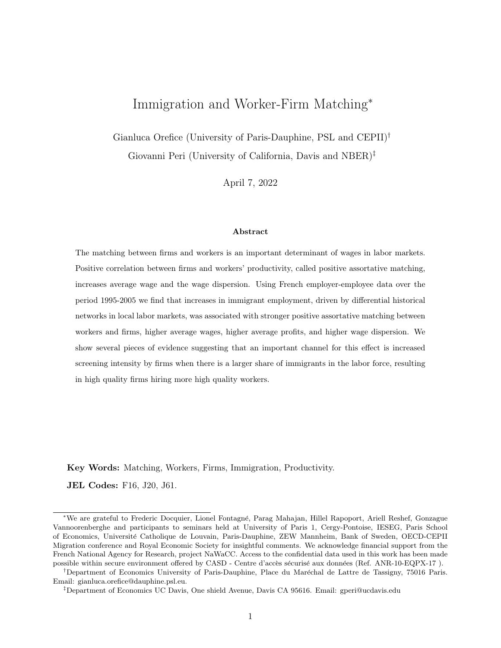# 8 Conclusions

This paper uses employer-employee matched data for the universe of French private-sector firms to identify a new effect of immigration on local economies. Larger inflows of immigrants across French districts are associated with a stronger positive assortative matching (PAM) between firms and workers. Using a shift-share instrument, tested using the recently proposed econometric checks of validity, we show that immigration increased the (positive) correlation between firm and workers' quality. We also show that immigration was associated with larger average firm profits, larger average wages and higher wage dispersion, all consequences of PAM when quality of workers and firms are complementary. This is a novel result in the literature. The immigration-induced PAM provides an offsetting mechanism for potential negative wage effects, adding a new reason why a large number of empirical papers finds that immigration has no negative impact on average wages.

The magnitude of the effect is economically significant: in districts where the share of immigrants grew by one percent of the population, the share of net positive assortative matches between firms and workers increased by 2.2 percentage points. This is a significant effect, as it represents a 3.8% increase in the average share of positive assortative matches (net of mismatches) across French local labor markets, about one-fourth of the 25-75 percentile difference in this measure across districts.

While there could be a number of explanations for this association, additional results support the idea that, when the skill dispersion of workers becomes larger, it is in the interest of high-quality firms to introduce (improve) screening and select the best workers, leaving the lower-quality workers to lower-quality firms. As immigrants' workers are shown to have a larger variance in their quality, when their share of local employment increases, high quality firms increase the amount of screening and attract higher quality workers. Consistently, we find that: (i) in regions where immigrants' quality is more dispersed the impact of immigrants on PAM intensity is larger, (ii) firms expand their "recruiting personnel", a proxy for screening effort, when immigration increases, (iii) high-quality firms attract more high-quality workers in regions with higher immigration and (iv) sectors with lower screening costs and more immigrants experience a stronger PAM response to the inflow of new immigrants.

The screening mechanism implies larger average wages and higher firm profit, but also higher wage dispersion and a potentially negative effect on wages of lower-quality workers. We think that the worker-firm interactions and the margin of firm responses highlighted in this paper are important to capture a full set of effects of immigration, which could be overlooked in the canonical model.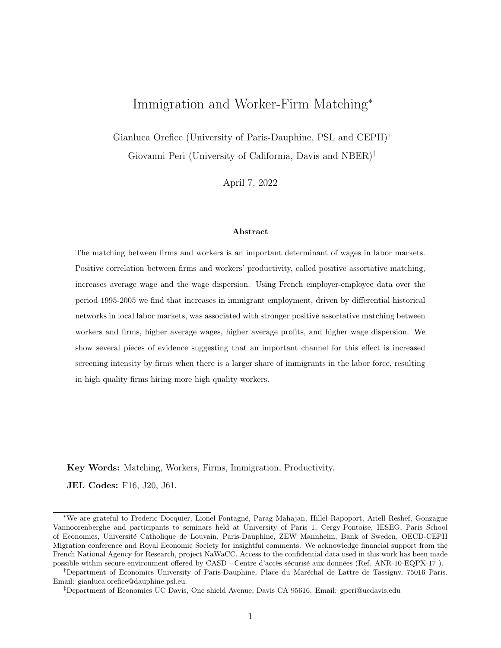# Bibliography

- Abowd, J. M., Kramarz, F. & Margolis, D. N. (1999), 'High Wage Workers and High Wage Firms', Econometrica 67(2), 251–334.
- Acemoglu, D. (1997), 'Matching, heterogeneity, and the evolution of income distribution', Journal of Economic Growth  $2(1)$ , 61-92.
- Acemoglu, D. (1999), 'Changes in Unemployment and Wage Inequality: An Alternative Theory and Some Evidence', American Economic Review 89(5), 1259–1278.
- Albert, C. & Monras, J. (2018), Immigration and Spatial Equilibrium: the Role of Expenditures in the Country of Origin, Cepr discussion papers, C.E.P.R. Discussion Papers.
- Albrecht, J. & Vroman, S. (2002), 'A Matching Model with Endogenous Skill Requirements', International Economic Review  $43(1)$ ,  $283-305$ .
- Autor, D. H., Dorn, D. & Hanson, G. H. (2013), 'The China Syndrome: Local Labor Market Effects of Import Competition in the United States', American Economic Review 103(6), 2121–2168.
- Bartolucci, C., Devicienti, F. & Monzón, I. (2018), 'Identifying Sorting in Practice', American Economic Journal: Applied Economics 10(4), 408-438.
- Battisti, M., Felbermayr, G., Peri, G. & Poutvaara, P. (2018), 'Immigration, Search and Redistribution: A Quantitative Assessment of Native Welfare', Journal of the European Economic Association 16(4), 1137–1188.
- Beerli, A., Ruffner, J., Siegenthaler, M. & Peri, G. (2021), 'The abolition of immigration restrictions and the performance of firms and workers: Evidence from switzerland', American Economic Review 111(3), 976–1012.
- Bernard, A. B., Jensen, J. B., Redding, S. J. & Schott, P. K. (2007), 'Firms in International Trade', Journal of Economic Perspectives  $21(3)$ ,  $105-130$ .
- Bianchi, M., Buonanno, P. & Pinotti, P. (2012), 'Do Immigrants Cause Crime?', Journal of the European Economic Association  $10(6)$ , 1318-1347.
- Bombardini, M., Orefice, G. & Tito, M. D. (2019), 'Does Exporting Improve Matching? Evidence from French Employer-Employee Data', Journal of International Economics 117, 229–241.
- Bonhomme, S., Lamadon, T. & Manresa, E. (2019), 'A Distributional Framework for Matched Employer Employee Data', Econometrica 87(3), 699–739.
- Borjas, G. J. (1987), 'Self-Selection and the Earnings of Immigrants', American Economic Review  $77(4)$ , 531–553.
- Burzynski, M. & Gola, P. (2019), Mexican Migration to the United States: Selection, Assignment, and Welfare, LISER Working Paper Series 2019-10, LISER.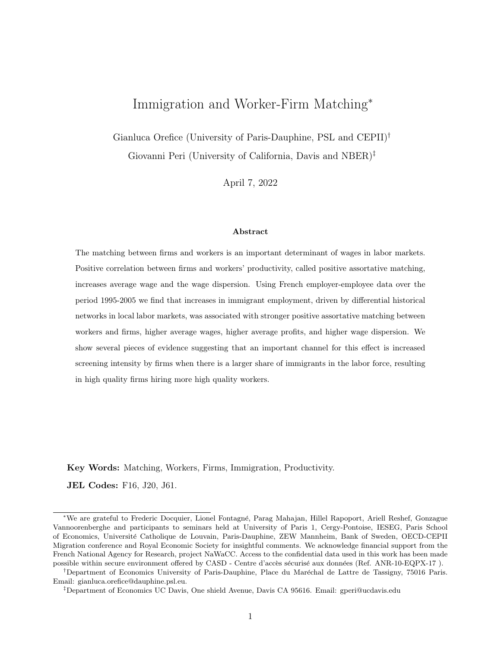- Card, D. (2001), 'Immigrant Inflows, Native Outflows, and the Local Labor Market Impacts of Higher Immigration', Journal of Labor Economics 19(1), 22–64.
- Card, D. (2005), 'Is the New Immigration Really so Bad?', *Economic Journal* 115(507), 300–323.
- Card, D., Cardoso, A. R., Heining, J. & Kline, P. (2018), 'Firms and Labor Market Inequality: Evidence and Some Theory', Journal of Labor Economics 36(S1), 13–70.
- Card, D., Heining, J. & Kline, P. (2013), 'Workplace Heterogeneity and the Rise of West German Wage Inequality', The Quarterly Journal of Economics 128(3), 967–1015.
- Chassamboulli, A. & Palivos, T. (2014), 'A Search-Equilibrium Approach To The Effects Of Immigration On Labor Market Outcomes', International Economic Review 55, 111–129.
- Combes, P.-P., Duranton, G. & Gobillon, L. (2008), 'Spatial wage disparities: Sorting matters!', Journal of Urban Economics  $63(2)$ ,  $723-742$ .
- Conley, T. G., Hansen, C. B. & Rossi, P. E. (2012), 'Plausibly Exogenous', The Review of Economics and Statistics  $94(1)$ ,  $260-272$ .
- Dauth, W., Findeisen, S., Moretti, E. & Suedekum, J. (2022), 'Matching in Cities', Journal of the European Economic Association (forthcoming).
- Davidson, C., Heyman, F., Matusz, S., Sjoholm, F. & Zhu, S. C. (2012), 'Liberalized Trade and Worker-Firm Matching', American Economic Review 102(3), 429–434.
- Davidson, C., Heyman, F., Matusz, S., Sjoholm, F. & Zhu, S. C. (2014), 'Globalization and imperfect labor market sorting', Journal of International Economics 94(2), 177–194.
- Davidson, C., Matusz, S. J. & Shevchenko, A. (2008), 'Globalization and firm level adjustment with imperfect labor markets', Journal of International Economics 75(2), 295–309.
- De La Roca, J. & Puga, D. (2017), 'Learning by Working in Big Cities', Review of Economic Studies 84(1), 106–142.
- de Melo, R. L. (2018), 'Firm Wage Differentials and Labor Market Sorting: Reconciling Theory and Evidence', Journal of Political Economy 126(1), 313–346.
- Diamond, P. A. (1982), 'Wage determination and efficiency in search equilibrium', The Review of Economic Studies 49(2), 217–227.
- Dostie, B., Li, J., Card, D. & Parent, D. (2021), 'Employer policies and the immigrantвҐҮnative earnings gap', Journal of Econometrics (forthcoming).
- Dustmann, C., Frattini, T. & Preston, I. P. (2013), 'The Effect of Immigration along the Distribution of Wages', Review of Economic Studies 80(1), 145–173.
- Edo, A. (2019), 'The Impact of Immigration on Wage Dynamics: Evidence from the Algerian Independence War', Journal of the European Economic Association 18(6), 3210–3260.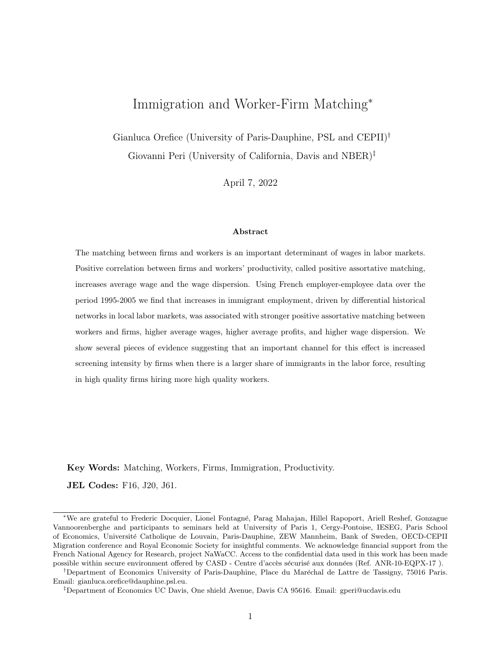- Eeckhout, J. & Kircher, P. (2011), 'Identifying Sorting–In Theory', Review of Economic Studies 78(3), 872–906.
- Eeckhout, J. & Kircher, P. (2018), 'Assortative matching with large firms', *Econometrica*  $86(1)$ , 85–132.
- Friedberg, R. M. & Hunt, J. (1995), 'The Impact of Immigrants on Host Country Wages, Employment and Growth', Journal of Economic Perspectives 9(2), 23–44.
- Gautier, P. A. & Teulings, C. N. (2006), 'How Large are Search Frictions?', Journal of the European Economic Association 4(6), 1193–1225.
- Glaeser, E. L. & Mare, D. C. (2001), 'Cities and Skills', Journal of Labor Economics  $19(2)$ ,  $316-342$ .
- Goldsmith-Pinkham, P., Sorkin, I. & Swift, H. (2020), 'Bartik instruments: What, when, why, and how', American Economic Review 110(8), 2586-2624.
- Guadalupe, M., Kuzmina, O. & Thomas, C. (2012), 'Innovation and Foreign Ownership', American Economic Review 102(7), 3594–3627.
- Helpman, E., Itskhoki, O. & Redding, S. (2010), 'Inequality and Unemployment in a Global Economy', Econometrica 78(4), 1239–1283.
- Jaeger, D. A., Ruist, J. & Stuhler, J. (2018), Shift-Share Instruments and the Impact of Immigration, NBER Working Papers 24285, National Bureau of Economic Research, Inc.
- Kline, P., Saggio, R. & Sølvsten, M. (2020), 'LeaveвҐӨOut Estimation of Variance Components', Econometrica 88(5), 1859–1898.
- Kremer, M. (1993), 'The O-ring theory of economic development', The Quarterly Journal of Economics pp. pp. 551–575.
- Lewis, E. & Peri, G. (2015), Immigration and the Economy of Cities and Regions, *in* G. Duranton, J. V. Henderson & W. C. Strange, eds, 'Handbook of Regional and Urban Economics', Vol. 5 of Handbook of Regional and Urban Economics, Elsevier, chapter 0, pp. 625–685.
- Mitaritonna, C., Orefice, G. & Peri, G. (2017), 'Immigrants and firms? outcomes: Evidence from France', European Economic Review 96(C), 62–82.
- Moretti, E. (2004), 'Workers' Education, Spillovers, and Productivity: Evidence from Plant-Level Production Functions', American Economic Review 94(3), 656–690.
- Ottaviano, G. I. P. & Peri, G. (2012), 'Rethinking The Effect Of Immigration On Wages', Journal of the European Economic Association  $10(1)$ , 152-197.
- Peri, G. (2012), 'The Effect Of Immigration On Productivity: Evidence From U.S. States', The Review of Economics and Statistics 94(1), 348–358.
- Peri, G. (2016), 'Immigrants, Productivity, and Labor Markets', Journal of Economic Perspectives  $30(4)$ , 3-30.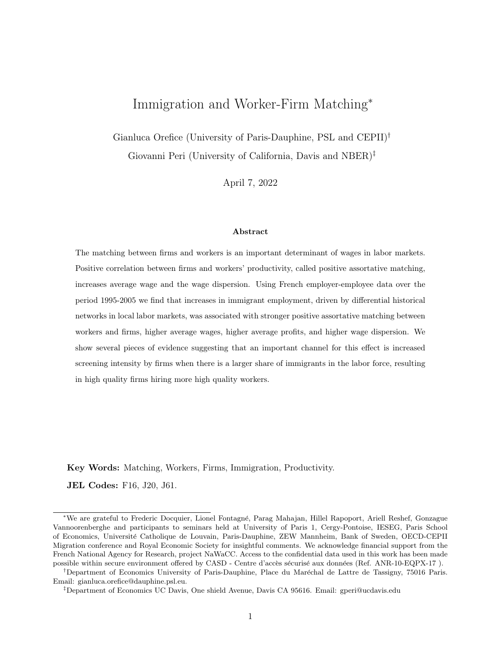- Peri, G. & Sparber, C. (2009), 'Task Specialization, Immigration, and Wages', American Economic Journal: Applied Economics 1(3), 135-169.
- Pischke, J.-S. & Velling, J. (1997), 'Employment Effects Of Immigration To Germany: An Analysis Based On Local Labor Markets', The Review of Economics and Statistics 79(4), 594–604.
- van Kippersluis, H. & Rietveld, C. A. (2018), 'Beyond plausibly exogenous', Econometrics Journal 21(3), 316–331.
- Wooldridge, J. M. (2009), 'On estimating firm-level production functions using proxy variables to control for unobservables', *Economics Letters*  $104(3)$ ,  $112-114$ .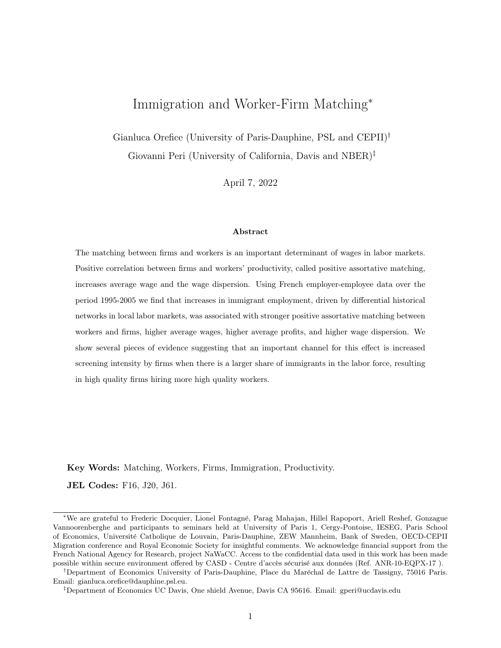## Tables and Figures

|                                               | 1995 | 2005 | $95-05$    |
|-----------------------------------------------|------|------|------------|
|                                               |      |      | $%$ change |
| Share of immigrants $(\%)$                    | 6.2  | 9.7  | 54.6       |
| Average age of immigrants                     | 40.9 | 41.6 | 1.7        |
| Sh. high-skill white-collar immigrants $(\%)$ | 20.8 | 31.5 | 51.4       |
| Sh. low-skill white-collar immigrants $(\%)$  | 15.7 | 18.5 | 18.6       |
| Sh. high-skill blue-collar immigrants $(\%)$  | 23.4 | 17.1 | $-27.3$    |
| Sh. low-skill blue-collar immigrants $(\%)$   | 39.6 | 32.4 | $-18.1$    |

Table 1: Immigrant workers in France in the period 1995-2005.

Notes: We use the Eurofond conversion table (available here [https://www.](https://www.eurofound.europa.eu/surveys/ewcs/2005/classification) [eurofound.europa.eu/surveys/ewcs/2005/classification](https://www.eurofound.europa.eu/surveys/ewcs/2005/classification)) to map the 2-digit PCS French occupation categories into the macro occupation-education categories adopted in the table.

|      |             |                     |             | Median    |
|------|-------------|---------------------|-------------|-----------|
| year | $#$ workers | $# \, \text{firms}$ | #<br>movers |           |
|      | with ID     |                     |             | firm size |
| 1996 | 119956      | 37516               | 824         | 20        |
| 1997 | 119851      | 38083               | 4175        | 20        |
| 1998 | 115805      | 37599               | 5836        | 21        |
| 1999 | 115943      | 37851               | 9085        | 20        |
| 2000 | 111698      | 37011               | 7538        | 20        |
| 2001 | 110331      | 36968               | 8172        | 21        |
| 2002 | 219805      | 55941               | 9148        | 15        |
| 2003 | 209375      | 57229               | 7295        | 14        |
| 2004 | 210944      | 57143               | 10776       | 14        |
| 2005 | 199443      | 54188               | 13347       | 14        |

Table 2: In-sample descriptive statistics.

Notes: In sample descriptive statistics on the number of workers with ID are based on DADS panel data. The number of firms and the number of movers are obtained after joining DADS panel and FICUS/FARE data.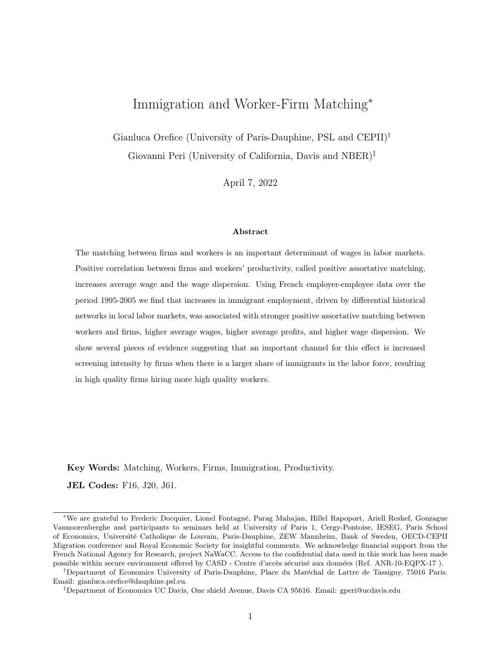



Source: Authors calculations on DADS and FICUS/FARE data. Note: Worker type approximated by lifetime conditioned wage. The lifetime conditioned wage is the average wage earned by the worker over his/hers observed career (period 1995-2005). Worker's wage always purged by experience effect (age), seasonality (year fixed effects) and sector specificities (sector fixed effects).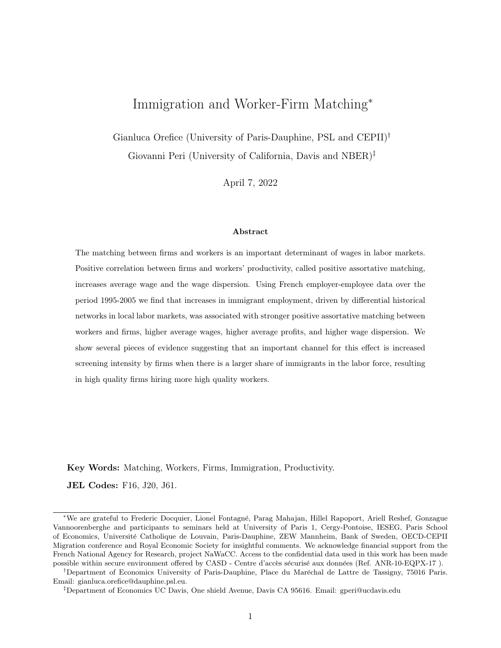|                      | All Districts |                                                                  |           |      |  |  |  |
|----------------------|---------------|------------------------------------------------------------------|-----------|------|--|--|--|
|                      | Year 1995     |                                                                  | Year 2005 |      |  |  |  |
|                      |               | High-Prod Firms Low-Prod Firms<br>High-Prod Firms Low-Prod Firms |           |      |  |  |  |
| High-Ability workers | 28.3          | 21.5                                                             | 28.3      | 21.6 |  |  |  |
| Low-Ability workers  | 20.5          | 29.5                                                             | 20.8      | 29.2 |  |  |  |

Table 3: Share of workers of high/low ability employed at firm with high/low value added per worker.

Notes: The calculations use the matched employer-employee French data provided by INSEE for the years 1995 and 2005. The classification of worker types in this table follows their lifetime wage (conditional on worker's age), while value added per worker is used as a proxy for the firm type. Each cell reports the percentage of workers of a given level of ability (high vs low) employed at a firm with high or low productivity. High- and low-type workers and firms refer respectively to workers and firm with type above and below the district average. The main diagonal represents the strength of assortative matching while the anti-diagonal represents the extent of mismatch in local labor market. The lifetime conditioned wage is the average wage earned by the worker over his/hers observed career (period 1995-2005). Worker's wage always purged by experience effect (age), seasonality (year fixed effects) and sector specificities (sector fixed effects).

|                           |                                   | <b>Natives</b> | Immigrants |
|---------------------------|-----------------------------------|----------------|------------|
|                           | Average                           | 0.00           | $-0.02$    |
|                           | <b>Standard Deviation</b>         | 0.37           | 0.40       |
|                           | Interquartile Range               | 0.41           | 0.43       |
| Lifetime conditioned Wage | Top-1 percentile                  | 1.21           | 1.31       |
|                           | Bottom-1 percentile               | $-0.67$        | $-0.71$    |
|                           | Kolmogorov-Smirnov test (p-value) |                | 0.000      |
|                           | Average                           | $-0.05$        | $-0.19$    |
|                           | <b>Standard Deviation</b>         | 0.78           | 0.82       |
|                           | Interquartile Range               | 1.16           | 1.27       |
| AKM decomposition         | Top-1 percentile                  | 1.88           | 1.89       |
|                           | Bottom-1 percentile               | $-1.42$        | $-1.56$    |
|                           | Kolmogorov-Smirnov test (p-value) | 0.000          |            |

Table 4: Empirical distribution characteristics for immigrant and native workers types

Notes: The lifetime conditioned wage is the average wage earned by the worker over his/hers observed career (period 1995-2005). Worker's wage always purged by experience effect (age), seasonality (year fixed effects) and sector specificities (sector fixed effects). The null hypothesis of the Kolmogorov-Smirnov test is the equality of distribution between native and migrant worker types.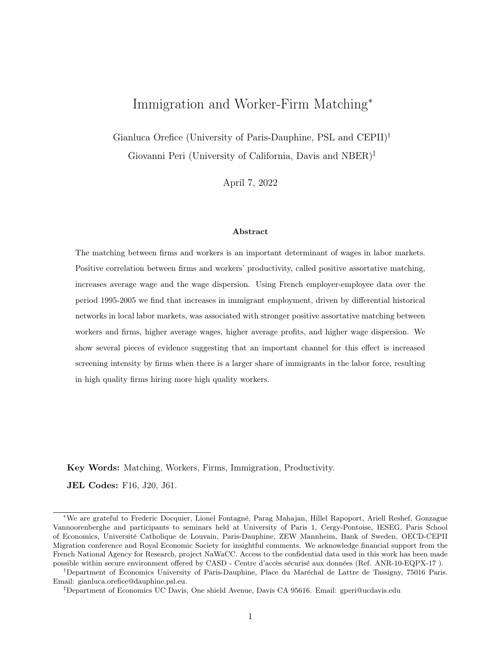| Moment of worker  | $5^{th}$ pctile |            | $10^{th}$ pctile $25^{th}$ pctile $75^{th}$ pctile $90^{th}$ pctile $95^{th}$ pctile |           |            |         |
|-------------------|-----------------|------------|--------------------------------------------------------------------------------------|-----------|------------|---------|
| type distribution |                 |            |                                                                                      |           |            |         |
| Immi Share        | $-0.053$        | $-0.066**$ | $-0.048**$                                                                           | $0.057**$ | $0.126***$ | 0.051   |
|                   | (0.037)         | (0.031)    | (0.019)                                                                              | (0.023)   | (0.046)    | (0.070) |
| Observations      | 1.012           | 1.012      | 1.012                                                                                | 1.012     | 1.012      | 1,012   |

Table 5: Immigrant share and moments of workers types distribution across districts.

Note: Worker types approximated by lifetime conditioned wage. All regressions include region-by-year fixed effects, the average worker type in the district, and the district-year specific controls described in the empirical strategy. The lifetime conditioned wage is the average wage earned by the worker over his/hers observed career (period 1995-2005). Worker's wage always purged by experience effect (age), seasonality (year fixed effects) and sector specificities (sector fixed effects). Robust standard errors in parenthesis. \*\*\*  $p < 0.01$ ; \*\*  $p < 0.05$ ; \*  $p < 0.1$ .

Table 6: Strength of assortative matching and value added per worker in the district.

|                                 | Value Added per worker |                       |                       |                       |  |  |
|---------------------------------|------------------------|-----------------------|-----------------------|-----------------------|--|--|
|                                 | (1)                    | (2)                   | (3)                   | (4)                   |  |  |
| Rank Corr. VAPW-Lifetime Wage   | $0.209***$<br>(0.041)  |                       |                       |                       |  |  |
| Rank Corr. VAPW-AKM             |                        | $0.195***$<br>(0.051) |                       |                       |  |  |
| Strength PAM VAPW-Lifetime Wage |                        |                       | $0.166***$<br>(0.042) |                       |  |  |
| Strength PAM VAPW-AKM           |                        |                       |                       | $0.232***$<br>(0.052) |  |  |
| District FE                     | yes                    | yes                   | yes                   | yes                   |  |  |
| Region-by-Year FE               | yes                    | yes                   | yes                   | yes                   |  |  |
| Observations                    | 1,012                  | 1,012                 | 1,012                 | 1,012                 |  |  |
| R-squared                       | 0.998                  | 0.998                 | 0.998                 | 0.998                 |  |  |

Note: Dependent variable is the average value added per worker (VAPW) across firms within a district. All regressions include district and region-by-year fixed effects. The lifetime conditioned wage is the average wage earned by the worker over his/hers observed career (period 1995-2005). Worker's wage always purged by experience effect (age), seasonality (year fixed effects) and sector specificities (sector fixed effects). Robust standard errors in parenthesis. \*\*\*  $p < 0.01$ ; \*\*  $p < 0.05$ ;  $*$   $p < 0, 1.$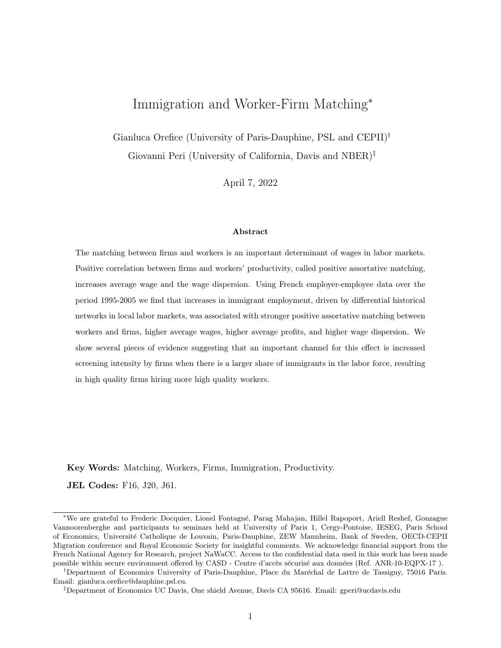

Figure 2: Change in migrant population and PAM across districts.

(a) Change in immigrant share and Worker-Firm type correlation. Worker type: lifetime conditional wage.



(b) Change in immigrant share and strength of PAM. Worker type: lifetime conditional wage.

Source: Authors' calculation DADS data for the period 1995-2005. Note: Variables conditioned on region fixed effects. Department of Aude dropped as outlier.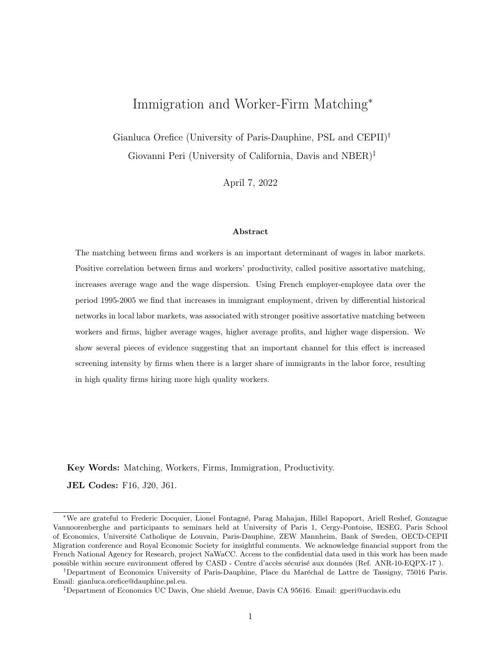|                     | $\Delta$ ln Emplo<br>1995-1994 | $\Delta$ ln Wage<br>1995-1994 | $\Delta$ ln Emplo<br>1990-1982 | $\Delta$ ln Nat. Emp.<br>1990-1982 | $\Delta$ ln Wage<br>1990-1982 | In Wage Nat.<br>$\Delta$<br>1990-1982 |
|---------------------|--------------------------------|-------------------------------|--------------------------------|------------------------------------|-------------------------------|---------------------------------------|
| $\Delta$ IV (05-95) | 0.839                          | $-0.551$                      | 0.185                          | 0.089                              | 2.269                         | 2.523                                 |
|                     | (0.551)                        | (0.722)                       | (0.514)                        | (0.542)                            | (1.490)                       | (1.645)                               |
| Source              | <b>DADS</b>                    | <b>DADS</b>                   | <b>LFS</b>                     | <b>LFS</b>                         | <b>LFS</b>                    | <b>LFS</b>                            |
| Observations        | 92                             | 92                            | 92                             | 92                                 | 92                            | 92                                    |
| R-squared           | 0.878                          | 0.403                         | 0.290                          | 0.293                              | 0.285                         | 0.268                                 |

Table 7: Test for the validity of the Instrumental Variable.

Notes: All regressions include region fixed effects. Difference in the average wage 1990-1982 from LFS bases on difference in the wage bin (with bins based on deciles of hourly wage distribution). Robust standard errors in parenthesis.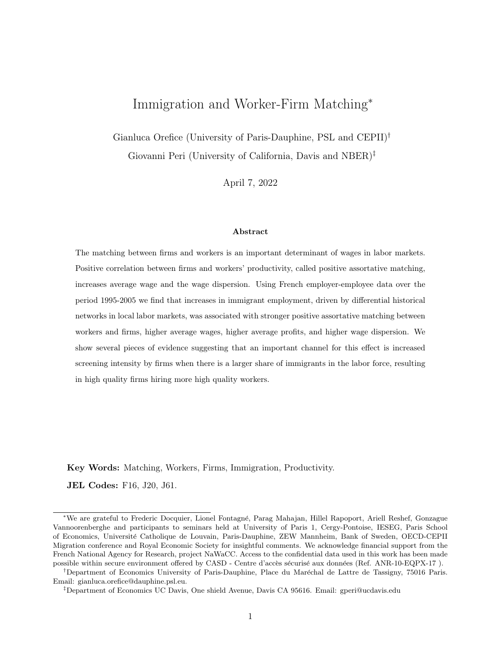| Dep Var:               |            | Rank Correlation  |            | Strength PAM      |           |
|------------------------|------------|-------------------|------------|-------------------|-----------|
|                        | (1)        | $\left( 2\right)$ | (3)        | $\left( 4\right)$ | (5)       |
| Immi Share             | $0.450**$  | $-0.249$          | $0.518***$ | $-0.344$          | 1.275     |
|                        | (0.203)    | (0.222)           | (0.190)    | (0.212)           | (2.392)   |
| Nat Employment $(\ln)$ | $-0.028$   | 0.003             | $-0.009$   | $-0.030$          | $-0.963*$ |
|                        | (0.039)    | (0.044)           | (0.041)    | (0.042)           | (0.582)   |
| Firms Concentration    | $-0.078$   | $-1.133***$       | 0.086      | $-0.405$          | $-2.734$  |
|                        | (0.251)    | (0.258)           | (0.249)    | (0.268)           | (4.022)   |
| Skilled share          | $0.259***$ | 0.018             | 0.122      | $-0.107$          | 1.658     |
|                        | (0.118)    | (0.143)           | (0.115)    | (0.145)           | (1.279)   |
| Worker Type            | Lifetime   | AKM               | Lifetime   | AKM               |           |
|                        | wage       |                   | wage       |                   |           |
| District FE            | yes        | yes               | yes        | yes               | yes       |
| Region-Year FE         | yes        | yes               | yes        | yes               | yes       |
| Observations           | 1,012      | 1,012             | 1,012      | 1,012             | 1,003     |
| R-squared              | 0.796      | 0.843             | 0.729      | 0.767             | 0.977     |

Table 8: Immigrant share and assortative matching, OLS baseline specification.

Notes: Dependent variables are respectively the rank correlation between worker and firm type, the strength of positive assortative matching, and the average firms' profits in each district-year. Districtyear specific controls are: (i) number of native workers in the district, (ii) concentration of firms and (iii) the share of skilled workers in the districts. Firm type approximated by value added per worker. The lifetime conditioned wage is the average wage earned by the worker over his/hers observed career (period 1995-2005). Worker's wage always purged by experience effect (age), seasonality (year fixed effects) and sector specificities (sector fixed effects). Robust standard errors in parenthesis. \*\*\*  $p < 0.01$ ; \*\*  $p < 0,05$ ; \*  $p < 0,1$ . Models are weighted by the number of firms in the district.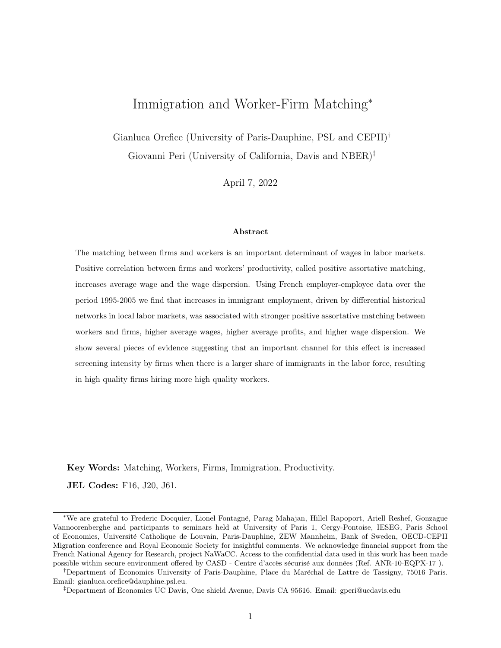| Dep Var:            |            | Rank Correlation  |            | Strength PAM |            |  |
|---------------------|------------|-------------------|------------|--------------|------------|--|
|                     | (1)        | $\left( 2\right)$ | (3)        | (4)          | (5)        |  |
| Immi Share          | $2.752**$  | $2.866**$         | $2.280**$  | $2.926**$    | 14.327*    |  |
|                     | (1.200)    | (1.195)           | (0.966)    | (1.176)      | (7.651)    |  |
| Nat Employment (ln) | $-0.072$   | 0.023             | $-0.061$   | $-0.031$     | $-0.819**$ |  |
|                     | (0.054)    | (0.042)           | (0.044)    | (0.049)      | (0.403)    |  |
| Firms Concentration | $0.757***$ | $-0.238$          | $0.607**$  | 0.210        | 7.919      |  |
|                     | (0.274)    | (0.238)           | (0.262)    | (0.254)      | (5.191)    |  |
| Skilled share       | $0.425**$  | $0.349*$          | 0.257      | $0.345*$     | 1.907      |  |
|                     | (0.179)    | (0.191)           | (0.156)    | (0.197)      | (1.197)    |  |
| Worker Type         | Lifetime   | <b>AKM</b>        | Lifetime   | <b>AKM</b>   |            |  |
|                     | wage       |                   | wage       |              |            |  |
| District FE         | yes        | yes               | yes        | yes          | yes        |  |
| Region-Year FE      | yes        | yes               | yes        | yes          | yes        |  |
| Observations        | 1,012      | 1,012             | 1,012      | 1,012        | 1,003      |  |
| R-squared           | 0.142      | 0.090             | 0.172      | 0.088        | 0.843      |  |
| First stage coeff   | $0.121***$ | $0.121***$        | $0.121***$ | $0.121***$   | $0.122***$ |  |
| F-stat              | 16.64      | 16.64             | 16.64      | 16.64        | 15.33      |  |
| Partial R-sq        | 0.047      | 0.047             | 0.047      | 0.047        | 0.046      |  |

Table 9: Immigrant share and assortative matching, 2SLS baseline specification.

Notes: Dependent variables are respectively the rank correlation between worker and firm type, the strength of positive assortative matching, and the average firms' profits in each district-year. Districtyear specific controls are: (i) number of native workers in the district, (ii) concentration of firms and the (iii) share of skilled workers in the districts. Firm type approximated by value added per worker. The lifetime conditioned wage is the average wage earned by the worker over his/hers observed career (period 1995-2005). Worker's wage always purged by experience effect (age), seasonality (year fixed effects) and sector specificities (sector fixed effects). Robust standard errors in parenthesis. \*\*\*  $p < 0.01$ ; \*\*  $p < 0,05; * p < 0,1.$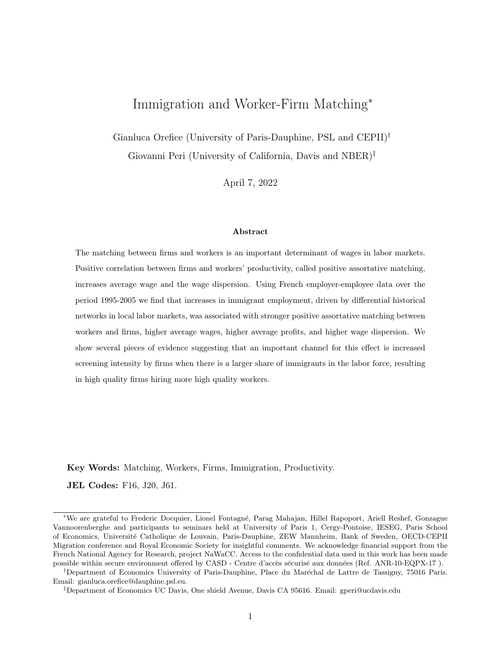| Dep Var:           |            | Strength PAM<br>Rank Correlation |                                                       |            | Firm Profit     |
|--------------------|------------|----------------------------------|-------------------------------------------------------|------------|-----------------|
|                    | (1)        | (2)                              | (3)                                                   | (4)        | (5)             |
|                    |            |                                  | Panel a: IV based on migration inflows in France      |            |                 |
| Immi Share         | $2.298*$   | 1.709                            | $2.001*$                                              | 0.637      | $25.565**$      |
|                    | (1.295)    | (1.231)                          | (1.124)                                               | (1.100)    | (12.792)        |
| Observations       | 1,012      | 1,012                            | 1,012                                                 | 1,012      | 1,003           |
| First stage coeff. | $0.284***$ | $0.284***$                       | $0.284***$                                            | $0.284***$ | $0.278***$      |
| F-stat             | 9.28       | 9.28                             | 9.28                                                  | 9.28       | 8.56            |
| Partial R-sq       | 0.031      | 0.031                            | 0.031                                                 | 0.031      | 0.030           |
|                    |            |                                  | Panel b: IV based on migration inflows in other EU-15 |            |                 |
| Immi Share         | $2.331*$   | $2.527*$                         | $2.960**$                                             | $3.037**$  | 7.002           |
|                    | (1.353)    | (1.326)                          | (1.198)                                               | (1.350)    | (7.269)         |
| Observations       | 1,012      | 1,012                            | 1,012                                                 | 1,012      | 1,003           |
| First stage coeff. | $0.049***$ | $0.049***$                       | $0.049***$                                            | $0.049***$ | $0.050^{***}\;$ |
| F-stat             | 14.95      | 14.95                            | 14.95                                                 | 14.95      | 14.37           |
| Partial R-sq       | 0.036      | 0.036                            | 0.036                                                 | 0.036      | 0.036           |
| Worker Type        | Lifetime   | <b>AKM</b>                       | Lifetime                                              | AKM        |                 |
|                    | wage       |                                  | wage                                                  |            |                 |
| District FE        | yes        | yes                              | yes                                                   | yes        | yes             |
| Region-Year FE     | yes        | yes                              | yes                                                   | yes        | yes             |

Table 10: Immigrant share and assortative matching, 2SLS using alternative IVs.

Notes: Alternative instrumental variables base on geographic distribution of immigrants across districts in 1982 augmented by the: (i) observed migration inflows in France by origin country (i.e. standard shift-share approach) in panel a; (ii) observed inflows of migrants into EU-15 destinations (excluded France) in panel b. Dependent variables are respectively the rank correlation between worker and firm type, the strength of positive assortative matching, and the average firms' profits in each district-year. District-year specific controls are: (i) number of native workers in the district, (ii) concentration of firms and (iii) the share of skilled workers in the districts. The lifetime conditioned wage is the average wage earned by the worker over his/hers observed career (period 1995-2005). Worker's wage always purged by experience effect (age), seasonality (year fixed effects) and sector specificities (sector fixed effects). Robust standard errors in parenthesis. \*\*\*  $p < 0.01$ ; \*\*  $p < 0,05;$  \*  $p < 0,1$ .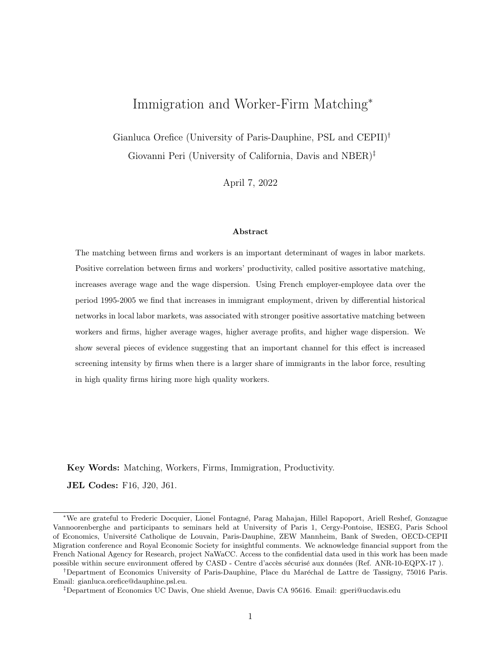| Dep Var:               |            | Rank Correlation |            | Strength PAM |             |  |
|------------------------|------------|------------------|------------|--------------|-------------|--|
|                        | (1)        | (2)              | (3)        | (4)          | (5)         |  |
| Immi Share             | $2.553**$  | $3.182***$       | $1.974**$  | $2.911***$   | $21.643***$ |  |
|                        | (1.100)    | (1.102)          | (0.892)    | (1.065)      | (7.642)     |  |
| Nat Employment (ln)    | $-0.079$   | 0.039            | $-0.068$   | $-0.021$     | $-0.679$    |  |
|                        | (0.054)    | (0.042)          | (0.043)    | (0.049)      | (0.413)     |  |
| Firms Concentration    | $0.689**$  | $-0.888***$      | $0.632**$  | $-0.218$     | $-4.738$    |  |
|                        | (0.309)    | (0.261)          | (0.303)    | (0.265)      | (4.756)     |  |
| Skilled share          | $0.420**$  | $0.390**$        | 0.235      | $0.348*$     | $3.141***$  |  |
|                        | (0.174)    | (0.189)          | (0.152)    | (0.192)      | (1.205)     |  |
| Exports $(\ln)$        | 0.004      | $0.022***$       | 0.001      | $0.015***$   | $0.378***$  |  |
|                        | (0.005)    | (0.004)          | (0.005)    | (0.005)      | (0.044)     |  |
| K/L                    | $-0.005**$ | 0.000            | $-0.004*$  | 0.000        | $-0.091***$ |  |
|                        | (0.002)    | (0.003)          | (0.002)    | (0.003)      | (0.025)     |  |
| Intermediates/Tot Prod | 0.001      | $-0.007$         | $-0.001$   | $-0.009***$  | $0.061*$    |  |
|                        | (0.005)    | (0.005)          | (0.003)    | (0.003)      | (0.031)     |  |
| Worker Type            | Lifetime   | <b>AKM</b>       | Lifetime   | <b>AKM</b>   |             |  |
|                        | wage       |                  | wage       |              |             |  |
| District FE            | yes        | yes              | yes        | yes          | yes         |  |
| Region-Year FE         | yes        | yes              | yes        | yes          | yes         |  |
| Observations           | 1,012      | 1,012            | 1,012      | 1,012        | 1,003       |  |
| R-squared              | 0.164      | 0.081            | 0.198      | 0.109        | 0.854       |  |
| First stage coeff.     | $0.134***$ | $0.134***$       | $0.134***$ | $0.134***$   | $0.135***$  |  |
| F-stat                 | 20.49      | 20.49            | 20.49      | 20.49        | 19.25       |  |
| Partial R-sq           | 0.052      | 0.052            | 0.052      | 0.052        | 0.051       |  |

Table 11: Immigrant share and assortative matching. Robustness check controlling for exports, capital intensity and intermediate inputs intensity.

Notes: Dependent variables are respectively the rank correlation between worker and firm type, the strength of positive assortative matching, and the average firms' profits in each district-year. District-year specific controls are: (i) number of native workers in the district, (ii) concentration of firms, (iii) share of skilled workers in the districts, (iv) total exports of firms in the district, (v) average capital intensity of firms in the district, and (vi) the average intermediate input intensity of firms in the district. Firm type approximated by value added per worker. The lifetime conditioned wage is the average wage earned by the worker over his/hers observed career (period 1995-2005). Worker's wage always purged by experience effect (age), seasonality (year fixed effects) and sector specificities (sector fixed effects). Robust standard errors in parenthesis. \*\*\*  $p < 0.01$ ; \*\*  $p < 0,05;$  \*  $p < 0,1...$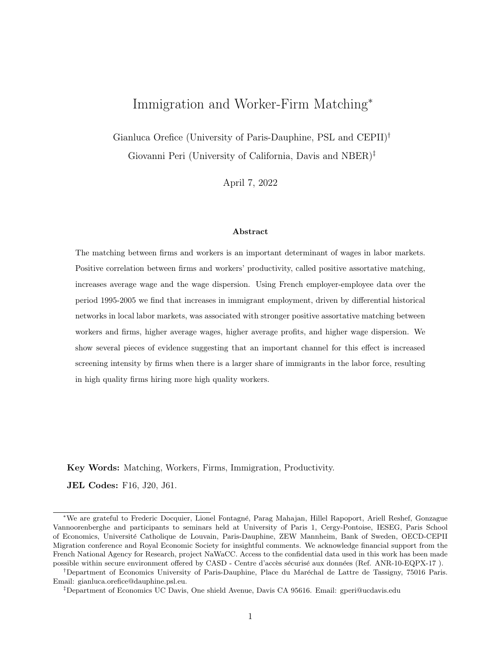| Dep Var:                             |            | Rank Correlation  |                                                   | Strength PAM | Firm Profit |
|--------------------------------------|------------|-------------------|---------------------------------------------------|--------------|-------------|
|                                      | (1)        | $\left( 2\right)$ | (3)                                               | (4)          | (5)         |
|                                      |            |                   | Panel a: Robustness check with sector-year FE     |              |             |
| Immi Sh.                             | 2.297***   | 0.930             | $2.994**$                                         | $4.034**$    | $7.160*$    |
|                                      | (0.812)    | (0.674)           | (1.461)                                           | (1.631)      | (4.135)     |
| Observations                         | 14,056     | 14,056            | 14,056                                            | 14,056       | 13,801      |
| First stage coeff.                   | $0.119***$ | $0.119***$        | $0.119***$                                        | $0.119***$   | $0.117***$  |
| F-stat                               | 22.10      | 22.10             | 22.10                                             | 22.10        | 21.40       |
| Partial R-sq                         | 0.045      | 0.045             | 0.045                                             | 0.045        | 0.044       |
|                                      |            |                   | Panel b: Interacting with industry immi intensity |              |             |
| Immi Sh.                             | $2.219***$ | 0.868             | 2.978**                                           | $4.051**$    | 6.317       |
|                                      | (0.823)    | (0.677)           | (1.456)                                           | (1.646)      | (3.854)     |
| Immi Sh. $\times$ Industry Immi Int. | $0.461***$ | $0.297***$        | $0.233**$                                         | 0.092        | $1.314**$   |
|                                      | (0.100)    | (0.086)           | (0.111)                                           | (0.122)      | (0.581)     |
| Observations                         | 13,947     | 13,947            | 13,947                                            | 13,947       | 13,801      |
| First stage coeff. immi share        | $0.119***$ | $0.119***$        | $0.119***$                                        | $0.119***$   | $0.118***$  |
| First stage coeff. interaction       | $0.392***$ | $0.392***$        | $0.392***$                                        | $0.392***$   | $0.392***$  |
| Joint F-stat                         | 11.11      | 11.11             | 11.11                                             | 11.11        | 10.76       |
| Partial R-sq                         | 0.045      | 0.045             | 0.045                                             | 0.045        | 0.044       |
| Worker Type                          | Lifetime   | <b>AKM</b>        | Lifetime                                          | <b>AKM</b>   |             |
|                                      | wage       |                   | wage                                              |              |             |
| District FE                          | yes        | yes               | yes                                               | yes          | yes         |
| Region-Year FE                       | yes        | yes               | yes                                               | yes          | yes         |
| Sector-Year FE                       | yes        | yes               | yes                                               | yes          | yes         |

Table 12: Immigrant share and assortative matching, district-sector specific regressions.

Notes: Dependent variables are respectively the rank correlation between worker and firm type, the strength of positive assortative matching, and the average firms' profits in each district-sector-year. Dependent variables are built at district-sector-year level. Immigrant share and control variables are at district-year level. District-year specific controls are: (i) number of native workers in the district, (ii) concentration of firms and the (iii) share of skilled workers in the districts. Firm type approximated by value added per worker. The lifetime conditioned wage is the average wage earned by the worker over his/hers observed career (period 1995-2005). Worker's wage always purged by experience effect (age), seasonality (year fixed effects) and sector specificities (sector fixed effects). Robust standard errors in parenthesis. \*\*\*  $p < 0,01;$  \*\*  $p < 0,05;$  \*  $p < 0,1$ .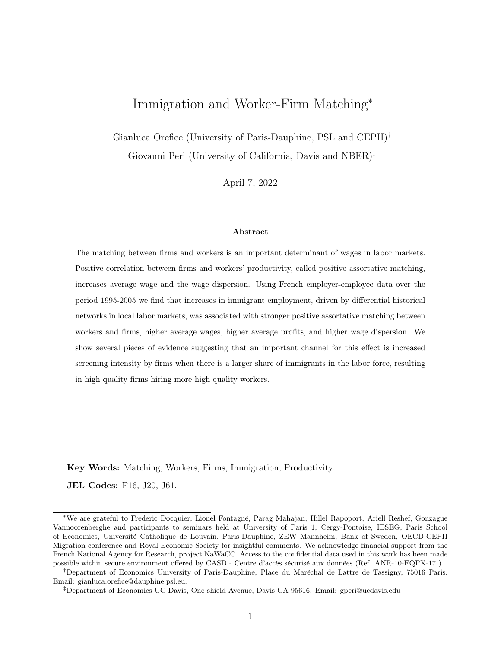| Dep Var:                | $Ln(wage_{dt})$ | $Ln(wage_{dt}^{H})$ | $Ln(wage_{dt}^{L})$ | $[Ln(wage_{dt}^{H})]$ | $-Ln(wagedt)$     |
|-------------------------|-----------------|---------------------|---------------------|-----------------------|-------------------|
|                         | (1)             | $\left( 2\right)$   | (3)                 | (4)                   | $\left( 5\right)$ |
| Immi Share              | $0.841*$        | $1.387**$           | $-0.088$            | $1.475**$             | $1.966**$         |
|                         | (0.439)         | (0.653)             | (0.250)             | (0.657)               | (0.881)           |
| Worker Type             |                 | Lifetime wage       |                     | Lifetime wage         | AKM               |
| District FE             | yes             | yes                 | yes                 | yes                   | yes               |
| Region-Year FE          | yes             | yes                 | yes                 | yes                   | yes               |
| District-Year controls  | yes             | yes                 | yes                 | yes                   | yes               |
| Other district controls | yes             | yes                 | yes                 | yes                   | yes               |
| Observations            | 1,012           | 1,012               | 1,012               | 1,012                 | 1,012             |
| First stage coeff.      |                 | $0.134***$          |                     |                       | $0.134***$        |
| F-stat                  |                 | 20.49               |                     | 20.49                 |                   |

Table 13: Wage and wage inequality regressions, baseline 2SLS specification.

Notes: In columns (1)-(3) dependent variable is the (log) average wage of all workers, high- and low-quality workers in each district-year (i.e. workers with type above and below the average in the district). In columns  $(4)-(5)$  the dependent variable is the difference in (log) average wage between high- and low-type workers in each district-year. District-year specific controls always included are: (i) number of native workers in the district, (ii) concentration of firms, (iii) share of skilled workers in the districts, (iv) district's total exports, (v) average capital intensity, and (vi) intermediate inputs intensity. The lifetime conditioned wage is the average wage earned by the worker over his/hers observed career (period 1995-2005). Worker's wage always purged by experience effect (age), seasonality (year fixed effects) and sector specificities (sector fixed effects). \*\*\*  $p < 0,01$ ; \*\*  $p < 0,05$ ; \*  $p < 0,1$ .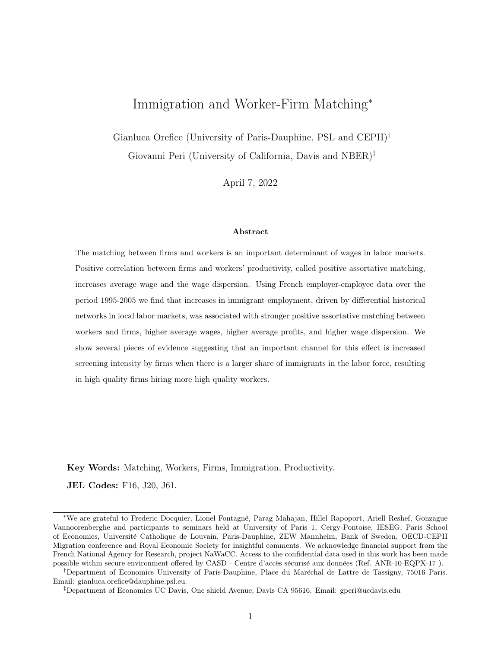| Dep Var:                              |             |                    | Rank Correlation       |             |                          |                        | Strength PAM          |               |
|---------------------------------------|-------------|--------------------|------------------------|-------------|--------------------------|------------------------|-----------------------|---------------|
|                                       | $\bigoplus$ | $\widehat{\infty}$ | $\widehat{\mathbb{C}}$ | $\bigoplus$ | $\widetilde{\mathbf{e}}$ | $\widehat{\mathbf{e}}$ | $(\widetilde{\zeta})$ | $\circledast$ |
| Immi sh $\times$ below median IQR     | $2.449*$    |                    | $2.798*$               |             | $2.059*$                 |                        | $3.541***$            |               |
|                                       | (1.451)     |                    | (1.444)                |             | (1.199)                  |                        | (1.434)               |               |
| Immi sh $\times$ above median IQR     | $3.087***$  |                    | $2.942**$              |             | $2.525***$               |                        | $2.245*$              |               |
|                                       | (1.192)     |                    | (1.253)                |             | (0.954)                  |                        | (1.181)               |               |
| Immi sh $\times$ below median min-max |             | 0.816              |                        | 2.110       |                          | 1.166                  |                       | 1.166         |
|                                       |             | (2.879)            |                        | (2.676)     |                          | (2.493)                |                       | (2.515)       |
| Immi sh $\times$ above median min-max |             | $2.789**$          |                        | $2.881**$   |                          | $2.301**$              |                       | $2.960***$    |
|                                       |             | (1.155)            |                        | (1.179)     |                          | (0.954)                |                       | (1.149)       |
| Worker Type                           |             | Lifetime wage      | <b>AKM</b>             |             | Lifetime wage            |                        |                       | AKM           |
| District FE                           | yes         | yes                | yes                    | $y$ es      | $y$ es                   | yes                    | yes                   | yes           |
| Region-Year FE                        | yes         | yes                | yes                    | yes         | yes                      | yes                    | yes                   | yes           |
| District-Year controls                | yes         | $y$ es             | yes                    | yes         | yes                      | yes                    | $y$ es                | yes           |
| Observations                          | 1,012       | 1,012              | 1,012                  | 1,012       | $1,012$                  | 1,012                  | 1,012                 | 1,012         |
| First stage coeff below IQR           | $0.140***$  |                    | $0.140***$             |             | $0.140***$               |                        | $0.140***$            |               |
| First stage coeff above IQR           | $0.111***$  |                    | $0.111***$             |             | $0.111***$               |                        | $0.111***$            |               |
| First stage coeff below min-max       |             | $0.080*$           |                        | $0.080*$    |                          | $0.080*$               |                       | $0.080*$      |
| First stage coeff above min-max       |             | $0.136***$         |                        | $0.136***$  |                          | $0.136***$             |                       | $0.136***$    |
| F-stat                                | 7.105       | 1.49               | 7.105                  | 1.49        | $7.105$                  | 1.49                   | 7.105                 | 1.49          |

Table 14: The heterogeneous effect of migration on Positive Assortative Matching, 2SLS baseline specification. morifoation effect of migration on Positive Assortative Matching. 2SLS baseline Table 14: The het

workers in the districts. Firm type approximated by value added per worker. The lifetime conditioned wage is the average wage earned by the worker over his/hers observed career (period 1995-2005). Worker's wage always pur workers in the districts. Firm type approximated by value added per worker. The lifetime conditioned wage is the average wage earned by the worker over his/hers observed career (period 1995-2005). Worker's wage always purged by experience effect (age), seasonality (year fixed effects) and sector each district-year. District-year specific controls are: (i) number of native workers in the district, (ii) concentration of firms and (iii) the share of skilled specificities (sector fixed effects). Robust standard errors in parenthesis. \*\*\*  $p < 0, 01$ ; \*\*  $p < 0, 05$ ; \*  $p < 0, 1$ .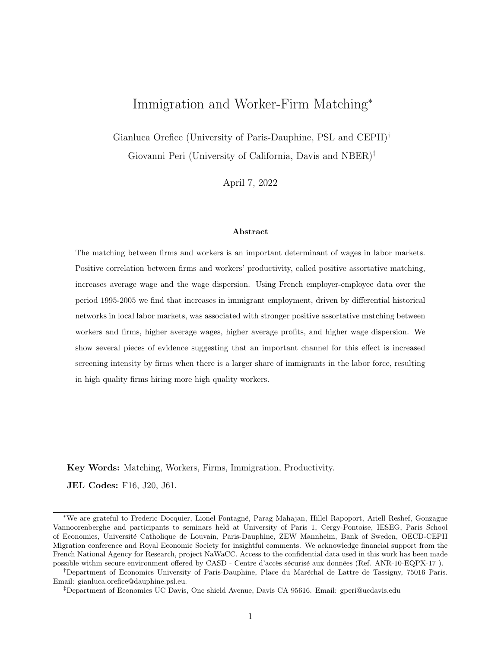| Dep Var:           |                      | Rank Correlation    | Strength PAM |            |  |  |
|--------------------|----------------------|---------------------|--------------|------------|--|--|
|                    | (1)                  | (2)                 | (3)          | (4)        |  |  |
|                    |                      | Native workers only |              |            |  |  |
| Immi Share         | $2.579**$            | $2.082*$            | 1.749*       | $2.400**$  |  |  |
|                    | (1.192)              | (1.142)             | (0.956)      | (1.179)    |  |  |
| Observations       | 1,012                | 1,012               | 1,012        | 1,012      |  |  |
| First stage coeff. | $0.121***$           | $0.121***$          | $0.121***$   | $0.121***$ |  |  |
| F-stat             | 16.64                | 16.64               | 16.64        | 16.64      |  |  |
| Partial R-sq       | 0.047                | 0.047               | 0.047        | 0.047      |  |  |
|                    | Migrant workers only |                     |              |            |  |  |
| Immi Share         | 7.978***             | 1.656               | $10.535***$  | $9.792***$ |  |  |
|                    | (2.479)              | (1.917)             | (3.018)      | (2.878)    |  |  |
| Observations       | 1,012                | 1,012               | 1,005        | 1,005      |  |  |
| First stage coeff. | $0.121***$           | $0.121***$          | $0.121***$   | $0.121***$ |  |  |
| F-stat             | 16.64                | 16.64               | 16.64        | 16.64      |  |  |
| Partial R-sq       | 0.047                | 0.047               | 0.047        | 0.047      |  |  |
| Worker Type        | Lifetime             | <b>AKM</b>          | Lifetime     | <b>AKM</b> |  |  |
|                    | wage                 |                     | wage         |            |  |  |
| District FE        | yes                  | yes                 | yes          | yes        |  |  |
| Region-Year FE     | yes                  | yes                 | yes          | yes        |  |  |
| District controls  | yes                  | yes                 | yes          | yes        |  |  |

Table 15: Native vs. Migrant workers assortative matching.

Notes: Dependent variables are respectively the rank correlation between native/migrant worker and firm type and the strength of positive assortative matching in each district-year. District-year specific controls are: (i) number of native workers in the district, (ii) concentration of firms and (iii) the share of skilled workers in the districts. Firm type approximated by value added per worker. The lifetime conditioned wage is the average wage earned by the worker over his/hers observed career (period 1995-2005). Worker's wage always purged by experience effect (age), seasonality (year fixed effects) and sector specificities (sector fixed effects). Robust standard errors in parenthesis. \*\*\*  $p < 0.01$ ; \*\*  $p < 0,05; * p < 0,1...$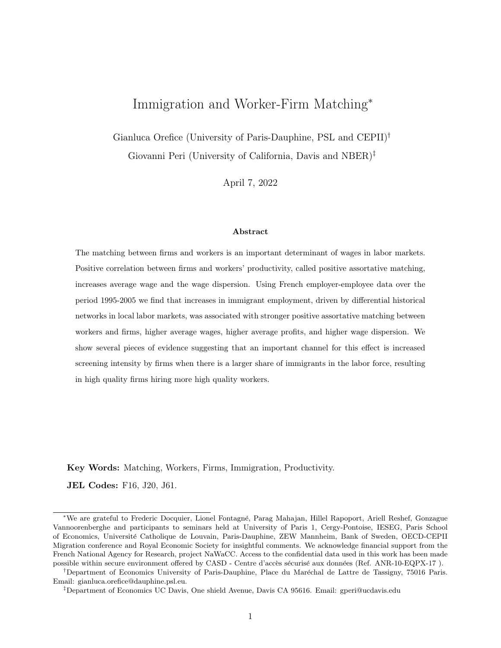|                        | Share RP workers  | Share RP hours    | Share of RP  | Sh. Firms with |
|------------------------|-------------------|-------------------|--------------|----------------|
|                        | in the firm (avg) | in the firm (avg) | workers in   | at least one   |
|                        | in the district)  | in the district)  | the district | RP worker      |
| Immi Share             | $0.007*$          | $0.008*$          | $0.095***$   | $0.013**$      |
|                        | (0.004)           | (0.004)           | (0.035)      | (0.006)        |
| District FE            | yes               | yes               | yes          | yes            |
| Region-Year FE         | yes               | yes               | yes          | yes            |
| District-Year controls | yes               | yes               | yes          | yes            |
| Observations           | 1,012             | 1,012             | 1,012        | 1,012          |
| First stage coeff.     | $0.121***$        | $0.121***$        | $0.121***$   | $0.121***$     |
| F-stat                 | 16.64             | 16.64             | 16.64        | 16.64          |

Table 16: Immigrant share and the recruitment personnel (RP) intensity of districts.

Notes: Dependent variables are: (i) the share of recruitment personnel workers over total employees in the firm (average across firms in the district), (ii) the share of hours worked in recruitment personnel positions in the firm (average across firms in the district), (iii) the share of recruitment personnel workers in the district, and (iv) the share of firms with at least one recruitment personnel worker in the district. District-year specific controls are: number of native workers in the district, concentration of firms and the share of skilled workers in the districts. Robust standard errors in parenthesis. \*\*\*  $p < 0,01$ ; \*\*  $p < 0,05$ ; \*  $p < 0,1$ .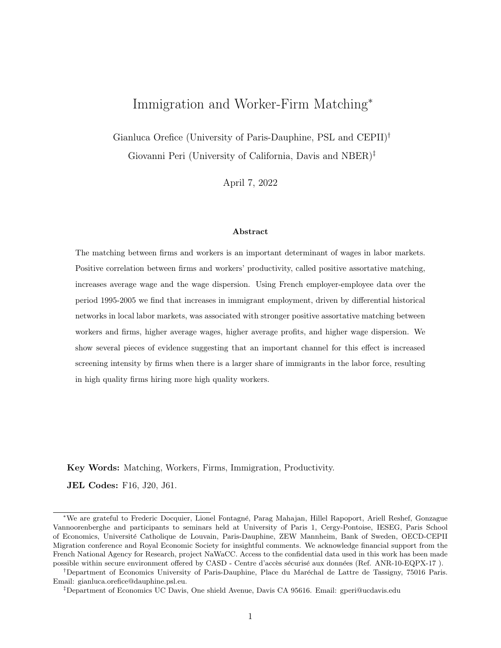|                        |                                | $#$ High-type movers           |
|------------------------|--------------------------------|--------------------------------|
|                        | from low to high               | from <i>high</i> to <i>low</i> |
|                        | type firm                      | type firm                      |
|                        | (1)                            | (2)                            |
| Immi Share             | 16.906*                        | 4.017                          |
|                        | (10.041)                       | (10.887)                       |
|                        |                                | $#$ Low-type movers            |
|                        | from <i>high</i> to <i>low</i> | from low to high               |
|                        | type firm                      | type firm                      |
|                        | (1)                            | (2)                            |
| Immi Share             | 11.598                         | 3.397                          |
|                        | (10.455)                       | (9.531)                        |
| Worker Type            |                                | Lifetime                       |
| Firm Type              |                                | Value Added per Worker         |
| District FE            | yes                            | yes                            |
| Region-Year FE         | yes                            | yes                            |
| District-Year controls | yes                            | yes                            |
| Observations           | 1,012                          | 1,012                          |
| First stage coeff.     |                                | $0.121***$                     |
| F-stat                 |                                | 16.64                          |
| Partial R-squared      |                                | 0.047                          |

Table 17: Immigrant share and movers by worker-type across firms of different type.

Notes: Dependent variables are the number of high- and low-type worker (in log) changing employer (i.e. siren code) and moving across firms of different type. High (low) type firms are firms with value added per worker above (below) the median. District-year specific controls are: number of native workers in the district, concentration of firms and the share of skilled workers in the districts. The lifetime conditioned wage used to approximate the worker type is the average wage earned by the worker over his/hers observed career (period 1995-2005). Worker's wage always purged by experience effect (age), seasonality (year fixed effects) and sector specificities (sector fixed effects). Robust standard errors in parenthesis. \*\*\*  $p < 0.01$ ; \*\*  $p < 0,05;$  \*  $p < 0,1$ .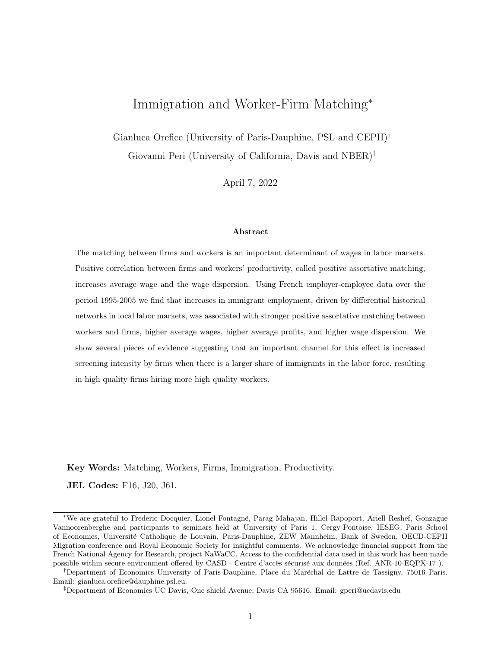## A Appendix tables (For Online Publication)

Figure A1: Total employment and PAM across districts.



(a) Employment and Worker-Firm type correlation. Worker type: lifetime wage.



(b) Employment and strength of PAM. Worker type: lifetime wage.

Source: Authors calculations on DADS and Ficus/Fare data. Note: Positive Assortative Matching approximated with the rank correlation between worker and firm type within a district (panel a) and the strength of PAM (panel b). Worker type approximated by conditioned lifetime wage. Firm type approximated by value added per worker. The lifetime conditioned wage is the average wage earned by the worker over his/hers observed career (period 1995-2005). Department of Lozére dropped as outlier.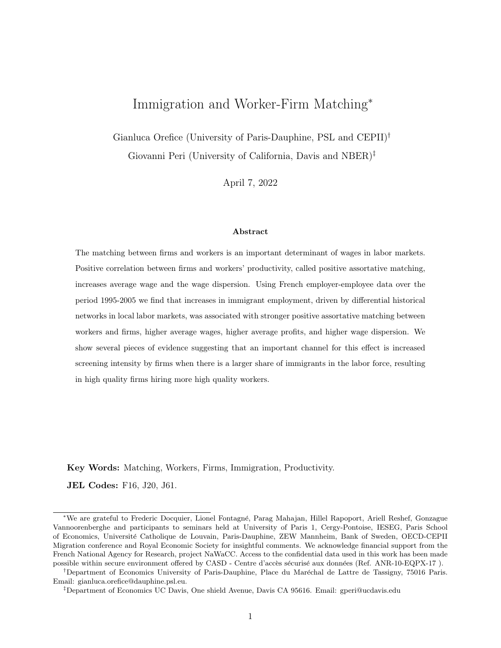|              | Std Dev     | Inter-quartile | Min-Max diff. |
|--------------|-------------|----------------|---------------|
|              | Worker Type | Worker Type    | Worker Type   |
| Immi Share   | $0.088***$  | $0.260***$     | $3.604***$    |
|              | (0.032)     | (0.054)        | (0.949)       |
| Observations | 1,012       | 1,012          | 1,012         |

Table A1: Immigrants and the distribution of workers types.

Note: All regressions include region-by-year fixed effects and the districtyear specific controls described in the empirical strategy. Worker type approximated by lifetime conditioned wage. The lifetime conditioned wage is the average wage earned by the worker over his/hers observed career (period 1995-2005). Worker's wage always purged by experience effect (age), seasonality (year fixed effects) and sector specificities (sector fixed effects). Robust standard errors in parenthesis. \*\*\*  $p < 0,01$ ; \*\*  $p < 0,05$ ; \*  $p < 0, 1.$ 

Table A2: Validity of the IV. Correlation between the initial strength of PAM and change in the IV.

|                         | Rank Correlation 1995 |             | Strength PAM 1995 |             |
|-------------------------|-----------------------|-------------|-------------------|-------------|
| $\Delta$ IV (2005-1995) | 0.164                 | 0.295       | 0.093             | 0.086       |
|                         | (0.319)               | (0.327)     | (0.283)           | (0.343)     |
| Source                  | DADS                  | <b>DADS</b> | DADS              | <b>DADS</b> |
| Worker Type             | Lifetime              | AKM         | Lifetime          | AKM         |
|                         | wage                  |             | wage              |             |
| Observations            | 92                    | 92          | 92                | 92          |
| R-squared               | 0.275                 | 0.394       | 0.274             | 0.393       |

Notes: All regressions include region fixed effects. Robust standard errors in parenthesis. \*\*\*  $p < 0,01;$  \*\*  $p < 0,05;$  \*  $p < 0,1$ .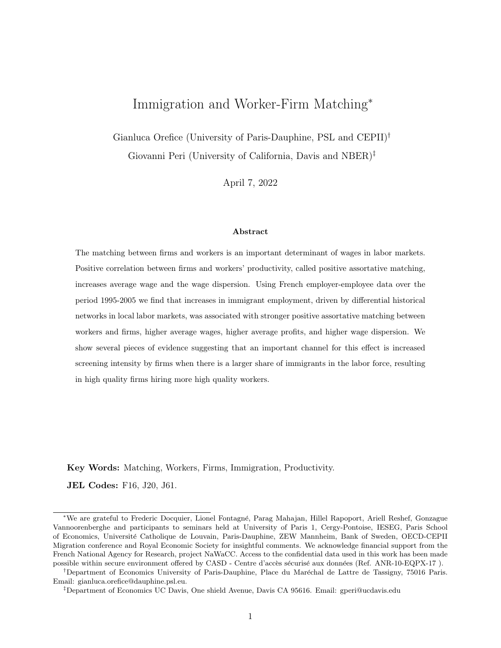| Dep Var:            | Rank Correlation |             |            | Strength PAM |           |
|---------------------|------------------|-------------|------------|--------------|-----------|
|                     | (1)              | (2)         | (3)        | (4)          | (5)       |
| Immi Share          | $3.765***$       | $4.404**$   | $2.964***$ | $3.893**$    | 4.176     |
|                     | (1.346)          | (2.041)     | (1.042)    | (1.904)      | (8.153)   |
| Nat Employment (ln) | 0.035            | 0.092       | 0.037      | 0.051        | $-0.905*$ |
|                     | (0.058)          | (0.087)     | (0.048)    | (0.080)      | (0.520)   |
| Firms Concentration | $-0.205$         | $-1.312***$ | $-0.008$   | $-0.567*$    | $-2.837$  |
|                     | (0.286)          | (0.340)     | (0.244)    | (0.324)      | (3.371)   |
| Skilled share       | $0.707***$       | $0.648**$   | $0.452**$  | 0.466        | 2.053     |
|                     | (0.223)          | (0.312)     | (0.189)    | (0.308)      | (1.463)   |
| Worker Type         | Lifetime         | AKM         | Lifetime   | AKM          |           |
|                     | wage             |             | wage       |              |           |
| District FE         | yes              | yes         | yes        | yes          | yes       |
| Region-Year FE      | yes              | yes         | yes        | yes          | yes       |
| Observations        | 1,012            | 1,012       | 1,012      | 1,012        | 1,003     |
| First stage coeff.  | $0.112**$        | $0.112**$   | $0.112**$  | $0.112**$    | $0.114**$ |
| F-stat              | 6.51             | 6.51        | 6.51       | 6.51         | 6.35      |
| Partial R-sq        | 0.052            | 0.052       | 0.052      | 0.052        | 0.052     |

Table A3: Immigrant share and assortative matching, weighted 2SLS estimations.

Notes: Weights are the number of firms in the district. Dependent variables are respectively the rank correlation between worker and firm type, the strength of positive assortative matching, and the average firms' profits in each district-year. District-year specific controls are: (i) number of native workers in the district, (ii) concentration of firms and (iii) the share of skilled workers in the districts. Firm type approximated by value added per worker. The lifetime conditioned wage is the average wage earned by the worker over his/hers observed career (period 1995-2005). Worker's wage always purged by experience effect (age), seasonality (year fixed effects) and sector specificities (sector fixed effects). Robust standard errors in parenthesis. \*\*\*  $p < 0,01;$  \*\*  $p < 0,05;$  \*  $p < 0,1$ .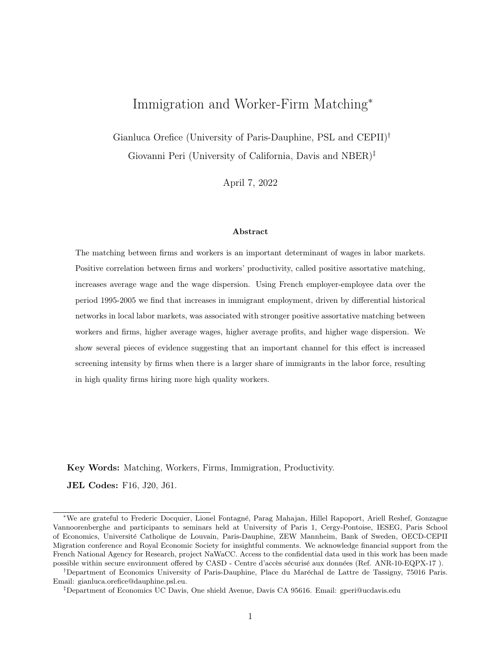| Dep Var:           | Rank Correlation |            |                                                | Strength PAM |
|--------------------|------------------|------------|------------------------------------------------|--------------|
|                    | (1)              | (2)        | (3)                                            | (4)          |
|                    |                  |            | Co-worker type as proxy for firm type          |              |
| Immi Share         | $19.241***$      | 0.164      | $0.951*$                                       | $1.770***$   |
|                    | (5.948)          | (3.069)    | (0.533)                                        | (0.643)      |
|                    |                  |            | TFP as proxy for firm type                     |              |
| Immi Share         | $2.207*$         | 1.056      | $3.023***$                                     | 1.281        |
|                    | (1.244)          | (0.946)    | (1.069)                                        | (0.869)      |
|                    |                  |            | AKM firm FE as proxy for firm type             |              |
| Immi Share         | $-0.767$         | $4.444***$ | $-0.942$                                       | 0.919        |
|                    | (0.867)          | (1.158)    | (1.009)                                        | (1.145)      |
|                    |                  |            | Worker type conditioned on worker's occupation |              |
| Immi Share         | 0.747            | $2.849**$  | 0.507                                          | $2.774**$    |
|                    | (1.126)          | (1.194)    | (0.960)                                        | (1.170)      |
| Worker Type        | Lifetime         | AKM        | Lifetime                                       | AKM          |
|                    | wage             |            | wage                                           |              |
| District FE        | yes              | yes        | yes                                            | yes          |
| Region-Year FE     | yes              | yes        | yes                                            | yes          |
| District controls  | yes              | yes        | yes                                            | yes          |
| Observations       | 1,012            | 1,012      | 1,012                                          | 1,012        |
| First stage coeff. |                  |            | $0.121***$                                     |              |
| F-stat             |                  |            | 16.64                                          |              |

Table A4: Robustness check using alternative proxies of firm and worker type.

Notes: Dependent variables are respectively the rank correlation between worker and firm type and the strength of positive assortative matching in each districtyear. District-year specific controls are: (i) number of native workers in the district, (ii) concentration of firms, (iii) share of skilled workers in the districts. The lifetime conditioned wage is the average wage earned by the worker over his/hers observed career (period 1995-2005). Worker's wage always purged by experience effect (age), seasonality (year fixed effects) and sector specificities (sector fixed effects). Robust standard errors in parenthesis. \*\*\*  $p < 0.01$ ; \*\*  $p < 0.05$ ; \*  $p < 0.1$ .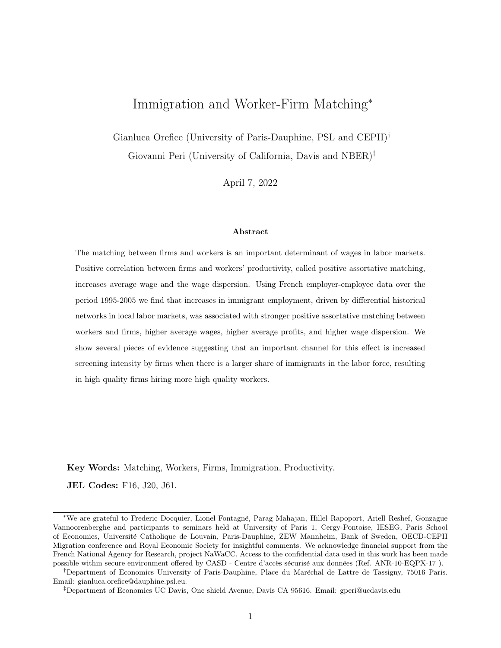| Dep Var:               | Rank Correlation |            |            | Strength PAM |
|------------------------|------------------|------------|------------|--------------|
|                        | (1)              | (2)        | (3)        | (4)          |
| Immi Share             | $2.403**$        | $2.910**$  | $2.009**$  | $2.788**$    |
|                        | (1.161)          | (1.199)    | (0.945)    | (1.160)      |
| Worker Type            | Lifetime         | AKM        | Lifetime   | AKM          |
|                        | wage             |            | wage       |              |
| District FE            | yes              | yes        | yes        | yes          |
| Region-Year FE         | yes              | yes        | yes        | yes          |
| District-Year controls | $\mathbf{no}$    | no         | no         | no           |
| Observations           | 1,012            | 1,012      | 1,012      | 1,012        |
| First stage coeff.     | $0.121***$       | $0.121***$ | $0.121***$ | $0.121***$   |
| F-stat                 | 16.49            | 16.49      | 16.49      | 16.49        |
| Partial R-sq           | 0.046            | 0.046      | 0.046      | 0.046        |

Table A5: Robustness check excluding district-year controls.

Notes: Dependent variables are respectively the rank correlation between worker and firm type and the strength of positive assortative matching in each district-year. The lifetime conditioned wage is the average wage earned by the worker over his/hers observed career (period 1995-2005). Worker's wage always purged by experience effect (age), seasonality (year fixed effects) and sector specificities (sector fixed effects). Robust standard errors in parenthesis. \*\*\*  $p < 0,01$ ; \*\*  $p < 0,05$ ; \*  $p < 0,1$ .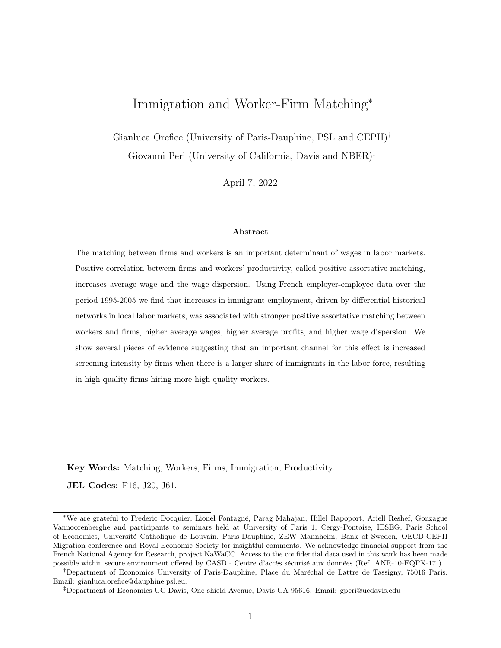| Dep Var:            |            | Rank Correlation  |            | Strength PAM | <b>Firm Profit</b> |
|---------------------|------------|-------------------|------------|--------------|--------------------|
|                     | (1)        | $\left( 2\right)$ | (3)        | (4)          | (5)                |
| Immi Share          | $2.641**$  | $2.796**$         | $2.182**$  | $2.845**$    | 13.767*            |
|                     | (1.190)    | (1.185)           | (0.960)    | (1.165)      | (7.696)            |
| Nat Employment (ln) | $-0.063$   | 0.030             | $-0.055$   | $-0.024$     | $-0.819**$         |
|                     | (0.056)    | (0.043)           | (0.046)    | (0.051)      | (0.410)            |
| Firms Concentration | $0.745***$ | $-0.249$          | $0.595**$  | 0.198        | 7.891              |
|                     | (0.272)    | (0.237)           | (0.261)    | (0.254)      | (5.177)            |
| Skilled share       | $0.414**$  | $0.340*$          | 0.248      | $0.337*$     | 1.840              |
|                     | (0.182)    | (0.192)           | (0.159)    | (0.199)      | (1.192)            |
| Worker Type         | Lifetime   | AKM               | Lifetime   | AKM          |                    |
|                     | wage       |                   | wage       |              |                    |
| District Trend      | yes        | yes               | yes        | yes          | yes                |
| Region-Year FE      | yes        | yes               | yes        | yes          | yes                |
| Observations        | 1,012      | 1,012             | 1,012      | 1,012        | 1,003              |
| First stage coeff.  | $0.124***$ | $0.124***$        | $0.124***$ | $0.124***$   | $0.122***$         |
| F-stat              | 15.86      | 15.86             | 15.86      | 15.86        | 14.96              |

Table A6: Robustness check including district specific trend.

Notes: Dependent variables are respectively the rank correlation between worker and firm type, the strength of positive assortative matching, and the average firms' profits in each district-year. Districtyear specific controls are: (i) number of native workers in the district, (ii) concentration of firms and the (iii) share of skilled workers in the districts. The lifetime conditioned wage is the average wage earned by the worker over his/hers observed career (period 1995-2005). Worker's wage always purged by experience effect (age), seasonality (year fixed effects) and sector specificities (sector fixed effects). Robust standard errors in parenthesis. \*\*\* $p < 0,01;$ \*\* $p < 0,05;$ \* $p < 0,1.$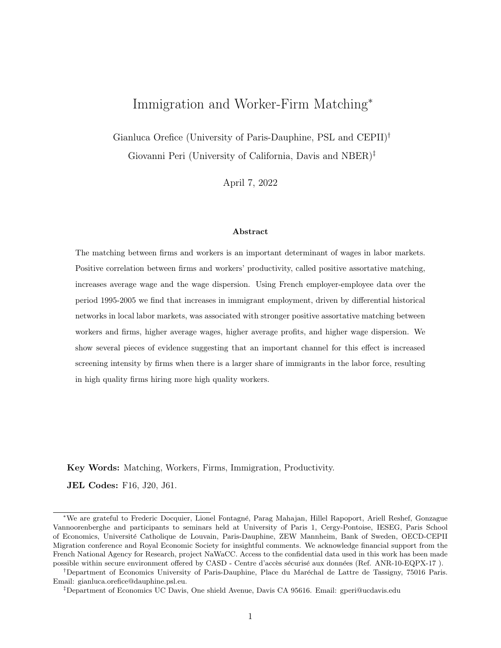| Dep Var:            |            | Rank Correlation |            | Strength PAM |
|---------------------|------------|------------------|------------|--------------|
|                     | (1)        | (2)              | (3)        | (4)          |
| Immi Share          | $4.779***$ | $4.511***$       | 1.994**    | $3.068***$   |
|                     | (1.417)    | (1.471)          | (0.936)    | (1.189)      |
| Nat Employment (ln) | 0.019      | 0.024            | $-0.068$   | $-0.052$     |
|                     | (0.060)    | (0.052)          | (0.045)    | (0.057)      |
| Firms Concentration | $1.392***$ | $0.720***$       | $0.685***$ | $0.516*$     |
|                     | (0.331)    | (0.279)          | (0.250)    | (0.275)      |
| Skilled share       | $0.694***$ | 0.326            | $0.277*$   | 0.376        |
|                     | (0.223)    | (0.226)          | (0.147)    | (0.216)      |
| Worker Type         | Lifetime   | AKM              | Lifetime   | AKM          |
|                     | wage       |                  | wage       |              |
| District FE         | yes        | yes              | yes        | yes          |
| Region-Year FE      | yes        | yes              | yes        | yes          |
| Observations        | 1,012      | 1,012            | 1,012      | 1,012        |
| First stage coeff.  | $0.121***$ | $0.121***$       | $0.121***$ | $0.121***$   |
| F-stat              | 16.64      | 16.64            | 16.64      | 16.64        |
| Partial R-sq        | 0.047      | 0.047            | 0.047      | 0.047        |

Table A7: Robustness check excluding micro and very large firms.

Notes: Dependent variables are respectively the rank correlation between worker and firm type and the strength of positive assortative matching in each district-year. District-year specific controls are: (i) number of native workers in the district, (ii) concentration of firms, (iii) share of skilled workers in the districts. The lifetime conditioned wage is the average wage earned by the worker over his/hers observed career (period 1995-2005). Worker's wage always purged by experience effect (age), seasonality (year fixed effects) and sector specificities (sector fixed effects). Robust standard errors in parenthesis. \*\*\*  $p < 0,01$ ; \*\*  $p < 0,05$ ; \*  $p < 0,1$ .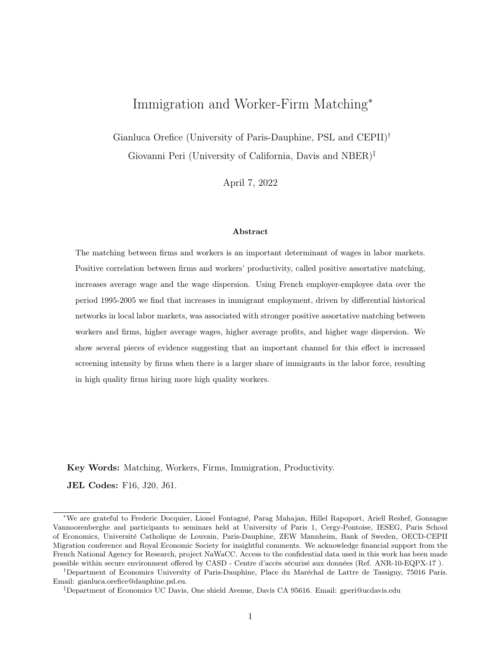| Dep Var:                                     | Rank Correlation |            |            | Pearson Correlation |  |
|----------------------------------------------|------------------|------------|------------|---------------------|--|
|                                              | (1)              | (2)        | (3)        | (4)                 |  |
| Immi Share                                   | $2.891***$       | $3.617***$ | $2.127**$  | $2.664**$           |  |
|                                              | (1.029)          | (1.246)    | (0.977)    | (1.091)             |  |
| Nat Employment (ln)                          | $-0.051$         | $-0.008$   | $-0.045$   | 0.033               |  |
|                                              | (0.044)          | (0.045)    | (0.042)    | (0.041)             |  |
| Firms Concentration                          | $0.697***$       | 0.005      | $0.655***$ | 0.102               |  |
|                                              | (0.251)          | (0.262)    | (0.234)    | (0.260)             |  |
| Skilled share                                | $0.439***$       | $0.398**$  | $0.399**$  | $0.320*$            |  |
|                                              | (0.158)          | (0.196)    | (0.156)    | (0.178)             |  |
| Worker Type                                  | Lifetime         | AKM        | Lifetime   | AKM                 |  |
|                                              | wage             |            | wage       |                     |  |
| District FE                                  | yes              | yes        | yes        | yes                 |  |
| Region-Year FE                               | yes              | yes        | yes        | yes                 |  |
| District-Year controls                       | yes              | yes        | yes        | yes                 |  |
| Observations                                 | 1,012            | 1,012      | 1,012      | 1,012               |  |
| First stage coeff. <sup><math>a</math></sup> | $0.121***$       | $0.121***$ | $0.121***$ | $0.121***$          |  |
| F-stat                                       | 16.64            | 16.64      | 16.64      | 16.64               |  |
| Partial R-sq                                 | 0.047            | 0.047      | 0.047      | 0.047               |  |

Table A8: Alternative correlation measures to compute PAM.

Notes: Dependent variables are respectively the rank correlation between worker and firm type abstracting from the significance (columns 1-2), the Pearson correlation index between worker and firm type (columns 3-4). District-year specific controls are: (i) number of native workers in the district, (ii) concentration of firms and (iii) the share of skilled workers in the districts. The lifetime conditioned wage is the average wage earned by the worker over his/hers observed career (period 1995-2005). Worker's wage always purged by experience effect (age), seasonality (year fixed effects) and sector specificities (sector fixed effects). Robust standard errors in parenthesis. \*\*\*  $p < 0,01;$  \*\*  $p < 0,05;$  \*  $p < 0,1$ .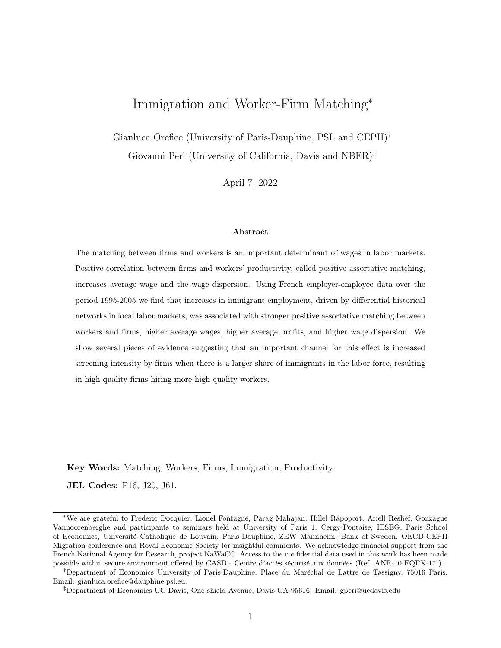|                                      | Union of Confidence Interval estimations |                      |               |                  |
|--------------------------------------|------------------------------------------|----------------------|---------------|------------------|
| Dep Var                              |                                          | Coeff. in<br>tab 9   | Min<br>90% CI | Max<br>$90\%$ CI |
| Rank Correlation Lifetime Wage VAPW  | 0.084<br>(0.260)                         | $2.752**$<br>(1.200) | 0.225         | 4.725            |
| Rank Correlation AKM worker FE VAPW  | $-0.355**$<br>(0.174)                    | $2.866**$<br>(1.195) | 0.901         | 8.361            |
| Strength Matching Lifetime Wage VAPW | 0.184<br>(0.197)                         | $2.280**$<br>(0.966) | $-0.668$      | 3.868            |
| Strength Matching AKM worker FE VAPW | $-0.116$<br>(0.195)                      | $2.926**$<br>(1.176) | 0.991         | 5.965            |

Table A9: Immigrant share and assortative matching with plausibly exogenous instrument.

Notes: UCI based on  $\gamma$  coefficients from a regression of assortative matching (i.e. rank correlation between worker and firm type) on the IVs. Robust standard errors in parenthesis. \*\*\*  $p < 0.01$ ; \*\*  $p < 0.05$ ; \*  $p < 0, 1.$ 

Table A10: Movers by worker-type across firms of different types.

|      | $#$ High-type movers across firms           |                                             | $#$ Low-type movers across firms            |                               |  |
|------|---------------------------------------------|---------------------------------------------|---------------------------------------------|-------------------------------|--|
| year | from <i>low</i> to <i>high</i><br>type firm | from <i>high</i> to <i>low</i><br>type firm | from <i>high</i> to <i>low</i><br>type firm | from low to high<br>type firm |  |
| 1996 | 52                                          | 64                                          | 66                                          | 48                            |  |
| 1997 | 61                                          | 28                                          | 32                                          | 58                            |  |
| 1998 | 108                                         | 38                                          | 41                                          | 109                           |  |
| 1999 | 240                                         | 72                                          | 77                                          | 204                           |  |
| 2000 | 99                                          | 35                                          | 52                                          | 57                            |  |
| 2001 | 56                                          | 45                                          | 31                                          | 48                            |  |
| 2002 | 122                                         | 99                                          | 87                                          | 65                            |  |
| 2003 | 187                                         | 124                                         | 151                                         | 109                           |  |
| 2004 | 146                                         | 137                                         | 98                                          | 89                            |  |
| 2005 | 106                                         | 239                                         | 155                                         | 128                           |  |

Notes: The table considers only movers with unemployment spell of max one year. High (low) type firms are firms with value added per worker above (below) the median.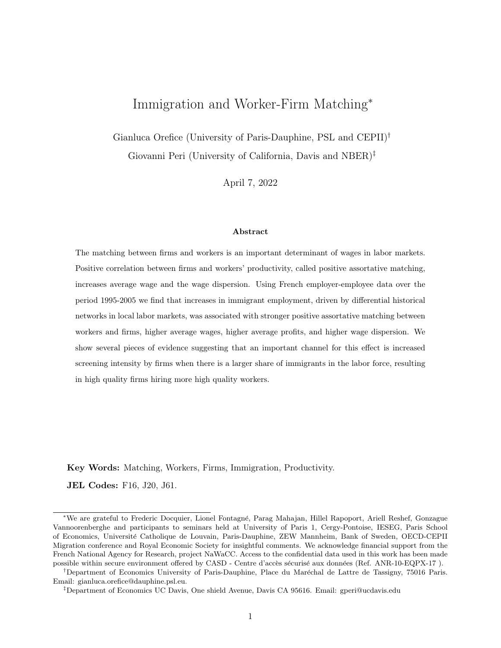| Dep Var:                                       | Rank Correlation                                      |             | Strength PAM                                      |            |
|------------------------------------------------|-------------------------------------------------------|-------------|---------------------------------------------------|------------|
|                                                | (1)                                                   | (2)         | (3)                                               | (4)        |
|                                                | Panel a: screening cost based on recruiters/HR ratio. |             |                                                   |            |
| Immi Sh.                                       | $2.432***$                                            | $1.138*$    | $3.117**$                                         | $4.042**$  |
|                                                | (0.818)                                               | (0.673)     | (1.466)                                           | (1.631)    |
| Immi Sh. $\times$ Cost screen. (recruiters/HR) | $-0.241***$                                           | $-0.372***$ | $-0.219*$                                         | $-0.015$   |
|                                                | (0.081)                                               | (0.080)     | (0.118)                                           | (0.128)    |
| Observations                                   | 14,059                                                | 14,059      | 14,059                                            | 14,059     |
| First stage coeff. immi share                  | $0.119***$                                            |             |                                                   |            |
| First stage coeff. interaction                 | $0.391***$                                            |             |                                                   |            |
| Joint F-stat                                   | 11.05                                                 |             |                                                   |            |
|                                                |                                                       |             | Panel b: screening cost based on time to recruit. |            |
| Immi Sh.                                       | $2.424***$                                            | 1.030       | $3.065**$                                         | $4.050**$  |
|                                                | (0.817)                                               | (0.671)     | (1.463)                                           | (1.632)    |
| Immi Sh. $\times$ Cost screen. (time recruit)  | $-0.216***$                                           | $-0.170**$  | $-0.122$                                          | $-0.028$   |
|                                                | (0.080)                                               | (0.076)     | (0.119)                                           | (0.119)    |
| Observations                                   | 14,059                                                | 14,059      | 14,059                                            | 14,059     |
| First stage coeff. immi share                  | $0.119***$                                            |             |                                                   |            |
| First stage coeff. interaction                 | $0.390***$                                            |             |                                                   |            |
| Joint F-stat                                   | 11.05                                                 |             |                                                   |            |
| Worker Type                                    | Lifetime                                              | <b>AKM</b>  | Lifetime                                          | <b>AKM</b> |
|                                                | wage                                                  |             | wage                                              |            |
| District FE                                    | yes                                                   | yes         | yes                                               | yes        |
| Region-Year FE                                 | yes                                                   | yes         | yes                                               | yes        |
| Sector-Year FE                                 | yes                                                   | yes         | yes                                               | yes        |

Table A11: Immigrant share, assortative matching and the cost of screening.

Notes: Dependent variables are respectively the rank correlation between worker and firm type, and the strength of positive assortative matching in each district-sector-year. Dependent variables are built at district-sector-year level. Immigrant share and control variables are at district-year level. District-year specific controls are: (i) number of native workers in the district, (ii) concentration of firms and the (iii) share of skilled workers in the districts. Firm type approximated by value added per worker. The lifetime conditioned wage is the average wage earned by the worker over his/hers observed career (period 1995-2005). Worker's wage always purged by experience effect (age), seasonality (year fixed effects) and sector specificities (sector fixed effects). Robust standard errors in parenthesis. \*\*\*  $p < 0,01$ ; \*\* $p < 0,05;$ \* $p < 0,1.$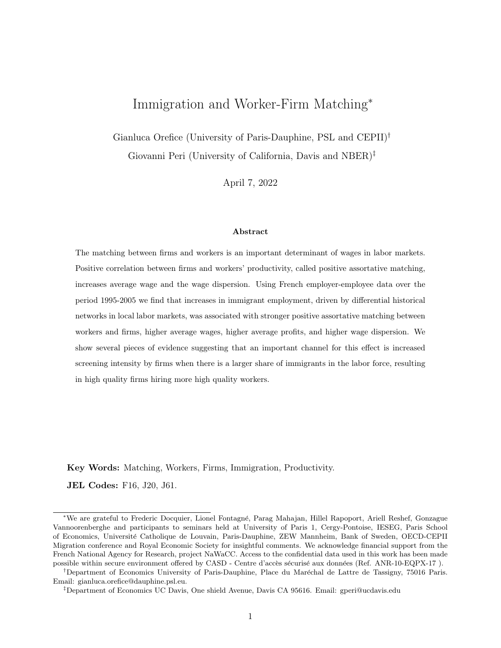### B A model of screening and skill dispersion (For Online Publication)

This section develops a simple model to illustrate the incentives generated by the presence of immigrants with higher dispersion of skills relative to natives. The model does not develop fully a case with several regions. It simply looks at one local labor market with firms and workers of different types and illustrates how the dispersion of workers' skill affects the screening behavior of firms and hence matching with workers. The propositions are derived as comparative statics between individual markets with different characteristics in the distribution of workers' skills. The key intuition formalized in the model is that firms will be more likely to pay a fixed screening cost and improve their probability of matching assortatively when more immigrants are in the labor markets, as the latter group exhibits larger dispersion of skills. In particular, if immigrants generate more dispersion of quality at the top of the distribution (i.e. high quality immigrants are of higher quality than natives) high quality firms will have more incentives to screen and this will generate assortative matching at least for high quality firms. Even if immigrants can be distinguished from natives, if the cost of screening is fixed, their presence increases the probability for firms, especially high quality ones, screening for quality of all workers.

#### B.1 Model with two types of firms and workers

Consider an economy with labor force of unit mass, in which workers come in two different quality levels (types) with productivity equal to  $\theta_w$ , for the low productivity ones, and  $\overline{\theta_w}$ , for the high productivity group, where  $1 < \theta_w < \overline{\theta_w}$ . We assume that both groups have the same size so that each quality level of worker, denoted as  $\mu \in {\theta_w, \overline{\theta_w}}$ , comprises 1/2 of the total labor force. We also assume that while all workers can observe their quality (type), firms cannot observe the specific quality of the worker. Therefore,  $\frac{1}{2}(\underline{\theta_w}-\overline{\theta_w})$  is the standard deviation of the expected quality of workers in a group, from the firm's perspective. There is also a unit mass of firms with average quality (productivity)  $\frac{1}{2}(\underline{\theta_f} + \overline{\theta_f})$  and among them half have relatively high quality  $\overline{\theta_f}$  and half of them have relatively low quality  $\theta_f$ , with both values larger than one. This generates a distribution of firms over the quality levels  $\phi = [\theta_f, \overline{\theta_f}]$ , with half of the firms in each group.

Each firm j matches with one worker  $i^{53}$  and produces surplus (value added) according to the following production function, in which the quality of firms and workers are complementary in a multiplicative way:

$$
Y_{i,j} = (\mu_i * \phi_j) \tag{7}
$$

This expression is a special case that captures the complementarity between the quality of firm and workers and the super-modularity of production.<sup>54</sup> Once the match has taken place and production

 $53$ In a recent paper Eeckhout & Kircher (2018) show that assortative matching happens across firms of different size (i.e. when the firm matches with many workers). In their model the firms choose both the quality and the quantity (size) of their workforce. In this case, positive assortative matching not only depends on the degree of complementarity between types, but also on the complementarity between types and quantity.

<sup>&</sup>lt;sup>54</sup>With this property high-quality workers are paid more, in general, but are particularly valuable to high quality firms (as in Kremer 1993).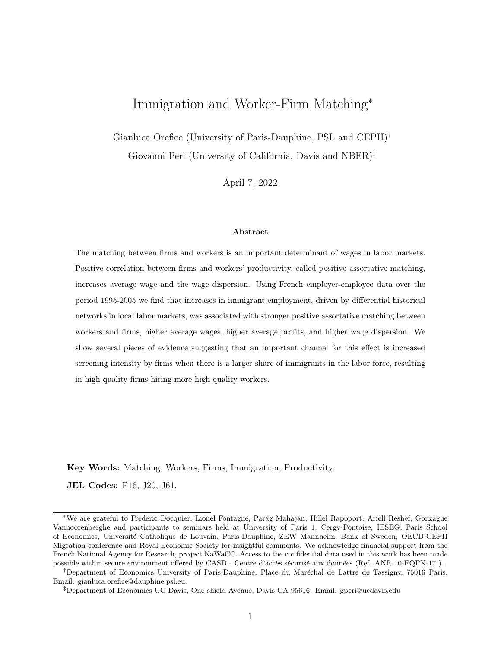begins, the surplus is split equally between wage of the worker and profit of the firm, so that the wage of worker *i* is: $55$ 

$$
W_i = \frac{(\mu_i * \phi_j)}{2} \tag{8}
$$

and the profit of firm  $j$  is:

$$
\Pi_j = \frac{(\mu_i * \phi_j)}{2} \tag{9}
$$

Notice that in expression (8) wages are log-linear in the quality of the firm and in the quality of the worker, just as the AKM decomposition requires. We assume that firms have imperfect information and cannot distinguish the identity of high- and low-quality workers without screening them. Firms, however, can pay an ex-ante fixed cost,  $K$ , and set-up a screening mechanism after which they are able to observe worker quality and match in every period with the preferred type. For the moment we assume that this screening cost is equal for each firm and is a fixed cost, so once paid it allows a firm to observe the quality of any matched worker. The fixed cost nature of screening is qualitatively supported by the fact that recruitment over total human resources workers ratio decreases with the firm size. See Figure B1.

The incentives to pay the screening costs are higher for the high-quality firms as they have a larger marginal profit from matching with high-quality workers, due to the convexity of production and complementarity between high-quality firms and high-quality workers. Hence, if the screening cost is below a certain threshold, the high-quality firms (those with quality  $\overline{\theta_f}$ ) will pay the screening cost and will match with high-quality workers, leaving low-quality workers to low-quality firms. In this simple model with only two-types, this implies perfect positive assortative matching. However, if the screening cost, to be paid ex-ante,<sup>56</sup> is above the threshold, high quality firms will not pay it and we assume there will be random matching with the workers. The expected profit of the high-quality firms when paying the fixed screening cost  $K$  and certainly matching with the high quality workers is:

$$
E(\pi_S) = \frac{(\overline{\theta_f})(\overline{\theta_w})}{2} - K
$$
\n(10)

while the expected profit when they do not screen and thus match randomly with workers is:

$$
E(\pi_R) = \frac{0.5(\overline{\theta_f})(\overline{\theta_w}) + 0.5(\overline{\theta_f})(\theta_w)}{2} \tag{11}
$$

Therefore, high quality firms will pay the screening cost if  $E(\pi_S) > E(\pi_R)$ , which implies that the screening cost should be lower than the following positive threshold:

$$
K < \frac{0.5(\overline{\theta_f})(\overline{\theta_w} - \theta_w)}{2} \tag{12}
$$

If this condition is satisfied then the high-quality firms will pay the screening cost and match with all the high-quality workers, leaving the unmatched low-quality workers to the low-quality firms. Hence, if the condition above is satisfied, full assortative matching prevails in this model, meaning that high-

 $55$ The surplus can be split in any proportion between firm and worker. We choose  $1/2$  for illustrative purposes.

<sup>&</sup>lt;sup>56</sup>The screening cost can be thought also as a period of trial in which the high-quality firm learns the type of workers and then starts production only if the worker is high-quality.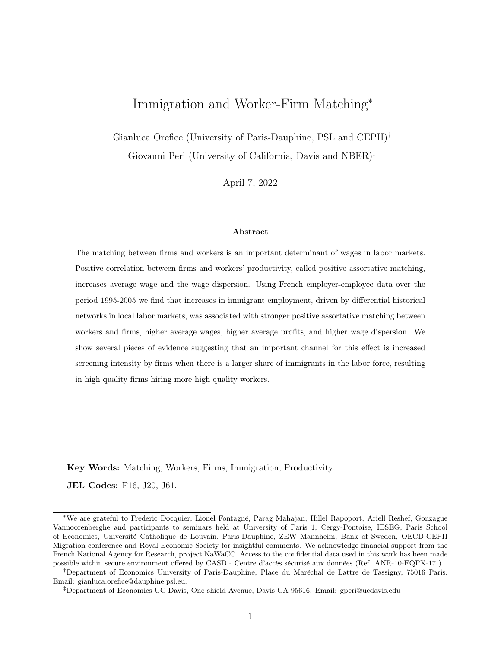quality firms will match with high-quality workers only, and low-quality firms with low-quality workers only. Notice that in this model what matters is the screening cost for the high-quality firms. Low quality firms, even if they screen, will not be able to attract high quality workers as they would pay lower wages. Hence, what matters is whether high-productivity firms decide to screen or to match randomly. If the cost of screening  $K$  is different between high- and low-productivity firms, then it is the screening cost of high-productivity firms that determines whether these firms screen of match randomly. So in equilibrium high-productivity firms screen and hire all high-quality workers and pay them higher salary, while the low-quality firms will match with the remaining low-quality workers. Two simple implications derive from the model sketched above:

- 1. If the cost of screening is equal across high-productivity firms in a labor market, then the probability of observing high-quality firms screening for high-quality workers in that market is decreasing in the threshold value of  $K$ , and increases with the standard deviation of workers' quality  $0.5(\overline{\theta_w}-\theta_w).$
- 2. For common screening costs, the probability of screening and matching assortatively will be higher if high productive firms have higher average productivity,  $\overline{\theta_f}$ .

Notice that the incentive of the high quality firm to do screening only depends on the dispersion of worker's quality, not on their average quality. Hence any change in the labor force increasing its quality dispersion will create incentives for high quality firms to do screening, which will increase their probability of assortative matching.

#### B.2 The model with immigrants

We now introduce immigrants to the model. Immigrants are assumed to have a larger standard deviation of types (uncertainty) but the similar average quality of native workers. Immigrants come from different backgrounds, so their adjustment to local labor markets can be very different. In general, their background and the quality of their education and working experience can be very different. Overall, as they come from different countries, they are a more heterogeneous group than natives in their quality, even controlling for their observable characteristics. We can think of this as a result of their country of origin diversity, but also as a result of the different selection that they have in different countries (positive from some countries and negative from others, as predicted by Borjas 1987). The higher quality dispersion of immigrants is shown in the data in section 4.1.2. A realistic way to capture this in the model, and reflecting the statistics reported in section 4.1.2 and Table 4 is to think that immigrants have higher "top quality" and lower "bottom quality" workers. In our simple model, this implies that:  $(\overline{\theta_w^I} - \theta_w^I) > (\overline{\theta_w^N} - \theta_w^N)$  where "I" indicates immigrants and "N" native workers. This immediately implies that in a population of all immigrants, the probability of screening by the highquality firms is higher than in a population of all natives, and therefore assortative matching is more likely for a given screening cost.

When the population in a labor market is a mixture of the two groups  $(I \text{ and } N)$ , and assuming that their average type is the same, the standard deviation of the population is a linear combination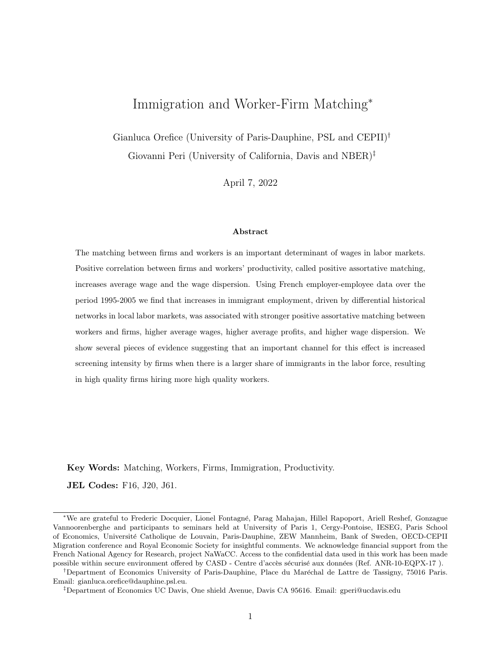of those of the two groups expressed as:  $\left[ (\overline{\theta_w^I} - \theta_w^I) * sh_I + (\overline{\theta_w^N} - \theta_w^N) * (1 - sh_I) \right]$ , where  $sh_I$  is the share of immigrants in the total population of workers. Then, the condition for high-quality firms to perform screening is:

$$
K < \frac{0.5(\overline{\theta_f})\left[ (\overline{\theta_w^I} - \underline{\theta_w^I}) \ast sh_I + (\overline{\theta_w^N} - \underline{\theta_w^N}) \ast (1 - sh_I) \right]}{2} \tag{13}
$$

In this case the probability of screening and assortative matching increases in the share of immigrant workers  $sh_I$  as long as the standard deviation of immigrants' quality is larger than that of natives' quality.<sup>57</sup> This is the key implication that we test in the empirical part of the paper, namely:

**Proposition 1** For a given cost of screening, markets with a larger share of immigrants have a stronger incentive to perform screening which will result in PAM between workers and firms.

A corollary of  $(Proposition 1)$ , based on equation (13), is that the probability of PAM is larger when the dispersion of immigrant quality,  $(\overline{\theta_w^I} - \theta_w^I)$ , is larger.

Corollary 1.1 The e ect of immigrant share on the incentive to perform screening and on improved PAM between workers and firms is magnified in local labor markets where immigrant quality is more dispersed.

Another important implication of the model above is that average value-added (surplus) and hence average wage and profits of firms will be larger in markets where PAM occurs. Hence, the latter will be positively associated with the share of immigrants, if PAM is the main channel for the local impact of immigrants. This is easily proven by writing the difference between average surplus with PAM  $(E(S_{PAM}))$  and average surplus with random matching for firms  $(E(S_R))$ . This difference is:

$$
E(S_{PAM}) - E(S_R) = \frac{1}{2} [(\overline{\theta_f \theta_w} + \underline{\theta_f \theta_w}) - (\underline{\theta_f} \overline{\theta_w} + \overline{\theta_f} (\underline{\theta_w})] = \frac{1}{2} (\overline{\theta_f} - \underline{\theta_f}) (\overline{\theta_w} - \underline{\theta_w}) > 0 \tag{14}
$$

The expression is always larger than 0 and it depends positively on the dispersion of the firm's quality and of the worker's quality. The "complementarity" (multiplicative) between the quality of each partner in the match, implies that assortative matching will generate larger average surplus than random matching. As workers and firms split the surplus (see equations 8 and 9), the inequality in the expected surplus in equation (14) will carry over also to firms' average profit which equals  $1/2$  of the surplus and, because of condition (12) is larger even after paying the screening costs. So the final implication of our simple model is that:

**Proposition 2** Local markets with larger shares of immigrants (i.e. wider dispersion in unknown types) have higher average firm profits and larger average wages.

 $57\,\text{Given equation}$  (13) we cannot exclude a priori the circumstance in which immigrants affect the probability of screening (and then the strength of PAM) through an indirect effect on the average productivity of firms  $\theta_f$ . The empirical evidence proposed in section 7 aims at isolating the direct effect of migration through the increased dispersion of worker type  $\varepsilon_I$ .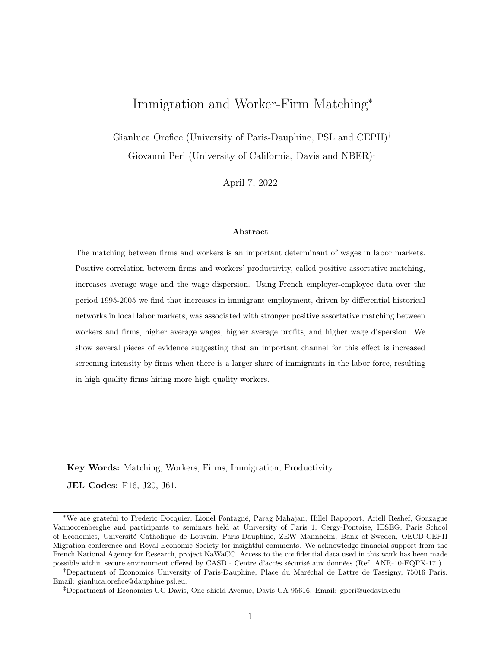This proposition is also tested in the empirical section of the paper. Additionally, PAM will increase the standard deviation of workers' wages and of firms' profits as the match distribution will be concentrated on the extreme outcomes,  $(\overline{\theta_f}\overline{\theta_w})$  and  $(\theta_f\underline{\theta_w})$ , rather than on the intermediate ones,  $(\overline{\theta_f}\overline{\theta_w})$  and  $(\theta_f\overline{\theta_w})$ . Hence:

**Proposition 3** A higher share of immigrants (i.e. wider dispersion in unknown types) will be associated with higher wage- and profit-dispersion.

Notice that if we consider the screening cost as paid ex-ante, and mainly a fixed cost (not varying much with how many people are screened) once firms paid the cost  $K$ , they will screen *all* workers. Hence, if it makes sense to pay the screening cost for the aggregate labor force, they will also screen natives and generate assortative matching with them. Thus, the presence of immigrants will also increase the assortative matching of natives and therefore their average wages in the region. This positive impact on the matching of natives takes place only if there is initial uncertainty about the quality of natives. If firms can perfectly observe the quality of natives without screening, then the "spillovers" from screening on better matching native workers does not occur. The empirical evidence provided in Table 15 supports the presence of uncertainty about the quality of native workers, and therefore a migration-induced PAM effect for native workers.

#### B.3 Model with many types of firms and workers and different screening costs

Let us now consider an economy similar to the one described in the previous section, but with 2N types of firms and workers characterized by different productivity levels. To make notation easier we consider a symmetric distribution of types around an average quality,  $\theta_w$ , so that workers' productivity can be any of the following 2N levels  $[\theta_w - \epsilon, \theta_w - \frac{N-1}{N}]$  $\frac{N-1}{N}\epsilon,...\theta_w - \frac{\epsilon}{N}$  $\frac{\epsilon}{N}, \theta_w + \frac{\epsilon}{N}$  $\frac{\epsilon}{N} ... \theta_w + \frac{N-1}{N}$  $\frac{(-1)}{N} \epsilon, \theta_w + \epsilon$  so that one can rank their quality in increasing order from  $i = -N$  to  $i = N$  and  $\epsilon$  is a measure of overall quality dispersion. Similarly, assume that there are  $2N$  groups of firms of productivity equal to  $[\theta_f - x, \theta_f - \frac{N-1}{N}]$  $\frac{N-1}{N}x, \ldots \theta_f - \frac{x}{N}$  $\frac{x}{N}, \theta_f + \frac{x}{N}$  $\frac{x}{N}$ ... $\theta_f + \frac{N-1}{N}$  $\frac{N-1}{N}x, \theta_f + x$  so that we can rank their quality in increasing order from  $i = -N$  to  $i = N$  and x is a measure of overall quality dispersion for firms. Let's also assume that each group of firms, indexed by quality index  $j = -N, -N + 1, \dots -1, +1, N - 1, N$  has, potentially different, screening cost  $K_j$ . The firms at the top level quality  $(j = N)$ , with productivity equal to  $\theta_f + x$  are those with the strongest incentives to screen. These firms will screen if the generated profit from paying the screening cost and assortatively matching with workers of top quality group  $(\theta_w + \epsilon)$  is larger than than matching randomly and not paying the screening cost. Namely:

$$
\left(\theta_f + x\right)\left(\theta_w + \epsilon\right) - K_N \ge \frac{1}{2N} \left(\theta_f + x\right) \sum_{j=-N}^{+N} \left(\theta_w + \frac{\epsilon}{N}j\right) \tag{15}
$$

This inequality, after isolating  $K_N$  and simplifying the terms in the symmetric summation, reduces to:

$$
K_N \le (\epsilon) \left(\theta_f + x\right) \tag{16}
$$

The expression in square brackets in the inequality (16) above is linear and increasing in  $\epsilon$ , in x, and in  $\theta_f$ . Therefore, for a given screening cost, the higher is  $\epsilon$  (the dispersion of workers' quality types),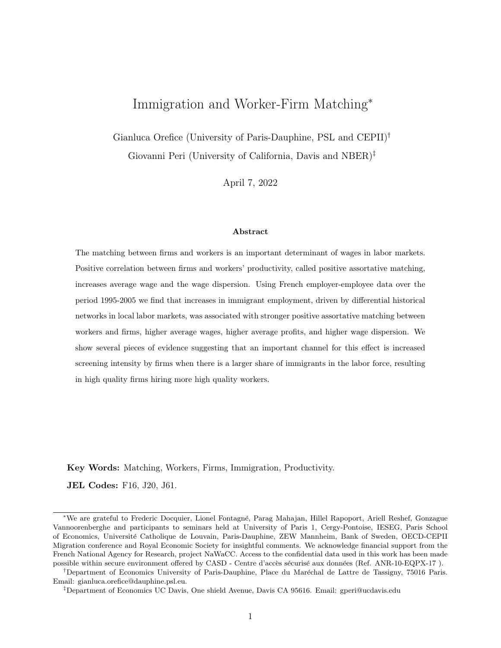the higher is x (which captures the dispersion of firm productivity), and the higher is average firm productivity  $\theta_f$ , the more likely the top-quality group of firms will be to screen. If the inequality is satisfied, the top firm types do the screening, match with the top quality workers, and the other  $2N-1$ firm types are left to decide whether to screen or to randomly match with the remaining  $2N-1$  workers types. In general, for a firm of quality type M with costs of screening  $K_M$ , screening will be optimal if:

$$
K_M \le \left[ \frac{M}{N} \epsilon - \frac{1}{N + M - 1} \sum_{j = -N}^{M-1} \left( \frac{\epsilon}{N} j \right) \right] (\theta_f + \frac{M}{N} x) \tag{17}
$$

The expression in square brackets in the inequality  $(17)$  above is linear and increasing in M. Therefore as we move to lower quality firms the incentive to do screening decreases monotonically. This has the following two implications that generalize the basic results from a two-type model to this multi-type model:

- 1. For a cost of screening that is constant among firm types or declining with quality,  $M$ , there will be a "marginal quality group" such that all groups of higher quality pay the screening cost and match assortatively, and those with lower quality do not screen and match randomly. This is an immediate consequence of the fact that the threshold for screening in  $(17)$  is increasing in M. For screening costs that are excessively high, no firm will screen; for very low screening costs, all firms will screen.
- 2. For a given schedule of screening costs, which can be a non increasing function of  $M$ , the share of firms doing screening (and therefore the intensity of assortative matching) increases in the dispersion of quality types of workers. The share of firms doing assortative matching will always be positively selected in terms of quality.

The key insight of the multi-type model, confirming the two-type model, is that an increased dispersion in quality of workers leads to an increased share of firms doing assortative matching, and this in turn increases average profits and average wages.

While this model is extremely simplified, the basic intuition that a larger dispersion of worker quality makes screening more profitable for high-quality firms and increases the share of positive assortative matches (and therefore the average wages and productivity when firm and worker quality are complementary) is a very robust implication of a super-modular production function. It holds for 2 and for N quality groups, and as N becomes larger this can approximate a continuum of quality levels.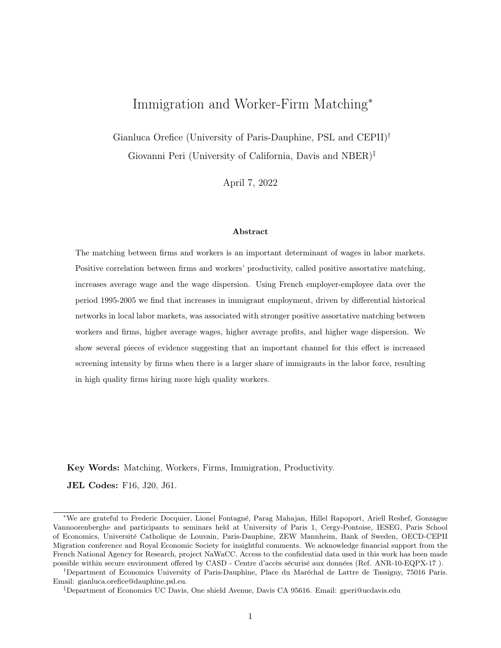

Figure B1: Ratio between recruitment and human resources workers by firm size.

Source: Authors calculations on DARES (French Ministry of Labor) data. Note: Survey based data on the recruitment process of firms in 2005.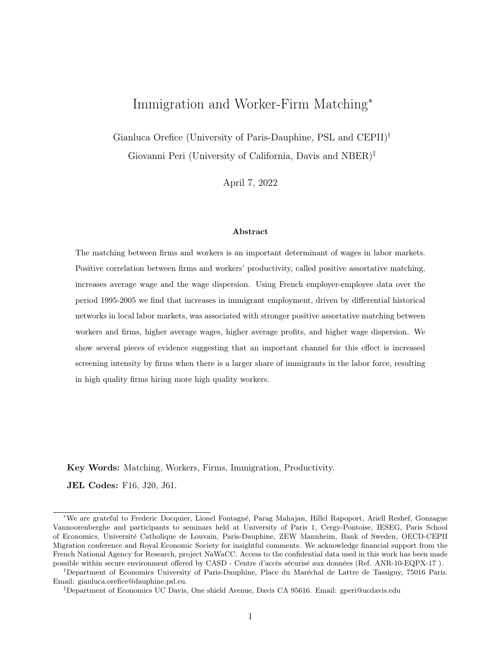# C AKM decomposition orthogonality conditions and results (For Online Publication)

As explained in section 3.2, we use worker fixed effects from AKM decomposition as an alternative proxy for worker type (robustness check). To this end, we employ longitudinal matched employeremployee data (DADS *panel*) to estimate the standard mincerian wage equation as in Abowd et al. (1999):

$$
ln(wage)_{i,t} = \alpha_i + \Phi_{\mathbf{J}(i,t)} + X_{i,t} + r_{i,t}
$$
\n
$$
(18)
$$

where  $ln(wage)_{i,t}$  is the log annual wage of worker i at time t;  $\Phi_{J(i,t)}$  is a firm fixed effects (representing the firm specific component in standard additive wage setting equation),  $\alpha_i$  is a set of worker fixed effects that we use as an alternative proxy for the worker type and  $X_{i,t}$  is a set of worker-time controls capturing life-cycle and other aggregate factors that affect the wage of workers with specific characteristics (i.e. age) in a given geographic area (i.e. Ile di France). Namely, the set of observable characteristics  $(X_{i,t})$ includes the quartic polynomial in age, the *Ile-de-France* dummy, and a gender dummy interacted with the quartic polynomial in age, Ile-de-France and year dummies. The error term  $r_{i,t}$  consists of three separate random effects: (i) a match component  $\eta_{iJ(i,t)}$  representing the idiosyncratic wage surplus earned by the worker i when matches a specific firm j, (ii) a unit root component  $\zeta_{it}$  representing the time-varying component of the individual-specific earning power (such as human capital accumulation, health shocks, etc), and (iii) the pure idiosyncratic individual wage component  $\epsilon_{it}$ .

Limited mobility bias. The correct identification of firm and worker fixed effects in equation (18) relies on a sufficient degree of mobility of workers across firms. This may represent an important concern in less populated districts. So, as a first way of reducing the limited mobility bias concern, we exclude from the AKM estimation in eq.(18) districts with total employment below the  $25^{th}$  percentile. Results using assortative matching measures based on AKM fixed effects that exclude small districts are reported in columns (1) and (4) of Table C1. Alternatively, using k-means cluster analysis, we group firms with similar wage structure into 15 clusters and include *cluster* rather than *firm* fixed effects in eq. (18). Quartiles and deciles of firms' wage distribution are (respectively) used to perform the k-means cluster analysis. The grouping of firms into clusters ensures that there is more worker mobility between clusters than individual firms, and mitigates the limited mobility bias concern. Results using this alternative approach to obtain AKM fixed effects are reported in column (2), (3), (5) and (6) of Table C1. A similar approach is used in Dauth et al. (2022).

**Orthogonality condition.** The correct identification of the OLS coefficients for  $\alpha_i$ ,  $\Phi_{J(i,t)}$  and  $X_{i,t}$  bases on their orthogonality with respect the error component  $r_{i,t}$ . The orthogonality between individual fixed effects, time-varying covariates and the error component is standard and widely recognized as valid (see Card et al. 2013).<sup>58</sup> However, the orthogonality condition between the firm fixed effect and the three components of the error term must be discussed and verified. In other words, for a proper identification of equation (18) we need exogenous mobility.

<sup>&</sup>lt;sup>58</sup>The orthogonality between worker fixed effects and the error component  $r_{i,t}$  follows from the assumption that  $\eta_{iJ(i,t)}$ ,  $\zeta_{it}$  and  $\epsilon_{it}$  have zero mean.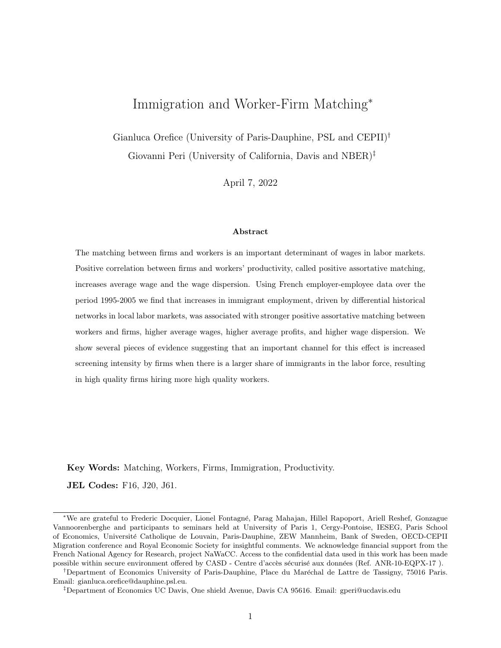To this end, we follow Card et al. (2013) and perform an event study analysis of the effect of job changes on wages (see section IV.B in Card et al. 2013). This proceeds in four steps. First, for each individual i at time t we calculate the average co-worker wage. Second, for each job changer (or mover) with at least two-year employment spell in the old and new employer we classify the bin (above  $\vee$ s below the median) of co-worker wage in old and new employer. Third, each job changer is assigned to one of the 4 possibles job transitions (from one of the two bins in co-worker wage of the old employer, to one of the two bins of the new employer). Finally, we calculate the average observed wage of jobchangers for each specific job transition before and after the job change. Figure C1 shows the results of this exercise for job transitions for workers leaving jobs in high- and low-coworker wage firms (i.e. jobs in firms with above-the-median and below-the-median paid coworkers). The first reassuring feature of Figure C1 is the approximate symmetry in the patter of wage for workers that move between high- and low-coworker wage bins. The gains associated with transitioning from a low- to a high-coworker wage firm are roughly equal to the losses associated to the opposite transition. Also, workers that move between firms belonging to the same bin in coworker wage experience a small change in their wage, indicating a small general mobility premium for movers. This suggests that the choice to work for a specific firm does not depend on the expected surplus component of the worker-firm match (allowing us to not explicitly include worker-firm match fixed effects in the AKM decomposition). In other words, we do not observe sorting of workers based on the match component. This qualitative evidence supports the validity of the the simple model with additive worker and firm effect at the base of the AKM decomposition.

An additional validity check for the AKM decomposition (and the underlying additive wage model) is testing the improvement in the fit of the data after explicitly including match fixed effects in the estimation of equation (18) as done in Card et al. (2013) and Dauth et al. (2022). Indeed, if the match effect is important in determining the wage of workers, then a fully saturated model including workerfirm match fixed effects would fit the data much better than a simple additive model. Consistently with the additive nature of equation (18), we find that the inclusion of job-specific fixed effects only marginally improves the R-square of the AKM estimation: from 0.952 to 0.954.

To obtain unbiased estimations of worker and firm effects from AKM decomposition, we need to check that job moves do not depend on drift in worker's expected wage (included in the residual term of the additive model in AKM). The absence of any substantial trend in wage before the move towards a better firms (with the exception of the high-to-high transition showing some trend in wage over the transition), suggests the absence of a learning process (drift) that may bias the estimations. Finally, unbiased estimation of worker and firm effects also requires that the transitory error component of the additive model is not associated with systematic movements across firms of different quartiles. The fact that pre-move wage dynamics are almost flat, and the symmetry in the wage pattern across firms of different quartiles reduce any concern of job mobility related to transitory wage fluctuations.

Finally, in Table C2 we report some descriptive statistics of the parameters obtained from the AKM decomposition computed over the period 1995-2005. We have approximately 2 million workerfirm observations, and the average (ln) wage is equal to 9.8 with a standard deviation equal to 0.46. Reassuringly, our results from AKM decomposition are in line with previous studies. In line with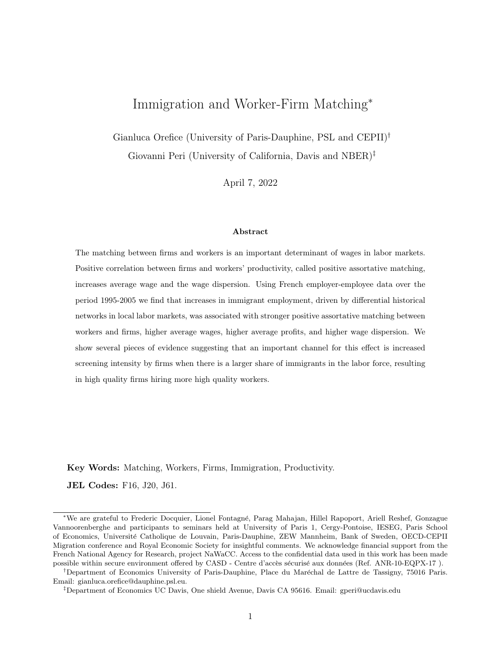results in Table III in Card et al. (2013) and Dauth et al. (2022), we obtain a standard deviation of worker effects larger than firm effects. Also, in line with Dauth et al. (2022) in their 1985-1991 panel of German firms and workers, we obtain (small) negative correlation between worker and firm fixed effects.

| Dep Var:               | Rank Correlation |                   |            | Strength PAM      |            |            |  |
|------------------------|------------------|-------------------|------------|-------------------|------------|------------|--|
|                        | (1)              | $\left( 2\right)$ | (3)        | $\left( 4\right)$ | (5)        | (6)        |  |
| Immi Share             | $2.618**$        | 1.152             | 1.351      | $1.682*$          | $2.356**$  | $2.305**$  |  |
|                        | (1.144)          | (0.971)           | (0.972)    | (0.977)           | (1.050)    | (1.045)    |  |
| Worker Type            | <b>AKM</b>       | AKM               | AKM        | AKM               | AKM        | AKM        |  |
|                        | no small         | cluster           | cluster    | no small          | cluster    | cluster    |  |
|                        | districts        | qtl wage          | dec wage   | districts         | qtl wage   | dec wage   |  |
| District FE            | yes              | yes               | yes        | yes               | yes        | yes        |  |
| Region-Year FE         | yes              | yes               | yes        | yes               | yes        | yes        |  |
| District-Year controls | yes              | yes               | yes        | yes               | yes        | yes        |  |
| Observations           | 781              | 1,012             | 1,012      | 781               | 1,012      | 1,012      |  |
| First stage coeff.     | $0.131***$       | $0.121***$        | $0.121***$ | $0.131***$        | $0.121***$ | $0.121***$ |  |
| F-stat                 | 10.96            | 16.64             | 16.64      | 10.96             | 16.64      | 16.64      |  |

Table C1: Robustness check for limited mobility bias in AKM estimations.

Notes: Dependent variables are respectively the rank correlation between worker and firm type and the strength of positive assortative matching in each district-year. Worker type based on AKM fixed effects measures. Robust standard errors in parenthesis. \*\*\*  $p < 0,01$ ; \*\*  $p < 0,05$ ; \*  $p < 0,1$ .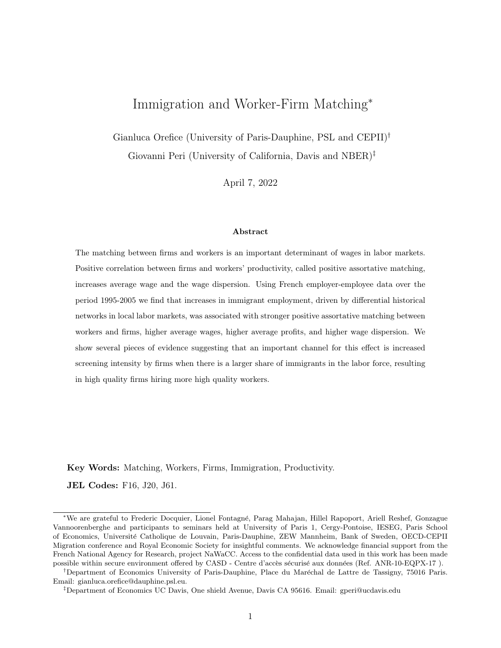

Figure C1: Mean wage of job changers by bins of coworkers wage at origin and destination firm.

Source: Authors calculations on DADS and Ficus/Fare data. Note: The figure shows wage levels of job movers in the period 1995-2005 at old firm two years prior to the move  $(t=-2 \text{ and } t=-1)$ ; and the wage levels at the new firm in the year of the move  $(t=0)$  and the year after  $(t=1)$ . These have been obtained by average wage of movers classified by bins of co-worker wages in the old and new firm.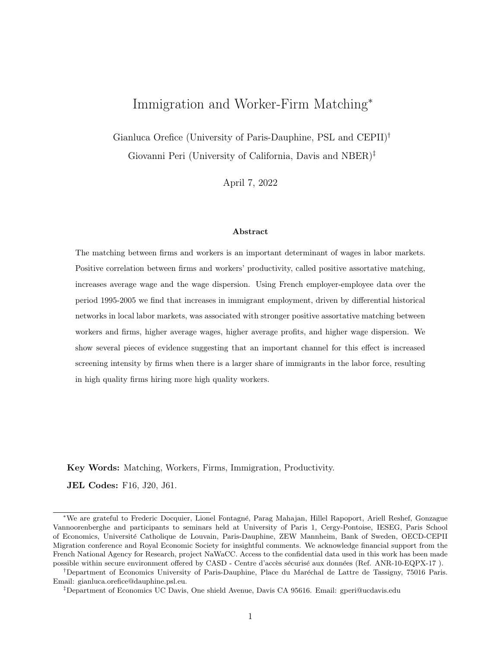|                                                   | Period 1995-2005 |
|---------------------------------------------------|------------------|
| Worker and firm parameter                         |                  |
| Number worker effects                             | 389962           |
| Number firm fixed effets                          | 112579           |
| Summary of parameter estimates                    |                  |
| Mean worker effects (across worker-year obs)      | $-0.000$         |
| Mean firm effects (across worker-year obs)        | $-0.076$         |
| Median worker effects (across worker-year obs)    | $-0.173$         |
| Median firm effects (across worker-year obs)      | $-0.039$         |
| Std. Dev. worker effects (across worker-year obs) | 0.814            |
| Std. Dev. firm effects (across worker-year obs)   | 0.198            |
| Correlation (worker FE, firm FE)                  | $-0.202$         |
| R-squared                                         | 0.952            |
| Other statistics                                  |                  |
| Average log wage                                  | 9.861            |
| Std dev log wage                                  | 0.457            |
| Sample size                                       | 1941645          |

Table C2: Estimation results for AKM model.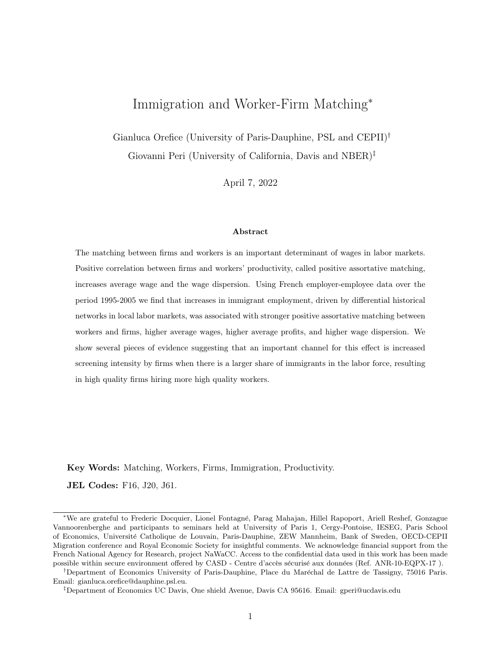## D Rotemberg weights and validity tests (For Online Publication)

The identification of the shift-share IV adopted here bases on the exogeneity of the initial shares of migrants used to allocate origin-specific and time variant migration inflows (Goldsmith-Pinkham et al. 2020). This section aims at strengthening the credibility of our empirical design by applying some specification tests on the initial (origin-specific) migrants shares that have the highest impact on our baseline 2SLS results. Namely, we calculate the Rotemberg weights for each origin-specific share of immigrants in 1982 and apply the specification validity tests prescribed by Goldsmith-Pinkham et al. (2020) for the top-5 origins in terms of Rotemberg weights. Such weights depend on the covariance between the fitted value of each origin-specific migration share on the endogenous variable and the endogenous variable itself, and intuitively tell how sensitive is the overidentified estimate of the coefficient of interest  $(Immmi sh$  in our setting) to the mispecification in any of the origin-specific migrant share. In practice, such weights reveal which specific migrants communities (in 1982) have more importance in the overall 2SLS estimate. So testing the specification validity for the sub-sample of origin-specific shares that affect the most the overall 2SLS estimation will reassure on the general validity of our estimations.

In line with the LFS data in 1982 used to build the origin-specific shares of migrants in 1982, we have 22 origins  $o^{59}$  Panel 2 of Table D1 shows the top-5 origin countries in terms of Rotemberg weights  $\hat{\alpha}_k$  (we closely follow the notation in Goldsmith-Pinkham et al. (2020) and use subscript k to indicate the origin country). The top-origin in terms of weights is the "Other Countries n.e.c." (covering mainly South American and other Asian countries) which receives itself almost half of the weight  $(\hat{\alpha}_k = 0.58)$ . The top-5 countries (in order of Rotemberg weights: Other Countries n.e.c., Other African countries, Portugal, Ex-Yugoslavian countries, Algeria) account for almost the 80% of the overall weight. The large weight for the macro origin "Other Countries n.e.c." is not surprising as it includes big migrants communities in France (such as the Chinese, the Indian and the South American ones) and mimic the big Rotemberg weigth associated to Mexico obtained by Goldsmith-Pinkham et al. (2020) for the US immigration example. Also, in panel 1 of Table D1 we show that the correlation between weights and the migrants inflows  $(g_k$  in Table D1) is very high  $(0.96)$ , suggesting that weights are considerably explained by shocks (another feature in common with the enclave IV applied to the US case in Goldsmith-Pinkham et al. 2020).

With the list of top-5 migrants origins in terms of Rotemberg weights we can test the plausibility of our identifying assumption. First, in Table D2 we show the correlation between initial migration shares across districts for each of the top-5 origins and the average district's wage in 1982 (we only have LFS data for the year 1982, and so very limited choices in terms of variables approximating the economic performance of districts in 1982). The absence of correlation (with the exception of the Portuguese community) suggests that the initial settlement of immigrants (by origin) across French districts does not reflect the *level* of the economic performance of the local labor market.<sup>60</sup> Second,

<sup>&</sup>lt;sup>59</sup>The 22 origins in LFS data are: Algeria, Tunisia, Morocco, Other African countries, Vietnam-Laos-Cambodia, Italy, Germany, Belgium, Netherlands, Luxembourg, Ireland, Denmark, UK, Greece, Spain, Portugal, Switzerland, Austria, Poland, Ex-Yugoslavia, Turkey, and Other Countries n.e.c.

 $60$ For a proper correlation test, as prescribed by Goldsmith-Pinkham et al. (2020) we should have correlated initial migrants share with the PAM measures in 1982. These are unfortunately not available for the year 1982 so we used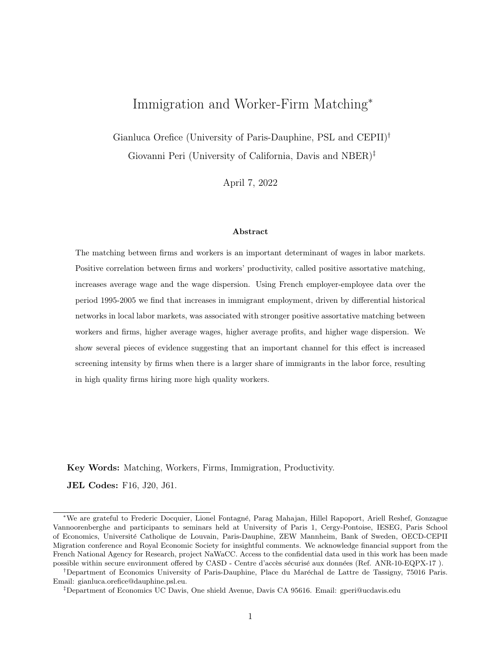we replicate the pre-trend exercise as presented in Goldsmith-Pinkham et al. (2020) for each of the top-5 origins highlighted here. Namely, we regress respectively our four measures of strength of PAM in the starting year (1995) on the origin-specific share of immigrants in 1982 (including the same set of controls  $X_d$  included in equation 2 for the year in 1995). Results reported in Table D3 show that the variation in the initial origin-specific share of immigrants did not predict statistically or economically larger strength of PAM across districts (no matter the measure of PAM adopted). This, combined with our baseline results, suggests that there has been a shock in the share of immigrants over the period 1995-2005 that improved the strength of PAM.

| <b>Panel I: Correlations</b>                          |                  |              |                 |             |            |
|-------------------------------------------------------|------------------|--------------|-----------------|-------------|------------|
|                                                       | $\hat{\alpha}_k$ | $g_k$        | $\hat{\beta}_k$ | $\hat{F}_k$ | $Var(z_k)$ |
| $\hat{\alpha}_k$                                      | $\mathbf{1}$     |              |                 |             |            |
|                                                       | 0.957            | $\mathbf{1}$ |                 |             |            |
| $\overset{g_k}{\hat{\beta}_k} \hat{\tilde{F}_k}$      | 0.078            | 0.042        | 1               |             |            |
|                                                       | 0.202            | 0.210        | 0.062           | 1           |            |
| $Var(z_k)$                                            | 0.049            | $-0.121$     | 0.049           | $-0.302$    | 1          |
| Panel II: Top-5 Rotemberg weight origins              |                  |              |                 |             |            |
|                                                       | $\hat{\alpha}_k$ | $g_k$        | $\hat{\beta}_k$ |             |            |
| Other Countries n.e.c.                                | 0.577            | $2.07e + 06$ | 0.781           |             |            |
| Other African countries                               | 0.074            | $6.99e + 05$ | 1.635           |             |            |
| Portugal                                              | 0.048            | $5.27e + 05$ | 0.658           |             |            |
| Ex-Yugoslavia                                         | 0.046            | $1.85e+0.5$  | 0.000           |             |            |
| Algeria                                               | 0.035            | $4.02e + 05$ | 2.126           |             |            |
| Panel III: Variation across years in $\hat{\alpha}_k$ |                  |              |                 |             |            |
|                                                       | Sum              | Mean         |                 |             |            |
| 1995                                                  | 0.029            | 0.001        |                 |             |            |
| 2000                                                  | 0.094            | 0.004        |                 |             |            |
| 2005                                                  | 0.134            | 0.006        |                 |             |            |

Table D1: Summary of the Rotemberg weights

Notes: This table reports statistics about the Rotemberg weights obtained following the procedure described in Goldsmith-Pinkham et al. (2020) and adapted to our specific empirical framework. Panel I report the correlations between weights  $(\hat{\alpha}_k)$ , the French inflow of migrants from a given origin k,  $(g_k)$ , the just-identified point estimate  $\hat{\beta}_k$ , the first stage F-stat  $(\hat{F}_k)$ , and the variation in the origin country shares across districts  $(Var(z_k))$ . Panel II report the top-5 origin countries in terms of Rotemberg weights. Panel III reports the variation in the weights across years.

average wage as a proxy for the economic performance of the local labor market.